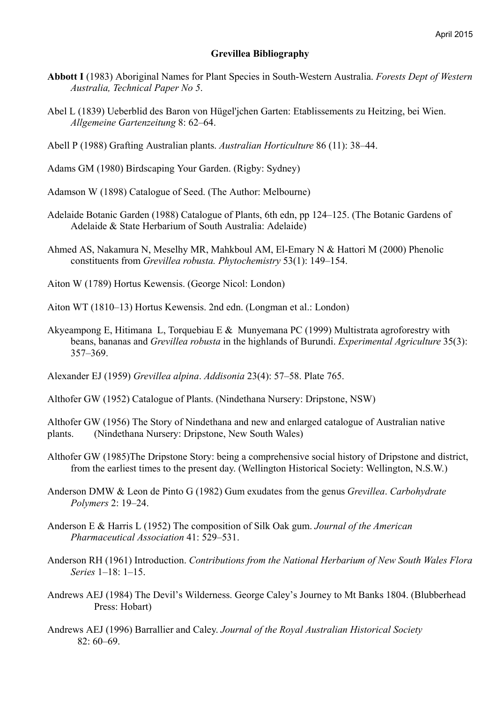## **Grevillea Bibliography**

- **Abbott I** (1983) Aboriginal Names for Plant Species in South-Western Australia. *Forests Dept of Western Australia, Technical Paper No 5*.
- Abel L (1839) Ueberblid des Baron von Hügel'jchen Garten: Etablissements zu Heitzing, bei Wien. *Allgemeine Gartenzeitung* 8: 62–64.
- Abell P (1988) Grafting Australian plants. *Australian Horticulture* 86 (11): 38–44.
- Adams GM (1980) Birdscaping Your Garden. (Rigby: Sydney)
- Adamson W (1898) Catalogue of Seed. (The Author: Melbourne)
- Adelaide Botanic Garden (1988) Catalogue of Plants, 6th edn, pp 124–125. (The Botanic Gardens of Adelaide & State Herbarium of South Australia: Adelaide)
- Ahmed AS, Nakamura N, Meselhy MR, Mahkboul AM, El-Emary N & Hattori M (2000) Phenolic constituents from *Grevillea robusta. Phytochemistry* 53(1): 149–154.
- Aiton W (1789) Hortus Kewensis. (George Nicol: London)
- Aiton WT (1810–13) Hortus Kewensis. 2nd edn. (Longman et al.: London)
- Akyeampong E, Hitimana L, Torquebiau E & Munyemana PC (1999) Multistrata agroforestry with beans, bananas and *Grevillea robusta* in the highlands of Burundi. *Experimental Agriculture* 35(3): 357–369.
- Alexander EJ (1959) *Grevillea alpina*. *Addisonia* 23(4): 57–58. Plate 765.
- Althofer GW (1952) Catalogue of Plants. (Nindethana Nursery: Dripstone, NSW)

Althofer GW (1956) The Story of Nindethana and new and enlarged catalogue of Australian native plants. (Nindethana Nursery: Dripstone, New South Wales)

- Althofer GW (1985)The Dripstone Story: being a comprehensive social history of Dripstone and district, from the earliest times to the present day. (Wellington Historical Society: Wellington, N.S.W.)
- Anderson DMW & Leon de Pinto G (1982) Gum exudates from the genus *Grevillea*. *Carbohydrate Polymers* 2: 19–24.
- Anderson E & Harris L (1952) The composition of Silk Oak gum. *Journal of the American Pharmaceutical Association* 41: 529–531.
- Anderson RH (1961) Introduction. *Contributions from the National Herbarium of New South Wales Flora Series* 1–18: 1–15.
- Andrews AEJ (1984) The Devil's Wilderness. George Caley's Journey to Mt Banks 1804. (Blubberhead Press: Hobart)
- Andrews AEJ (1996) Barrallier and Caley. *Journal of the Royal Australian Historical Society*  $82 \cdot 60 - 69$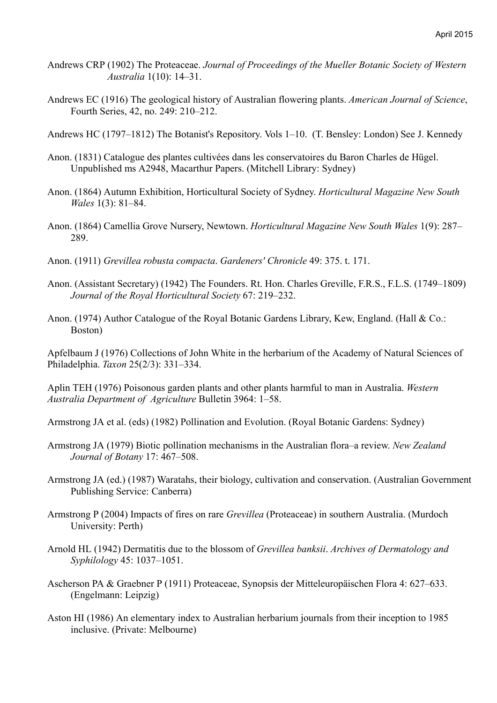- Andrews CRP (1902) The Proteaceae. *Journal of Proceedings of the Mueller Botanic Society of Western Australia* 1(10): 14–31.
- Andrews EC (1916) The geological history of Australian flowering plants. *American Journal of Science*, Fourth Series, 42, no. 249: 210–212.
- Andrews HC (1797–1812) The Botanist's Repository. Vols 1–10. (T. Bensley: London) See J. Kennedy
- Anon. (1831) Catalogue des plantes cultivées dans les conservatoires du Baron Charles de Hügel. Unpublished ms A2948, Macarthur Papers. (Mitchell Library: Sydney)
- Anon. (1864) Autumn Exhibition, Horticultural Society of Sydney. *Horticultural Magazine New South Wales* 1(3): 81–84.
- Anon. (1864) Camellia Grove Nursery, Newtown. *Horticultural Magazine New South Wales* 1(9): 287– 289.
- Anon. (1911) *Grevillea robusta compacta*. *Gardeners' Chronicle* 49: 375. t. 171.
- Anon. (Assistant Secretary) (1942) The Founders. Rt. Hon. Charles Greville, F.R.S., F.L.S. (1749–1809) *Journal of the Royal Horticultural Society* 67: 219–232.
- Anon. (1974) Author Catalogue of the Royal Botanic Gardens Library, Kew, England. (Hall & Co.: Boston)

Apfelbaum J (1976) Collections of John White in the herbarium of the Academy of Natural Sciences of Philadelphia. *Taxon* 25(2/3): 331–334.

Aplin TEH (1976) Poisonous garden plants and other plants harmful to man in Australia. *Western Australia Department of Agriculture* Bulletin 3964: 1–58.

Armstrong JA et al. (eds) (1982) Pollination and Evolution. (Royal Botanic Gardens: Sydney)

- Armstrong JA (1979) Biotic pollination mechanisms in the Australian flora–a review. *New Zealand Journal of Botany* 17: 467–508.
- Armstrong JA (ed.) (1987) Waratahs, their biology, cultivation and conservation. (Australian Government Publishing Service: Canberra)
- Armstrong P (2004) Impacts of fires on rare *Grevillea* (Proteaceae) in southern Australia. (Murdoch University: Perth)
- Arnold HL (1942) Dermatitis due to the blossom of *Grevillea banksii*. *Archives of Dermatology and Syphilology* 45: 1037–1051.
- Ascherson PA & Graebner P (1911) Proteaceae, Synopsis der Mitteleuropäischen Flora 4: 627–633. (Engelmann: Leipzig)
- Aston HI (1986) An elementary index to Australian herbarium journals from their inception to 1985 inclusive. (Private: Melbourne)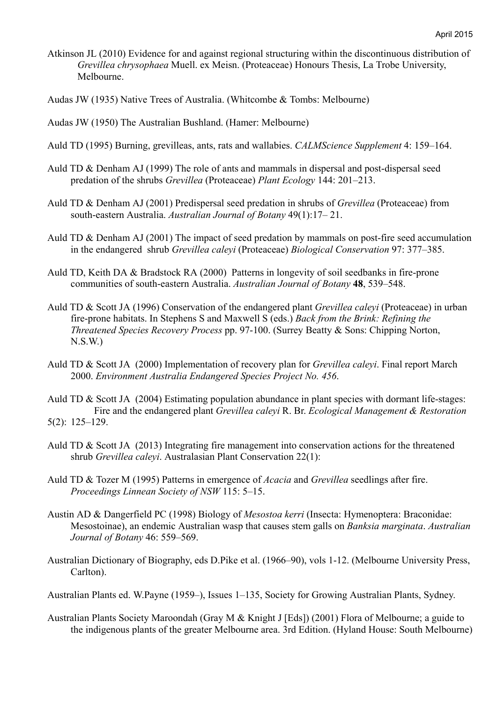- Atkinson JL (2010) Evidence for and against regional structuring within the discontinuous distribution of *Grevillea chrysophaea* Muell. ex Meisn. (Proteaceae) Honours Thesis, La Trobe University, Melbourne.
- Audas JW (1935) Native Trees of Australia. (Whitcombe & Tombs: Melbourne)
- Audas JW (1950) The Australian Bushland. (Hamer: Melbourne)
- Auld TD (1995) Burning, grevilleas, ants, rats and wallabies. *CALMScience Supplement* 4: 159–164.
- Auld TD & Denham AJ (1999) The role of ants and mammals in dispersal and post-dispersal seed predation of the shrubs *Grevillea* (Proteaceae) *Plant Ecology* 144: 201–213.
- Auld TD & Denham AJ (2001) Predispersal seed predation in shrubs of *Grevillea* (Proteaceae) from south-eastern Australia. *Australian Journal of Botany* 49(1):17– 21.
- Auld TD & Denham AJ (2001) The impact of seed predation by mammals on post-fire seed accumulation in the endangered shrub *Grevillea caleyi* (Proteaceae) *Biological Conservation* 97: 377–385.
- Auld TD, Keith DA & Bradstock RA (2000) Patterns in longevity of soil seedbanks in fire-prone communities of south-eastern Australia. *Australian Journal of Botany* **48**, 539–548.
- Auld TD & Scott JA (1996) Conservation of the endangered plant *Grevillea caleyi* (Proteaceae) in urban fire-prone habitats. In Stephens S and Maxwell S (eds.) *Back from the Brink: Refining the Threatened Species Recovery Process* pp. 97-100. (Surrey Beatty & Sons: Chipping Norton, N.S.W.)
- Auld TD & Scott JA (2000) Implementation of recovery plan for *Grevillea caleyi*. Final report March 2000. *Environment Australia Endangered Species Project No. 456*.
- Auld TD & Scott JA (2004) Estimating population abundance in plant species with dormant life-stages: Fire and the endangered plant *Grevillea caleyi* R. Br. *Ecological Management & Restoration* 5(2): 125–129.
- Auld TD & Scott JA (2013) Integrating fire management into conservation actions for the threatened shrub *Grevillea caleyi*. Australasian Plant Conservation 22(1):
- Auld TD & Tozer M (1995) Patterns in emergence of *Acacia* and *Grevillea* seedlings after fire. *Proceedings Linnean Society of NSW* 115: 5–15.
- Austin AD & Dangerfield PC (1998) Biology of *Mesostoa kerri* (Insecta: Hymenoptera: Braconidae: Mesostoinae), an endemic Australian wasp that causes stem galls on *Banksia marginata*. *Australian Journal of Botany* 46: 559–569.
- Australian Dictionary of Biography, eds D.Pike et al. (1966–90), vols 1-12. (Melbourne University Press, Carlton).
- Australian Plants ed. W.Payne (1959–), Issues 1–135, Society for Growing Australian Plants, Sydney.
- Australian Plants Society Maroondah (Gray M & Knight J [Eds]) (2001) Flora of Melbourne; a guide to the indigenous plants of the greater Melbourne area. 3rd Edition. (Hyland House: South Melbourne)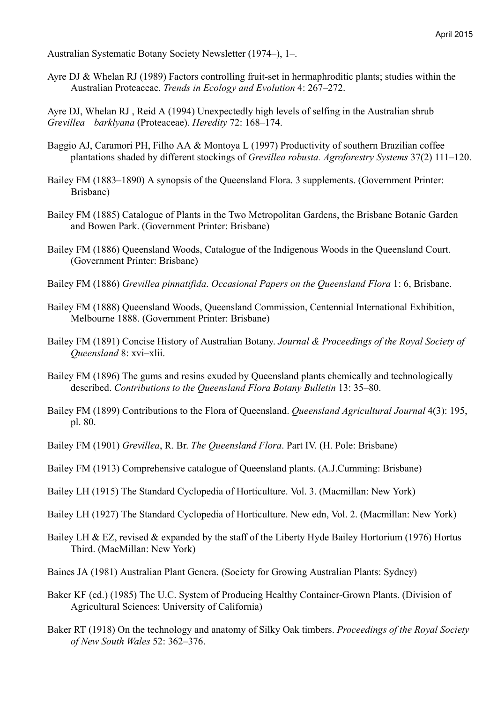Australian Systematic Botany Society Newsletter (1974–), 1–.

Ayre DJ & Whelan RJ (1989) Factors controlling fruit-set in hermaphroditic plants; studies within the Australian Proteaceae. *Trends in Ecology and Evolution* 4: 267–272.

Ayre DJ, Whelan RJ , Reid A (1994) Unexpectedly high levels of selfing in the Australian shrub *Grevillea barklyana* (Proteaceae). *Heredity* 72: 168–174.

- Baggio AJ, Caramori PH, Filho AA & Montoya L (1997) Productivity of southern Brazilian coffee plantations shaded by different stockings of *Grevillea robusta. Agroforestry Systems* 37(2) 111–120.
- Bailey FM (1883–1890) A synopsis of the Queensland Flora. 3 supplements. (Government Printer: Brisbane)
- Bailey FM (1885) Catalogue of Plants in the Two Metropolitan Gardens, the Brisbane Botanic Garden and Bowen Park. (Government Printer: Brisbane)
- Bailey FM (1886) Queensland Woods, Catalogue of the Indigenous Woods in the Queensland Court. (Government Printer: Brisbane)
- Bailey FM (1886) *Grevillea pinnatifida*. *Occasional Papers on the Queensland Flora* 1: 6, Brisbane.
- Bailey FM (1888) Queensland Woods, Queensland Commission, Centennial International Exhibition, Melbourne 1888. (Government Printer: Brisbane)
- Bailey FM (1891) Concise History of Australian Botany. *Journal & Proceedings of the Royal Society of Queensland* 8: xvi–xlii.
- Bailey FM (1896) The gums and resins exuded by Queensland plants chemically and technologically described. *Contributions to the Queensland Flora Botany Bulletin* 13: 35–80.
- Bailey FM (1899) Contributions to the Flora of Queensland. *Queensland Agricultural Journal* 4(3): 195, pl. 80.
- Bailey FM (1901) *Grevillea*, R. Br. *The Queensland Flora*. Part IV. (H. Pole: Brisbane)
- Bailey FM (1913) Comprehensive catalogue of Queensland plants. (A.J.Cumming: Brisbane)
- Bailey LH (1915) The Standard Cyclopedia of Horticulture. Vol. 3. (Macmillan: New York)
- Bailey LH (1927) The Standard Cyclopedia of Horticulture. New edn, Vol. 2. (Macmillan: New York)
- Bailey LH & EZ, revised & expanded by the staff of the Liberty Hyde Bailey Hortorium (1976) Hortus Third. (MacMillan: New York)
- Baines JA (1981) Australian Plant Genera. (Society for Growing Australian Plants: Sydney)
- Baker KF (ed.) (1985) The U.C. System of Producing Healthy Container-Grown Plants. (Division of Agricultural Sciences: University of California)
- Baker RT (1918) On the technology and anatomy of Silky Oak timbers. *Proceedings of the Royal Society of New South Wales* 52: 362–376.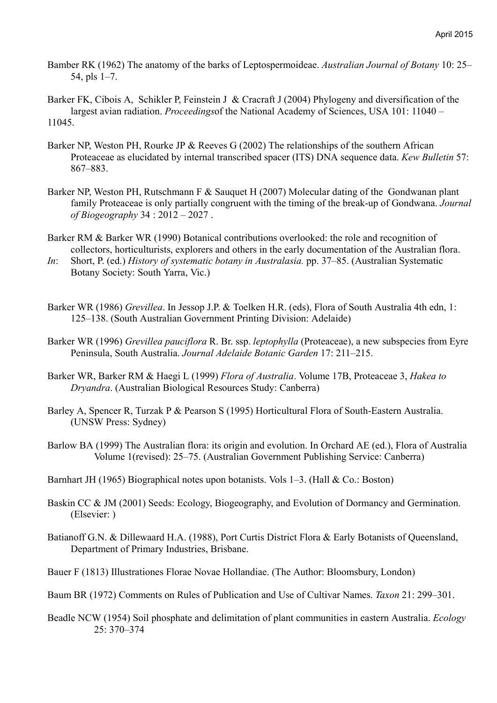Bamber RK (1962) The anatomy of the barks of Leptospermoideae. *Australian Journal of Botany* 10: 25– 54, pls 1–7.

Barker FK, Cibois A, Schikler P, Feinstein J & Cracraft J (2004) Phylogeny and diversification of the largest avian radiation. *Proceedings*of the National Academy of Sciences, USA 101: 11040 – 11045.

- Barker NP, Weston PH, Rourke JP & Reeves G (2002) The relationships of the southern African Proteaceae as elucidated by internal transcribed spacer (ITS) DNA sequence data. *Kew Bulletin* 57: 867–883.
- Barker NP, Weston PH, Rutschmann F & Sauquet H (2007) Molecular dating of the Gondwanan plant family Proteaceae is only partially congruent with the timing of the break-up of Gondwana. *Journal of Biogeography* 34 : 2012 – 2027 .
- Barker RM & Barker WR (1990) Botanical contributions overlooked: the role and recognition of collectors, horticulturists, explorers and others in the early documentation of the Australian flora.
- *In*: Short, P. (ed.) *History of systematic botany in Australasia.* pp. 37–85. (Australian Systematic Botany Society: South Yarra, Vic.)
- Barker WR (1986) *Grevillea*. In Jessop J.P. & Toelken H.R. (eds), Flora of South Australia 4th edn, 1: 125–138. (South Australian Government Printing Division: Adelaide)
- Barker WR (1996) *Grevillea pauciflora* R. Br. ssp. *leptophylla* (Proteaceae), a new subspecies from Eyre Peninsula, South Australia. *Journal Adelaide Botanic Garden* 17: 211–215.
- Barker WR, Barker RM & Haegi L (1999) *Flora of Australia*. Volume 17B, Proteaceae 3, *Hakea to Dryandra*. (Australian Biological Resources Study: Canberra)
- Barley A, Spencer R, Turzak P & Pearson S (1995) Horticultural Flora of South-Eastern Australia. (UNSW Press: Sydney)
- Barlow BA (1999) The Australian flora: its origin and evolution. In Orchard AE (ed.), Flora of Australia Volume 1(revised): 25–75. (Australian Government Publishing Service: Canberra)
- Barnhart JH (1965) Biographical notes upon botanists. Vols 1–3. (Hall & Co.: Boston)
- Baskin CC & JM (2001) Seeds: Ecology, Biogeography, and Evolution of Dormancy and Germination. (Elsevier: )
- Batianoff G.N. & Dillewaard H.A. (1988), Port Curtis District Flora & Early Botanists of Queensland, Department of Primary Industries, Brisbane.

Bauer F (1813) Illustrationes Florae Novae Hollandiae. (The Author: Bloomsbury, London)

- Baum BR (1972) Comments on Rules of Publication and Use of Cultivar Names. *Taxon* 21: 299–301.
- Beadle NCW (1954) Soil phosphate and delimitation of plant communities in eastern Australia. *Ecology* 25: 370–374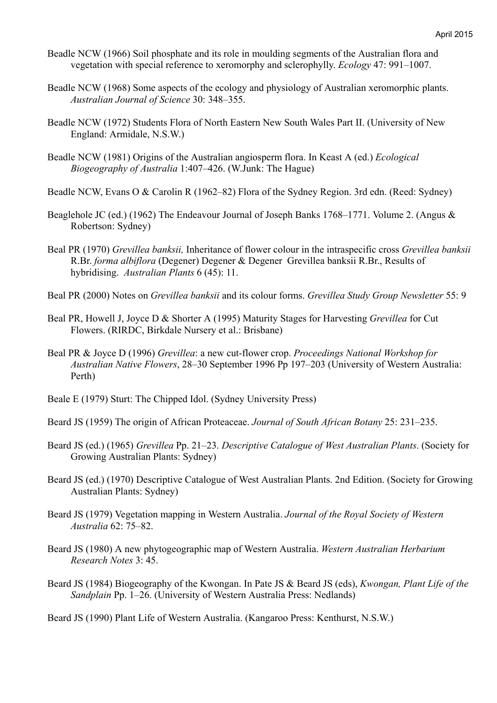- Beadle NCW (1966) Soil phosphate and its role in moulding segments of the Australian flora and vegetation with special reference to xeromorphy and sclerophylly. *Ecology* 47: 991–1007.
- Beadle NCW (1968) Some aspects of the ecology and physiology of Australian xeromorphic plants. *Australian Journal of Science* 30: 348–355.
- Beadle NCW (1972) Students Flora of North Eastern New South Wales Part II. (University of New England: Armidale, N.S.W.)
- Beadle NCW (1981) Origins of the Australian angiosperm flora. In Keast A (ed.) *Ecological Biogeography of Australia* 1:407–426. (W.Junk: The Hague)
- Beadle NCW, Evans O & Carolin R (1962–82) Flora of the Sydney Region. 3rd edn. (Reed: Sydney)
- Beaglehole JC (ed.) (1962) The Endeavour Journal of Joseph Banks 1768–1771. Volume 2. (Angus & Robertson: Sydney)
- Beal PR (1970) *Grevillea banksii,* Inheritance of flower colour in the intraspecific cross *Grevillea banksii* R.Br. *forma albiflora* (Degener) Degener & Degener Grevillea banksii R.Br., Results of hybridising. *Australian Plants* 6 (45): 11.
- Beal PR (2000) Notes on *Grevillea banksii* and its colour forms. *Grevillea Study Group Newsletter* 55: 9
- Beal PR, Howell J, Joyce D & Shorter A (1995) Maturity Stages for Harvesting *Grevillea* for Cut Flowers. (RIRDC, Birkdale Nursery et al.: Brisbane)
- Beal PR & Joyce D (1996) *Grevillea*: a new cut-flower crop. *Proceedings National Workshop for Australian Native Flowers*, 28–30 September 1996 Pp 197–203 (University of Western Australia: Perth)
- Beale E (1979) Sturt: The Chipped Idol. (Sydney University Press)
- Beard JS (1959) The origin of African Proteaceae. *Journal of South African Botany* 25: 231–235.
- Beard JS (ed.) (1965) *Grevillea* Pp. 21–23. *Descriptive Catalogue of West Australian Plants*. (Society for Growing Australian Plants: Sydney)
- Beard JS (ed.) (1970) Descriptive Catalogue of West Australian Plants. 2nd Edition. (Society for Growing Australian Plants: Sydney)
- Beard JS (1979) Vegetation mapping in Western Australia. *Journal of the Royal Society of Western Australia* 62: 75–82.
- Beard JS (1980) A new phytogeographic map of Western Australia. *Western Australian Herbarium Research Notes* 3: 45.
- Beard JS (1984) Biogeography of the Kwongan. In Pate JS & Beard JS (eds), *Kwongan, Plant Life of the Sandplain* Pp. 1–26. (University of Western Australia Press: Nedlands)

Beard JS (1990) Plant Life of Western Australia. (Kangaroo Press: Kenthurst, N.S.W.)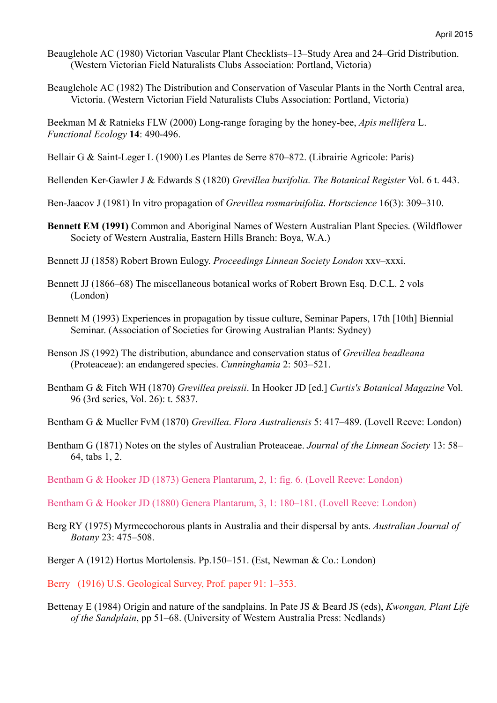- Beauglehole AC (1980) Victorian Vascular Plant Checklists–13–Study Area and 24–Grid Distribution. (Western Victorian Field Naturalists Clubs Association: Portland, Victoria)
- Beauglehole AC (1982) The Distribution and Conservation of Vascular Plants in the North Central area, Victoria. (Western Victorian Field Naturalists Clubs Association: Portland, Victoria)

Beekman M & Ratnieks FLW (2000) Long-range foraging by the honey-bee, *Apis mellifera* L. *Functional Ecology* **14**: 490-496.

Bellair G & Saint-Leger L (1900) Les Plantes de Serre 870–872. (Librairie Agricole: Paris)

Bellenden Ker-Gawler J & Edwards S (1820) *Grevillea buxifolia*. *The Botanical Register* Vol. 6 t. 443.

- Ben-Jaacov J (1981) In vitro propagation of *Grevillea rosmarinifolia*. *Hortscience* 16(3): 309–310.
- **Bennett EM (1991)** Common and Aboriginal Names of Western Australian Plant Species. (Wildflower Society of Western Australia, Eastern Hills Branch: Boya, W.A.)
- Bennett JJ (1858) Robert Brown Eulogy. *Proceedings Linnean Society London* xxv–xxxi.
- Bennett JJ (1866–68) The miscellaneous botanical works of Robert Brown Esq. D.C.L. 2 vols (London)
- Bennett M (1993) Experiences in propagation by tissue culture, Seminar Papers, 17th [10th] Biennial Seminar. (Association of Societies for Growing Australian Plants: Sydney)
- Benson JS (1992) The distribution, abundance and conservation status of *Grevillea beadleana* (Proteaceae): an endangered species. *Cunninghamia* 2: 503–521.
- Bentham G & Fitch WH (1870) *Grevillea preissii*. In Hooker JD [ed.] *Curtis's Botanical Magazine* Vol. 96 (3rd series, Vol. 26): t. 5837.
- Bentham G & Mueller FvM (1870) *Grevillea*. *Flora Australiensis* 5: 417–489. (Lovell Reeve: London)
- Bentham G (1871) Notes on the styles of Australian Proteaceae. *Journal of the Linnean Society* 13: 58– 64, tabs 1, 2.
- Bentham G & Hooker JD (1873) Genera Plantarum, 2, 1: fig. 6. (Lovell Reeve: London)
- Bentham G & Hooker JD (1880) Genera Plantarum, 3, 1: 180–181. (Lovell Reeve: London)
- Berg RY (1975) Myrmecochorous plants in Australia and their dispersal by ants. *Australian Journal of Botany* 23: 475–508.
- Berger A (1912) Hortus Mortolensis. Pp.150–151. (Est, Newman & Co.: London)

Berry (1916) U.S. Geological Survey, Prof. paper 91: 1–353.

Bettenay E (1984) Origin and nature of the sandplains. In Pate JS & Beard JS (eds), *Kwongan, Plant Life of the Sandplain*, pp 51–68. (University of Western Australia Press: Nedlands)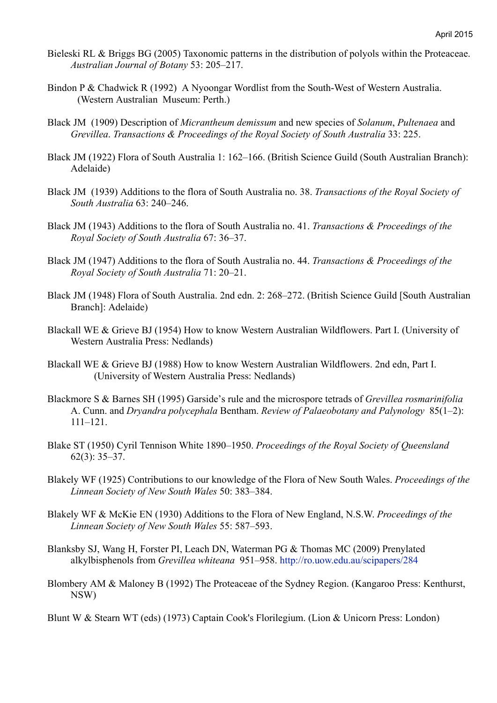- Bieleski RL & Briggs BG (2005) Taxonomic patterns in the distribution of polyols within the Proteaceae. *Australian Journal of Botany* 53: 205–217.
- Bindon P & Chadwick R (1992) A Nyoongar Wordlist from the South-West of Western Australia. (Western Australian Museum: Perth.)
- Black JM (1909) Description of *Micrantheum demissum* and new species of *Solanum*, *Pultenaea* and *Grevillea*. *Transactions & Proceedings of the Royal Society of South Australia* 33: 225.
- Black JM (1922) Flora of South Australia 1: 162–166. (British Science Guild (South Australian Branch): Adelaide)
- Black JM (1939) Additions to the flora of South Australia no. 38. *Transactions of the Royal Society of South Australia* 63: 240–246.
- Black JM (1943) Additions to the flora of South Australia no. 41. *Transactions & Proceedings of the Royal Society of South Australia* 67: 36–37.
- Black JM (1947) Additions to the flora of South Australia no. 44. *Transactions & Proceedings of the Royal Society of South Australia* 71: 20–21.
- Black JM (1948) Flora of South Australia. 2nd edn. 2: 268–272. (British Science Guild [South Australian Branch]: Adelaide)
- Blackall WE & Grieve BJ (1954) How to know Western Australian Wildflowers. Part I. (University of Western Australia Press: Nedlands)
- Blackall WE & Grieve BJ (1988) How to know Western Australian Wildflowers. 2nd edn, Part I. (University of Western Australia Press: Nedlands)
- Blackmore S & Barnes SH (1995) Garside's rule and the microspore tetrads of *Grevillea rosmarinifolia* A. Cunn. and *Dryandra polycephala* Bentham. *Review of Palaeobotany and Palynology* 85(1–2): 111–121.
- Blake ST (1950) Cyril Tennison White 1890–1950. *Proceedings of the Royal Society of Queensland* 62(3): 35–37.
- Blakely WF (1925) Contributions to our knowledge of the Flora of New South Wales. *Proceedings of the Linnean Society of New South Wales* 50: 383–384.
- Blakely WF & McKie EN (1930) Additions to the Flora of New England, N.S.W. *Proceedings of the Linnean Society of New South Wales* 55: 587–593.
- Blanksby SJ, Wang H, Forster PI, Leach DN, Waterman PG & Thomas MC (2009) Prenylated alkylbisphenols from *Grevillea whiteana* 951–958. http://ro.uow.edu.au/scipapers/284
- Blombery AM & Maloney B (1992) The Proteaceae of the Sydney Region. (Kangaroo Press: Kenthurst, NSW)

Blunt W & Stearn WT (eds) (1973) Captain Cook's Florilegium. (Lion & Unicorn Press: London)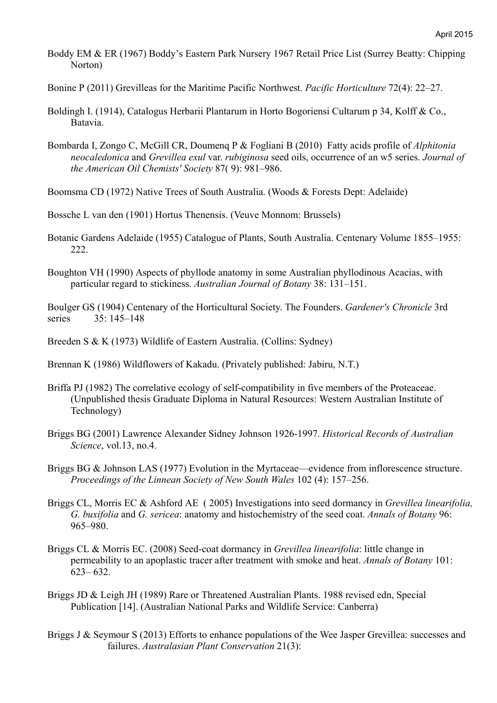Boddy EM & ER (1967) Boddy's Eastern Park Nursery 1967 Retail Price List (Surrey Beatty: Chipping Norton)

Bonine P (2011) Grevilleas for the Maritime Pacific Northwest. *Pacific Horticulture* 72(4): 22–27.

- Boldingh I. (1914), Catalogus Herbarii Plantarum in Horto Bogoriensi Cultarum p 34, Kolff & Co., Batavia.
- Bombarda I, Zongo C, McGill CR, Doumenq P & Fogliani B (2010) Fatty acids profile of *Alphitonia neocaledonica* and *Grevillea exul* var. *rubiginosa* seed oils, occurrence of an w5 series. *Journal of the American Oil Chemists' Society* 87( 9): 981–986.

Boomsma CD (1972) Native Trees of South Australia. (Woods & Forests Dept: Adelaide)

Bossche L van den (1901) Hortus Thenensis. (Veuve Monnom: Brussels)

- Botanic Gardens Adelaide (1955) Catalogue of Plants, South Australia. Centenary Volume 1855–1955: 222.
- Boughton VH (1990) Aspects of phyllode anatomy in some Australian phyllodinous Acacias, with particular regard to stickiness. *Australian Journal of Botany* 38: 131–151.

Boulger GS (1904) Centenary of the Horticultural Society. The Founders. *Gardener's Chronicle* 3rd series 35: 145–148

Breeden S & K (1973) Wildlife of Eastern Australia. (Collins: Sydney)

Brennan K (1986) Wildflowers of Kakadu. (Privately published: Jabiru, N.T.)

- Briffa PJ (1982) The correlative ecology of self-compatibility in five members of the Proteaceae. (Unpublished thesis Graduate Diploma in Natural Resources: Western Australian Institute of Technology)
- Briggs BG (2001) Lawrence Alexander Sidney Johnson 1926-1997. *Historical Records of Australian Science*, vol.13, no.4.
- Briggs BG & Johnson LAS (1977) Evolution in the Myrtaceae—evidence from inflorescence structure. *Proceedings of the Linnean Society of New South Wales* 102 (4): 157–256.
- Briggs CL, Morris EC & Ashford AE ( 2005) Investigations into seed dormancy in *Grevillea linearifolia, G. buxifolia* and *G. sericea*: anatomy and histochemistry of the seed coat. *Annals of Botany* 96: 965–980.
- Briggs CL & Morris EC. (2008) Seed-coat dormancy in *Grevillea linearifolia*: little change in permeability to an apoplastic tracer after treatment with smoke and heat. *Annals of Botany* 101: 623– 632.
- Briggs JD & Leigh JH (1989) Rare or Threatened Australian Plants. 1988 revised edn, Special Publication [14]. (Australian National Parks and Wildlife Service: Canberra)
- Briggs J & Seymour S (2013) Efforts to enhance populations of the Wee Jasper Grevillea: successes and failures. *Australasian Plant Conservation* 21(3):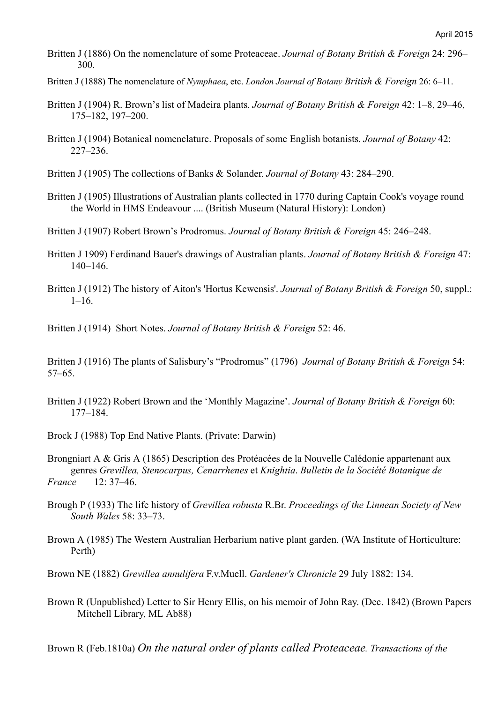- Britten J (1886) On the nomenclature of some Proteaceae. *Journal of Botany British & Foreign* 24: 296– 300.
- Britten J (1888) The nomenclature of *Nymphaea*, etc. *London Journal of Botany British & Foreign* 26: 6–11.
- Britten J (1904) R. Brown's list of Madeira plants. *Journal of Botany British & Foreign* 42: 1–8, 29–46, 175–182, 197–200.
- Britten J (1904) Botanical nomenclature. Proposals of some English botanists. *Journal of Botany* 42: 227–236.
- Britten J (1905) The collections of Banks & Solander. *Journal of Botany* 43: 284–290.
- Britten J (1905) Illustrations of Australian plants collected in 1770 during Captain Cook's voyage round the World in HMS Endeavour .... (British Museum (Natural History): London)
- Britten J (1907) Robert Brown's Prodromus. *Journal of Botany British & Foreign* 45: 246–248.
- Britten J 1909) Ferdinand Bauer's drawings of Australian plants. *Journal of Botany British & Foreign* 47: 140–146.
- Britten J (1912) The history of Aiton's 'Hortus Kewensis'. *Journal of Botany British & Foreign* 50, suppl.:  $1 - 16$ .

Britten J (1914) Short Notes. *Journal of Botany British & Foreign* 52: 46.

Britten J (1916) The plants of Salisbury's "Prodromus" (1796) *Journal of Botany British & Foreign* 54: 57–65.

- Britten J (1922) Robert Brown and the 'Monthly Magazine'. *Journal of Botany British & Foreign* 60: 177–184.
- Brock J (1988) Top End Native Plants. (Private: Darwin)
- Brongniart A & Gris A (1865) Description des Protéacées de la Nouvelle Calédonie appartenant aux genres *Grevillea, Stenocarpus, Cenarrhenes* et *Knightia*. *Bulletin de la Société Botanique de France* 12: 37–46.
- Brough P (1933) The life history of *Grevillea robusta* R.Br. *Proceedings of the Linnean Society of New South Wales* 58: 33–73.
- Brown A (1985) The Western Australian Herbarium native plant garden. (WA Institute of Horticulture: Perth)
- Brown NE (1882) *Grevillea annulifera* F.v.Muell. *Gardener's Chronicle* 29 July 1882: 134.
- Brown R (Unpublished) Letter to Sir Henry Ellis, on his memoir of John Ray. (Dec. 1842) (Brown Papers Mitchell Library, ML Ab88)

Brown R (Feb.1810a) *On the natural order of plants called Proteaceae. Transactions of the*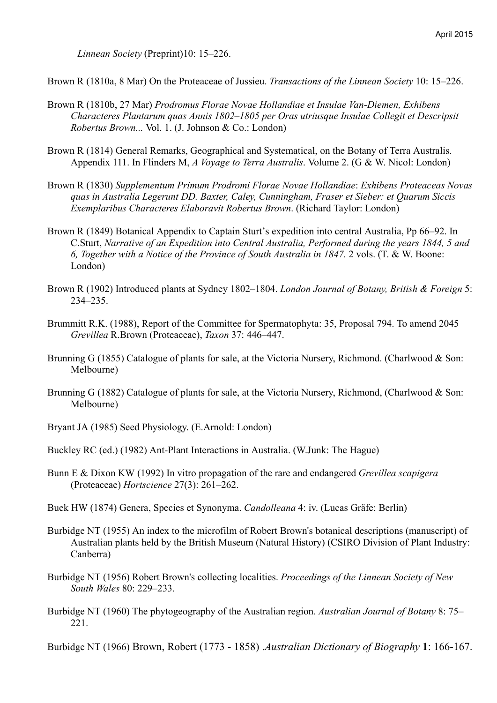*Linnean Society* (Preprint)10: 15–226.

Brown R (1810a, 8 Mar) On the Proteaceae of Jussieu. *Transactions of the Linnean Society* 10: 15–226.

- Brown R (1810b, 27 Mar) *Prodromus Florae Novae Hollandiae et Insulae Van-Diemen, Exhibens Characteres Plantarum quas Annis 1802–1805 per Oras utriusque Insulae Collegit et Descripsit Robertus Brown...* Vol. 1. (J. Johnson & Co.: London)
- Brown R (1814) General Remarks, Geographical and Systematical, on the Botany of Terra Australis. Appendix 111. In Flinders M, *A Voyage to Terra Australis*. Volume 2. (G & W. Nicol: London)
- Brown R (1830) *Supplementum Primum Prodromi Florae Novae Hollandiae*: *Exhibens Proteaceas Novas quas in Australia Legerunt DD. Baxter, Caley, Cunningham, Fraser et Sieber: et Quarum Siccis Exemplaribus Characteres Elaboravit Robertus Brown*. (Richard Taylor: London)
- Brown R (1849) Botanical Appendix to Captain Sturt's expedition into central Australia, Pp 66–92. In C.Sturt, *Narrative of an Expedition into Central Australia, Performed during the years 1844, 5 and 6, Together with a Notice of the Province of South Australia in 1847.* 2 vols. (T. & W. Boone: London)
- Brown R (1902) Introduced plants at Sydney 1802–1804. *London Journal of Botany, British & Foreign* 5: 234–235.
- Brummitt R.K. (1988), Report of the Committee for Spermatophyta: 35, Proposal 794. To amend 2045 *Grevillea* R.Brown (Proteaceae), *Taxon* 37: 446–447.
- Brunning G (1855) Catalogue of plants for sale, at the Victoria Nursery, Richmond. (Charlwood & Son: Melbourne)
- Brunning G (1882) Catalogue of plants for sale, at the Victoria Nursery, Richmond, (Charlwood & Son: Melbourne)
- Bryant JA (1985) Seed Physiology. (E.Arnold: London)
- Buckley RC (ed.) (1982) Ant-Plant Interactions in Australia. (W.Junk: The Hague)
- Bunn E & Dixon KW (1992) In vitro propagation of the rare and endangered *Grevillea scapigera* (Proteaceae) *Hortscience* 27(3): 261–262.
- Buek HW (1874) Genera, Species et Synonyma. *Candolleana* 4: iv. (Lucas Gräfe: Berlin)
- Burbidge NT (1955) An index to the microfilm of Robert Brown's botanical descriptions (manuscript) of Australian plants held by the British Museum (Natural History) (CSIRO Division of Plant Industry: Canberra)
- Burbidge NT (1956) Robert Brown's collecting localities. *Proceedings of the Linnean Society of New South Wales* 80: 229–233.
- Burbidge NT (1960) The phytogeography of the Australian region. *Australian Journal of Botany* 8: 75– 221.

Burbidge NT (1966) Brown, Robert (1773 - 1858) .*Australian Dictionary of Biography* **1**: 166-167.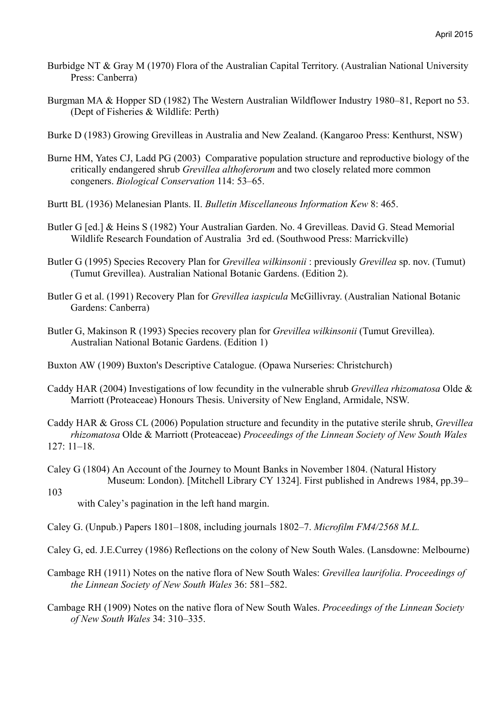- Burbidge NT & Gray M (1970) Flora of the Australian Capital Territory. (Australian National University Press: Canberra)
- Burgman MA & Hopper SD (1982) The Western Australian Wildflower Industry 1980–81, Report no 53. (Dept of Fisheries & Wildlife: Perth)
- Burke D (1983) Growing Grevilleas in Australia and New Zealand. (Kangaroo Press: Kenthurst, NSW)
- Burne HM, Yates CJ, Ladd PG (2003) Comparative population structure and reproductive biology of the critically endangered shrub *Grevillea althoferorum* and two closely related more common congeners. *Biological Conservation* 114: 53–65.
- Burtt BL (1936) Melanesian Plants. II. *Bulletin Miscellaneous Information Kew* 8: 465.
- Butler G [ed.] & Heins S (1982) Your Australian Garden. No. 4 Grevilleas. David G. Stead Memorial Wildlife Research Foundation of Australia 3rd ed. (Southwood Press: Marrickville)
- Butler G (1995) Species Recovery Plan for *Grevillea wilkinsonii* : previously *Grevillea* sp. nov. (Tumut) (Tumut Grevillea). Australian National Botanic Gardens. (Edition 2).
- Butler G et al. (1991) Recovery Plan for *Grevillea iaspicula* McGillivray. (Australian National Botanic Gardens: Canberra)
- Butler G, Makinson R (1993) Species recovery plan for *Grevillea wilkinsonii* (Tumut Grevillea). Australian National Botanic Gardens. (Edition 1)
- Buxton AW (1909) Buxton's Descriptive Catalogue. (Opawa Nurseries: Christchurch)
- Caddy HAR (2004) Investigations of low fecundity in the vulnerable shrub *Grevillea rhizomatosa* Olde & Marriott (Proteaceae) Honours Thesis. University of New England, Armidale, NSW.
- Caddy HAR & Gross CL (2006) Population structure and fecundity in the putative sterile shrub, *Grevillea rhizomatosa* Olde & Marriott (Proteaceae) *Proceedings of the Linnean Society of New South Wales* 127: 11–18.
- Caley G (1804) An Account of the Journey to Mount Banks in November 1804. (Natural History Museum: London). [Mitchell Library CY 1324]. First published in Andrews 1984, pp.39–
	- with Caley's pagination in the left hand margin.

103

- Caley G. (Unpub.) Papers 1801–1808, including journals 1802–7. *Microfilm FM4/2568 M.L.*
- Caley G, ed. J.E.Currey (1986) Reflections on the colony of New South Wales. (Lansdowne: Melbourne)
- Cambage RH (1911) Notes on the native flora of New South Wales: *Grevillea laurifolia*. *Proceedings of the Linnean Society of New South Wales* 36: 581–582.
- Cambage RH (1909) Notes on the native flora of New South Wales. *Proceedings of the Linnean Society of New South Wales* 34: 310–335.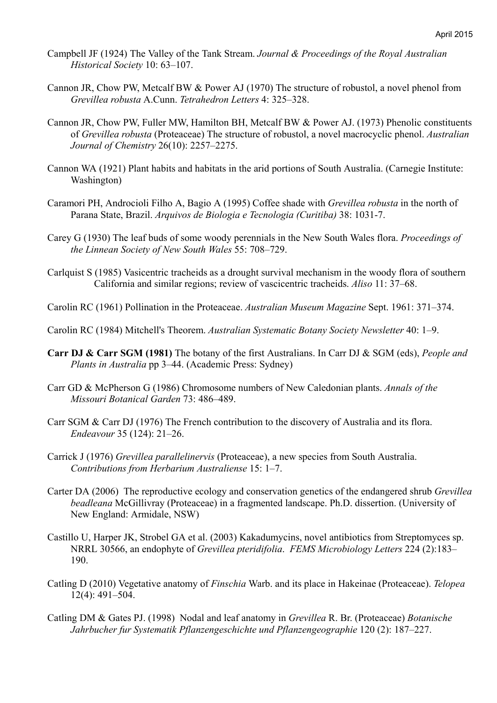- Campbell JF (1924) The Valley of the Tank Stream. *Journal & Proceedings of the Royal Australian Historical Society* 10: 63–107.
- Cannon JR, Chow PW, Metcalf BW & Power AJ (1970) The structure of robustol, a novel phenol from *Grevillea robusta* A.Cunn. *Tetrahedron Letters* 4: 325–328.
- Cannon JR, Chow PW, Fuller MW, Hamilton BH, Metcalf BW & Power AJ. (1973) Phenolic constituents of *Grevillea robusta* (Proteaceae) The structure of robustol, a novel macrocyclic phenol. *Australian Journal of Chemistry* 26(10): 2257–2275.
- Cannon WA (1921) Plant habits and habitats in the arid portions of South Australia. (Carnegie Institute: Washington)
- Caramori PH, Androcioli Filho A, Bagio A (1995) Coffee shade with *Grevillea robusta* in the north of Parana State, Brazil. *Arquivos de Biologia e Tecnologia (Curitiba)* 38: 1031-7.
- Carey G (1930) The leaf buds of some woody perennials in the New South Wales flora. *Proceedings of the Linnean Society of New South Wales* 55: 708–729.
- Carlquist S (1985) Vasicentric tracheids as a drought survival mechanism in the woody flora of southern California and similar regions; review of vascicentric tracheids. *Aliso* 11: 37–68.

Carolin RC (1961) Pollination in the Proteaceae. *Australian Museum Magazine* Sept. 1961: 371–374.

Carolin RC (1984) Mitchell's Theorem. *Australian Systematic Botany Society Newsletter* 40: 1–9.

- **Carr DJ & Carr SGM (1981)** The botany of the first Australians. In Carr DJ & SGM (eds), *People and Plants in Australia* pp 3–44. (Academic Press: Sydney)
- Carr GD & McPherson G (1986) Chromosome numbers of New Caledonian plants. *Annals of the Missouri Botanical Garden* 73: 486–489.
- Carr SGM & Carr DJ (1976) The French contribution to the discovery of Australia and its flora. *Endeavour* 35 (124): 21–26.
- Carrick J (1976) *Grevillea parallelinervis* (Proteaceae), a new species from South Australia. *Contributions from Herbarium Australiense* 15: 1–7.
- Carter DA (2006) The reproductive ecology and conservation genetics of the endangered shrub *Grevillea beadleana* McGillivray (Proteaceae) in a fragmented landscape. Ph.D. dissertion. (University of New England: Armidale, NSW)
- Castillo U, Harper JK, Strobel GA et al. (2003) Kakadumycins, novel antibiotics from Streptomyces sp. NRRL 30566, an endophyte of *Grevillea pteridifolia*. *FEMS Microbiology Letters* 224 (2):183– 190.
- Catling D (2010) Vegetative anatomy of *Finschia* Warb. and its place in Hakeinae (Proteaceae). *Telopea* 12(4): 491–504.
- Catling DM & Gates PJ. (1998) Nodal and leaf anatomy in *Grevillea* R. Br. (Proteaceae) *Botanische Jahrbucher fur Systematik Pflanzengeschichte und Pflanzengeographie* 120 (2): 187–227.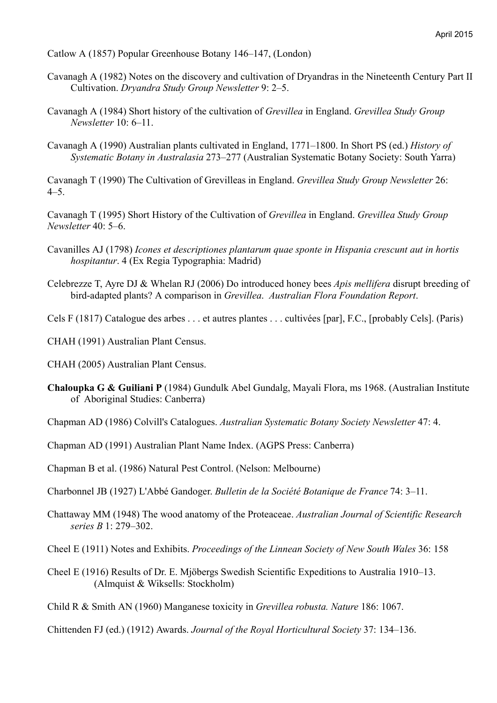Catlow A (1857) Popular Greenhouse Botany 146–147, (London)

- Cavanagh A (1982) Notes on the discovery and cultivation of Dryandras in the Nineteenth Century Part II Cultivation. *Dryandra Study Group Newsletter* 9: 2–5.
- Cavanagh A (1984) Short history of the cultivation of *Grevillea* in England. *Grevillea Study Group Newsletter* 10: 6–11.
- Cavanagh A (1990) Australian plants cultivated in England, 1771–1800. In Short PS (ed.) *History of Systematic Botany in Australasia* 273–277 (Australian Systematic Botany Society: South Yarra)

Cavanagh T (1990) The Cultivation of Grevilleas in England. *Grevillea Study Group Newsletter* 26: 4–5.

Cavanagh T (1995) Short History of the Cultivation of *Grevillea* in England. *Grevillea Study Group Newsletter* 40: 5–6.

- Cavanilles AJ (1798) *Icones et descriptiones plantarum quae sponte in Hispania crescunt aut in hortis hospitantur*. 4 (Ex Regia Typographia: Madrid)
- Celebrezze T, Ayre DJ & Whelan RJ (2006) Do introduced honey bees *Apis mellifera* disrupt breeding of bird-adapted plants? A comparison in *Grevillea*. *Australian Flora Foundation Report*.
- Cels F (1817) Catalogue des arbes . . . et autres plantes . . . cultivées [par], F.C., [probably Cels]. (Paris)

CHAH (1991) Australian Plant Census.

CHAH (2005) Australian Plant Census.

**Chaloupka G & Guiliani P** (1984) Gundulk Abel Gundalg, Mayali Flora, ms 1968. (Australian Institute of Aboriginal Studies: Canberra)

Chapman AD (1986) Colvill's Catalogues. *Australian Systematic Botany Society Newsletter* 47: 4.

- Chapman AD (1991) Australian Plant Name Index. (AGPS Press: Canberra)
- Chapman B et al. (1986) Natural Pest Control. (Nelson: Melbourne)
- Charbonnel JB (1927) L'Abbé Gandoger. *Bulletin de la Société Botanique de France* 74: 3–11.
- Chattaway MM (1948) The wood anatomy of the Proteaceae. *Australian Journal of Scientific Research series B* 1: 279–302.

Cheel E (1911) Notes and Exhibits. *Proceedings of the Linnean Society of New South Wales* 36: 158

Cheel E (1916) Results of Dr. E. Mjöbergs Swedish Scientific Expeditions to Australia 1910–13. (Almquist & Wiksells: Stockholm)

Child R & Smith AN (1960) Manganese toxicity in *Grevillea robusta. Nature* 186: 1067.

Chittenden FJ (ed.) (1912) Awards. *Journal of the Royal Horticultural Society* 37: 134–136.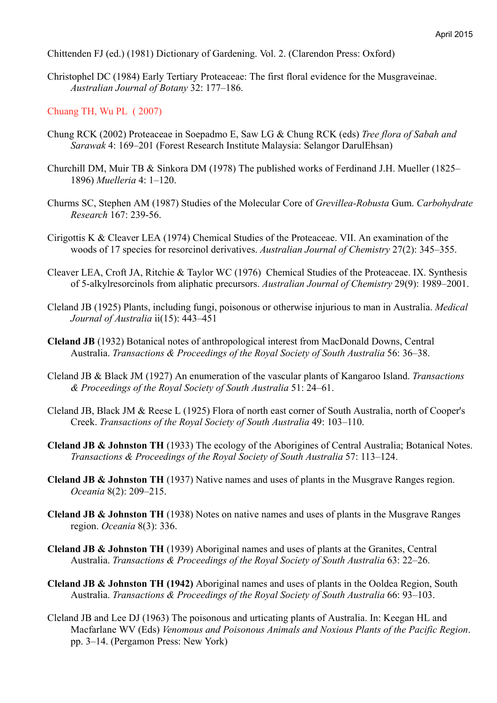Chittenden FJ (ed.) (1981) Dictionary of Gardening. Vol. 2. (Clarendon Press: Oxford)

Christophel DC (1984) Early Tertiary Proteaceae: The first floral evidence for the Musgraveinae. *Australian Journal of Botany* 32: 177–186.

Chuang TH, Wu PL ( 2007)

- Chung RCK (2002) Proteaceae in Soepadmo E, Saw LG & Chung RCK (eds) *Tree flora of Sabah and Sarawak* 4: 169–201 (Forest Research Institute Malaysia: Selangor DarulEhsan)
- Churchill DM, Muir TB & Sinkora DM (1978) The published works of Ferdinand J.H. Mueller (1825– 1896) *Muelleria* 4: 1–120.
- Churms SC, Stephen AM (1987) Studies of the Molecular Core of *Grevillea-Robusta* Gum. *Carbohydrate Research* 167: 239-56.
- Cirigottis K & Cleaver LEA (1974) Chemical Studies of the Proteaceae. VII. An examination of the woods of 17 species for resorcinol derivatives. *Australian Journal of Chemistry* 27(2): 345–355.
- Cleaver LEA, Croft JA, Ritchie & Taylor WC (1976) Chemical Studies of the Proteaceae. IX. Synthesis of 5-alkylresorcinols from aliphatic precursors. *Australian Journal of Chemistry* 29(9): 1989–2001.
- Cleland JB (1925) Plants, including fungi, poisonous or otherwise injurious to man in Australia. *Medical Journal of Australia* ii(15): 443–451
- **Cleland JB** (1932) Botanical notes of anthropological interest from MacDonald Downs, Central Australia. *Transactions & Proceedings of the Royal Society of South Australia* 56: 36–38.
- Cleland JB & Black JM (1927) An enumeration of the vascular plants of Kangaroo Island. *Transactions & Proceedings of the Royal Society of South Australia* 51: 24–61.
- Cleland JB, Black JM & Reese L (1925) Flora of north east corner of South Australia, north of Cooper's Creek. *Transactions of the Royal Society of South Australia* 49: 103–110.
- **Cleland JB & Johnston TH** (1933) The ecology of the Aborigines of Central Australia; Botanical Notes. *Transactions & Proceedings of the Royal Society of South Australia* 57: 113–124.
- **Cleland JB & Johnston TH** (1937) Native names and uses of plants in the Musgrave Ranges region. *Oceania* 8(2): 209–215.
- **Cleland JB & Johnston TH** (1938) Notes on native names and uses of plants in the Musgrave Ranges region. *Oceania* 8(3): 336.
- **Cleland JB & Johnston TH** (1939) Aboriginal names and uses of plants at the Granites, Central Australia. *Transactions & Proceedings of the Royal Society of South Australia* 63: 22–26.
- **Cleland JB & Johnston TH (1942)** Aboriginal names and uses of plants in the Ooldea Region, South Australia. *Transactions & Proceedings of the Royal Society of South Australia* 66: 93–103.
- Cleland JB and Lee DJ (1963) The poisonous and urticating plants of Australia. In: Keegan HL and Macfarlane WV (Eds) *Venomous and Poisonous Animals and Noxious Plants of the Pacific Region*. pp. 3–14. (Pergamon Press: New York)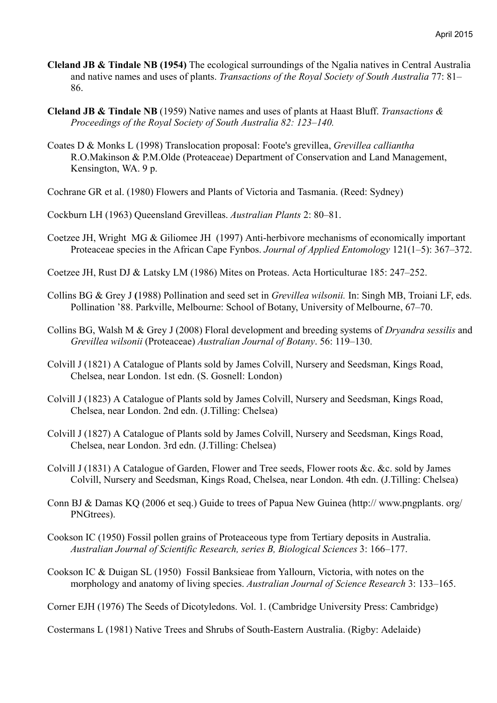- **Cleland JB & Tindale NB (1954)** The ecological surroundings of the Ngalia natives in Central Australia and native names and uses of plants. *Transactions of the Royal Society of South Australia* 77: 81– 86.
- **Cleland JB & Tindale NB** (1959) Native names and uses of plants at Haast Bluff. *Transactions & Proceedings of the Royal Society of South Australia 82: 123–140.*
- Coates D & Monks L (1998) Translocation proposal: Foote's grevillea, *Grevillea calliantha* R.O.Makinson & P.M.Olde (Proteaceae) Department of Conservation and Land Management, Kensington, WA. 9 p.
- Cochrane GR et al. (1980) Flowers and Plants of Victoria and Tasmania. (Reed: Sydney)
- Cockburn LH (1963) Queensland Grevilleas. *Australian Plants* 2: 80–81.
- Coetzee JH, Wright MG & Giliomee JH (1997) Anti-herbivore mechanisms of economically important Proteaceae species in the African Cape Fynbos. *Journal of Applied Entomology* 121(1–5): 367–372.
- Coetzee JH, Rust DJ & Latsky LM (1986) Mites on Proteas. Acta Horticulturae 185: 247–252.
- Collins BG & Grey J **(**1988) Pollination and seed set in *Grevillea wilsonii.* In: Singh MB, Troiani LF, eds. Pollination '88. Parkville, Melbourne: School of Botany, University of Melbourne, 67–70.
- Collins BG, Walsh M & Grey J (2008) Floral development and breeding systems of *Dryandra sessilis* and *Grevillea wilsonii* (Proteaceae) *Australian Journal of Botany*. 56: 119–130.
- Colvill J (1821) A Catalogue of Plants sold by James Colvill, Nursery and Seedsman, Kings Road, Chelsea, near London. 1st edn. (S. Gosnell: London)
- Colvill J (1823) A Catalogue of Plants sold by James Colvill, Nursery and Seedsman, Kings Road, Chelsea, near London. 2nd edn. (J.Tilling: Chelsea)
- Colvill J (1827) A Catalogue of Plants sold by James Colvill, Nursery and Seedsman, Kings Road, Chelsea, near London. 3rd edn. (J.Tilling: Chelsea)
- Colvill J (1831) A Catalogue of Garden, Flower and Tree seeds, Flower roots &c. &c. sold by James Colvill, Nursery and Seedsman, Kings Road, Chelsea, near London. 4th edn. (J.Tilling: Chelsea)
- Conn BJ & Damas KQ (2006 et seq.) Guide to trees of Papua New Guinea (http:// www.pngplants. org/ PNGtrees).
- Cookson IC (1950) Fossil pollen grains of Proteaceous type from Tertiary deposits in Australia. *Australian Journal of Scientific Research, series B, Biological Sciences* 3: 166–177.
- Cookson IC & Duigan SL (1950) Fossil Banksieae from Yallourn, Victoria, with notes on the morphology and anatomy of living species. *Australian Journal of Science Research* 3: 133–165.

Corner EJH (1976) The Seeds of Dicotyledons. Vol. 1. (Cambridge University Press: Cambridge)

Costermans L (1981) Native Trees and Shrubs of South-Eastern Australia. (Rigby: Adelaide)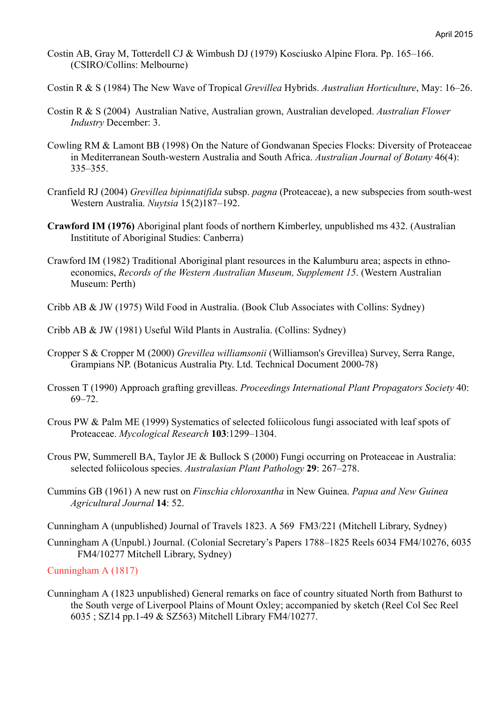- Costin AB, Gray M, Totterdell CJ & Wimbush DJ (1979) Kosciusko Alpine Flora. Pp. 165–166. (CSIRO/Collins: Melbourne)
- Costin R & S (1984) The New Wave of Tropical *Grevillea* Hybrids. *Australian Horticulture*, May: 16–26.
- Costin R & S (2004) Australian Native, Australian grown, Australian developed. *Australian Flower Industry* December: 3.
- Cowling RM & Lamont BB (1998) On the Nature of Gondwanan Species Flocks: Diversity of Proteaceae in Mediterranean South-western Australia and South Africa. *Australian Journal of Botany* 46(4): 335–355.
- Cranfield RJ (2004) *Grevillea bipinnatifida* subsp. *pagna* (Proteaceae), a new subspecies from south-west Western Australia. *Nuytsia* 15(2)187–192.
- **Crawford IM (1976)** Aboriginal plant foods of northern Kimberley, unpublished ms 432. (Australian Instititute of Aboriginal Studies: Canberra)
- Crawford IM (1982) Traditional Aboriginal plant resources in the Kalumburu area; aspects in ethnoeconomics, *Records of the Western Australian Museum, Supplement 15*. (Western Australian Museum: Perth)
- Cribb AB & JW (1975) Wild Food in Australia. (Book Club Associates with Collins: Sydney)
- Cribb AB & JW (1981) Useful Wild Plants in Australia. (Collins: Sydney)
- Cropper S & Cropper M (2000) *Grevillea williamsonii* (Williamson's Grevillea) Survey, Serra Range, Grampians NP. (Botanicus Australia Pty. Ltd. Technical Document 2000-78)
- Crossen T (1990) Approach grafting grevilleas. *Proceedings International Plant Propagators Society* 40: 69–72.
- Crous PW & Palm ME (1999) Systematics of selected foliicolous fungi associated with leaf spots of Proteaceae. *Mycological Research* **103**:1299–1304.
- Crous PW, Summerell BA, Taylor JE & Bullock S (2000) Fungi occurring on Proteaceae in Australia: selected foliicolous species. *Australasian Plant Pathology* **29**: 267–278.
- Cummins GB (1961) A new rust on *Finschia chloroxantha* in New Guinea. *Papua and New Guinea Agricultural Journal* **14**: 52.
- Cunningham A (unpublished) Journal of Travels 1823. A 569 FM3/221 (Mitchell Library, Sydney)
- Cunningham A (Unpubl.) Journal. (Colonial Secretary's Papers 1788–1825 Reels 6034 FM4/10276, 6035 FM4/10277 Mitchell Library, Sydney)

Cunningham A (1817)

Cunningham A (1823 unpublished) General remarks on face of country situated North from Bathurst to the South verge of Liverpool Plains of Mount Oxley; accompanied by sketch (Reel Col Sec Reel 6035 ; SZ14 pp.1-49 & SZ563) Mitchell Library FM4/10277.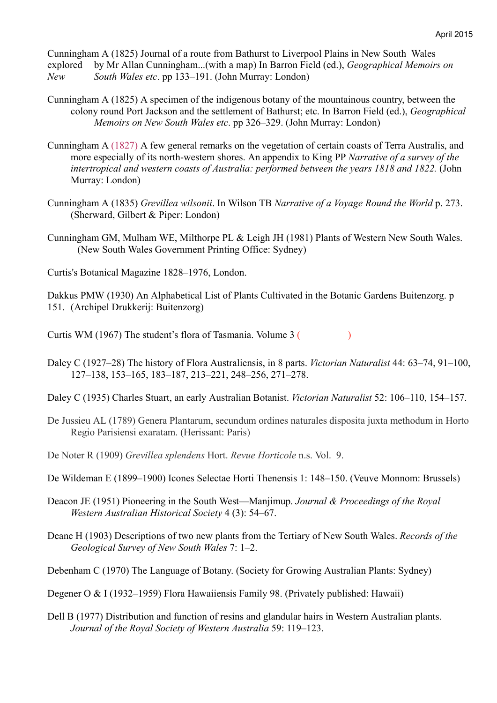Cunningham A (1825) Journal of a route from Bathurst to Liverpool Plains in New South Wales explored by Mr Allan Cunningham...(with a map) In Barron Field (ed.), *Geographical Memoirs on New South Wales etc*. pp 133–191. (John Murray: London)

- Cunningham A (1825) A specimen of the indigenous botany of the mountainous country, between the colony round Port Jackson and the settlement of Bathurst; etc. In Barron Field (ed.), *Geographical Memoirs on New South Wales etc*. pp 326–329. (John Murray: London)
- Cunningham A (1827) A few general remarks on the vegetation of certain coasts of Terra Australis, and more especially of its north-western shores. An appendix to King PP *Narrative of a survey of the intertropical and western coasts of Australia: performed between the years 1818 and 1822.* (John Murray: London)
- Cunningham A (1835) *Grevillea wilsonii*. In Wilson TB *Narrative of a Voyage Round the World* p. 273. (Sherward, Gilbert & Piper: London)
- Cunningham GM, Mulham WE, Milthorpe PL & Leigh JH (1981) Plants of Western New South Wales. (New South Wales Government Printing Office: Sydney)
- Curtis's Botanical Magazine 1828–1976, London.

Dakkus PMW (1930) An Alphabetical List of Plants Cultivated in the Botanic Gardens Buitenzorg. p 151. (Archipel Drukkerij: Buitenzorg)

Curtis WM (1967) The student's flora of Tasmania. Volume 3 ( )

- Daley C (1927–28) The history of Flora Australiensis, in 8 parts. *Victorian Naturalist* 44: 63–74, 91–100, 127–138, 153–165, 183–187, 213–221, 248–256, 271–278.
- Daley C (1935) Charles Stuart, an early Australian Botanist. *Victorian Naturalist* 52: 106–110, 154–157.
- De Jussieu AL (1789) Genera Plantarum, secundum ordines naturales disposita juxta methodum in Horto Regio Parisiensi exaratam. (Herissant: Paris)
- De Noter R (1909) *Grevillea splendens* Hort. *Revue Horticole* n.s. Vol. 9.
- De Wildeman E (1899–1900) Icones Selectae Horti Thenensis 1: 148–150. (Veuve Monnom: Brussels)
- Deacon JE (1951) Pioneering in the South West—Manjimup. *Journal & Proceedings of the Royal Western Australian Historical Society* 4 (3): 54–67.
- Deane H (1903) Descriptions of two new plants from the Tertiary of New South Wales. *Records of the Geological Survey of New South Wales* 7: 1–2.

Debenham C (1970) The Language of Botany. (Society for Growing Australian Plants: Sydney)

Degener O & I (1932–1959) Flora Hawaiiensis Family 98. (Privately published: Hawaii)

Dell B (1977) Distribution and function of resins and glandular hairs in Western Australian plants. *Journal of the Royal Society of Western Australia* 59: 119–123.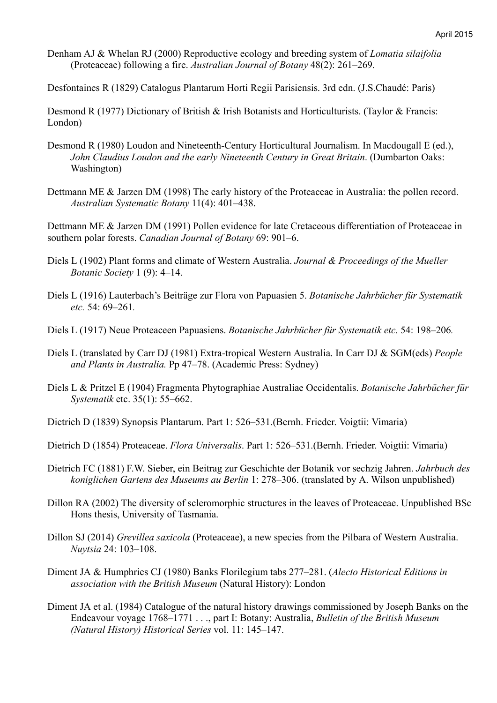Denham AJ & Whelan RJ (2000) Reproductive ecology and breeding system of *Lomatia silaifolia* (Proteaceae) following a fire. *Australian Journal of Botany* 48(2): 261–269.

Desfontaines R (1829) Catalogus Plantarum Horti Regii Parisiensis. 3rd edn. (J.S.Chaudé: Paris)

Desmond R (1977) Dictionary of British & Irish Botanists and Horticulturists. (Taylor & Francis: London)

- Desmond R (1980) Loudon and Nineteenth-Century Horticultural Journalism. In Macdougall E (ed.), *John Claudius Loudon and the early Nineteenth Century in Great Britain*. (Dumbarton Oaks: Washington)
- Dettmann ME & Jarzen DM (1998) The early history of the Proteaceae in Australia: the pollen record. *Australian Systematic Botany* 11(4): 401–438.

Dettmann ME & Jarzen DM (1991) Pollen evidence for late Cretaceous differentiation of Proteaceae in southern polar forests. *Canadian Journal of Botany* 69: 901–6.

- Diels L (1902) Plant forms and climate of Western Australia. *Journal & Proceedings of the Mueller Botanic Society* 1 (9): 4–14.
- Diels L (1916) Lauterbach's Beiträge zur Flora von Papuasien 5. *Botanische Jahrbücher für Systematik etc.* 54: 69–261*.*
- Diels L (1917) Neue Proteaceen Papuasiens. *Botanische Jahrbücher für Systematik etc.* 54: 198–206*.*
- Diels L (translated by Carr DJ (1981) Extra-tropical Western Australia. In Carr DJ & SGM(eds) *People and Plants in Australia.* Pp 47–78. (Academic Press: Sydney)
- Diels L & Pritzel E (1904) Fragmenta Phytographiae Australiae Occidentalis. *Botanische Jahrbücher für Systematik* etc. 35(1): 55–662.
- Dietrich D (1839) Synopsis Plantarum. Part 1: 526–531.(Bernh. Frieder. Voigtii: Vimaria)
- Dietrich D (1854) Proteaceae. *Flora Universalis*. Part 1: 526–531.(Bernh. Frieder. Voigtii: Vimaria)
- Dietrich FC (1881) F.W. Sieber, ein Beitrag zur Geschichte der Botanik vor sechzig Jahren. *Jahrbuch des koniglichen Gartens des Museums au Berlin* 1: 278–306. (translated by A. Wilson unpublished)
- Dillon RA (2002) The diversity of scleromorphic structures in the leaves of Proteaceae. Unpublished BSc Hons thesis, University of Tasmania.
- Dillon SJ (2014) *Grevillea saxicola* (Proteaceae), a new species from the Pilbara of Western Australia. *Nuytsia* 24: 103–108.
- Diment JA & Humphries CJ (1980) Banks Florilegium tabs 277–281. (*Alecto Historical Editions in association with the British Museum* (Natural History): London
- Diment JA et al. (1984) Catalogue of the natural history drawings commissioned by Joseph Banks on the Endeavour voyage 1768–1771 . . ., part I: Botany: Australia, *Bulletin of the British Museum (Natural History) Historical Series* vol. 11: 145–147.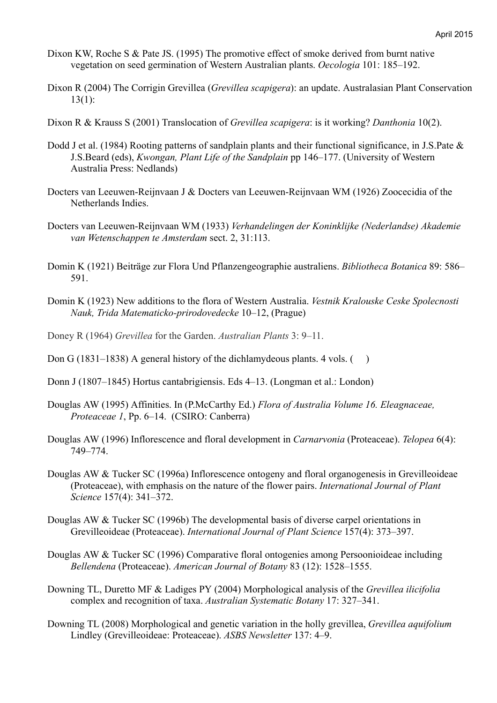- Dixon KW, Roche S & Pate JS. (1995) The promotive effect of smoke derived from burnt native vegetation on seed germination of Western Australian plants. *Oecologia* 101: 185–192.
- Dixon R (2004) The Corrigin Grevillea (*Grevillea scapigera*): an update. Australasian Plant Conservation  $13(1)$ :
- Dixon R & Krauss S (2001) Translocation of *Grevillea scapigera*: is it working? *Danthonia* 10(2).
- Dodd J et al. (1984) Rooting patterns of sandplain plants and their functional significance, in J.S.Pate & J.S.Beard (eds), *Kwongan, Plant Life of the Sandplain* pp 146–177. (University of Western Australia Press: Nedlands)
- Docters van Leeuwen-Reijnvaan J & Docters van Leeuwen-Reijnvaan WM (1926) Zoocecidia of the Netherlands Indies.
- Docters van Leeuwen-Reijnvaan WM (1933) *Verhandelingen der Koninklijke (Nederlandse) Akademie van Wetenschappen te Amsterdam* sect. 2, 31:113.
- Domin K (1921) Beiträge zur Flora Und Pflanzengeographie australiens. *Bibliotheca Botanica* 89: 586– 591.
- Domin K (1923) New additions to the flora of Western Australia. *Vestnik Kralouske Ceske Spolecnosti Nauk, Trida Matematicko-prirodovedecke* 10–12, (Prague)
- Doney R (1964) *Grevillea* for the Garden. *Australian Plants* 3: 9–11.
- Don G (1831–1838) A general history of the dichlamydeous plants. 4 yols.  $( )$
- Donn J (1807–1845) Hortus cantabrigiensis. Eds 4–13. (Longman et al.: London)
- Douglas AW (1995) Affinities. In (P.McCarthy Ed.) *Flora of Australia Volume 16. Eleagnaceae, Proteaceae 1*, Pp. 6–14. (CSIRO: Canberra)
- Douglas AW (1996) Inflorescence and floral development in *Carnarvonia* (Proteaceae). *Telopea* 6(4): 749–774.
- Douglas AW & Tucker SC (1996a) Inflorescence ontogeny and floral organogenesis in Grevilleoideae (Proteaceae), with emphasis on the nature of the flower pairs. *International Journal of Plant Science* 157(4): 341–372.
- Douglas AW & Tucker SC (1996b) The developmental basis of diverse carpel orientations in Grevilleoideae (Proteaceae). *International Journal of Plant Science* 157(4): 373–397.
- Douglas AW & Tucker SC (1996) Comparative floral ontogenies among Persoonioideae including *Bellendena* (Proteaceae). *American Journal of Botany* 83 (12): 1528–1555.
- Downing TL, Duretto MF & Ladiges PY (2004) Morphological analysis of the *Grevillea ilicifolia* complex and recognition of taxa. *Australian Systematic Botany* 17: 327–341.
- Downing TL (2008) Morphological and genetic variation in the holly grevillea, *Grevillea aquifolium*  Lindley (Grevilleoideae: Proteaceae). *ASBS Newsletter* 137: 4–9.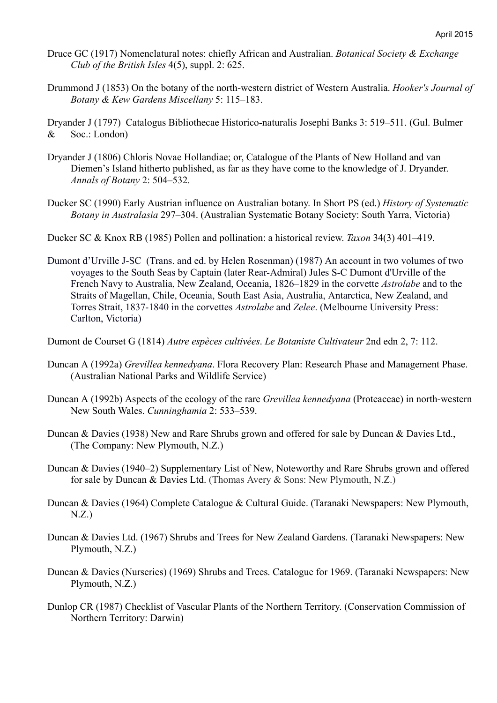- Druce GC (1917) Nomenclatural notes: chiefly African and Australian. *Botanical Society & Exchange Club of the British Isles* 4(5), suppl. 2: 625.
- Drummond J (1853) On the botany of the north-western district of Western Australia. *Hooker's Journal of Botany & Kew Gardens Miscellany* 5: 115–183.

Dryander J (1797) Catalogus Bibliothecae Historico-naturalis Josephi Banks 3: 519–511. (Gul. Bulmer & Soc.: London)

- Dryander J (1806) Chloris Novae Hollandiae; or, Catalogue of the Plants of New Holland and van Diemen's Island hitherto published, as far as they have come to the knowledge of J. Dryander. *Annals of Botany* 2: 504–532.
- Ducker SC (1990) Early Austrian influence on Australian botany. In Short PS (ed.) *History of Systematic Botany in Australasia* 297–304. (Australian Systematic Botany Society: South Yarra, Victoria)
- Ducker SC & Knox RB (1985) Pollen and pollination: a historical review. *Taxon* 34(3) 401–419.
- Dumont d'Urville J-SC (Trans. and ed. by Helen Rosenman) (1987) An account in two volumes of two voyages to the South Seas by Captain (later Rear-Admiral) Jules S-C Dumont d'Urville of the French Navy to Australia, New Zealand, Oceania, 1826–1829 in the corvette *Astrolabe* and to the Straits of Magellan, Chile, Oceania, South East Asia, Australia, Antarctica, New Zealand, and Torres Strait, 1837-1840 in the corvettes *Astrolabe* and *Zelee*. (Melbourne University Press: Carlton, Victoria)
- Dumont de Courset G (1814) *Autre espèces cultivées*. *Le Botaniste Cultivateur* 2nd edn 2, 7: 112.
- Duncan A (1992a) *Grevillea kennedyana*. Flora Recovery Plan: Research Phase and Management Phase. (Australian National Parks and Wildlife Service)
- Duncan A (1992b) Aspects of the ecology of the rare *Grevillea kennedyana* (Proteaceae) in north-western New South Wales. *Cunninghamia* 2: 533–539.
- Duncan & Davies (1938) New and Rare Shrubs grown and offered for sale by Duncan & Davies Ltd., (The Company: New Plymouth, N.Z.)
- Duncan & Davies (1940–2) Supplementary List of New, Noteworthy and Rare Shrubs grown and offered for sale by Duncan & Davies Ltd. (Thomas Avery & Sons: New Plymouth, N.Z.)
- Duncan & Davies (1964) Complete Catalogue & Cultural Guide. (Taranaki Newspapers: New Plymouth,  $N.Z$ .)
- Duncan & Davies Ltd. (1967) Shrubs and Trees for New Zealand Gardens. (Taranaki Newspapers: New Plymouth, N.Z.)
- Duncan & Davies (Nurseries) (1969) Shrubs and Trees. Catalogue for 1969. (Taranaki Newspapers: New Plymouth, N.Z.)
- Dunlop CR (1987) Checklist of Vascular Plants of the Northern Territory. (Conservation Commission of Northern Territory: Darwin)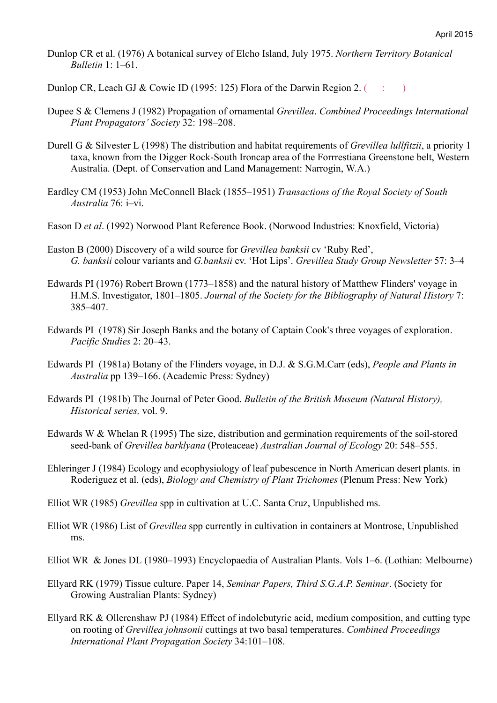Dunlop CR et al. (1976) A botanical survey of Elcho Island, July 1975. *Northern Territory Botanical Bulletin* 1: 1–61.

Dunlop CR, Leach GJ & Cowie ID (1995: 125) Flora of the Darwin Region 2. ( $\qquad$ :

- Dupee S & Clemens J (1982) Propagation of ornamental *Grevillea*. *Combined Proceedings International Plant Propagators' Society* 32: 198–208.
- Durell G & Silvester L (1998) The distribution and habitat requirements of *Grevillea lullfitzii*, a priority 1 taxa, known from the Digger Rock-South Ironcap area of the Forrrestiana Greenstone belt, Western Australia. (Dept. of Conservation and Land Management: Narrogin, W.A.)
- Eardley CM (1953) John McConnell Black (1855–1951) *Transactions of the Royal Society of South Australia* 76: i–vi.
- Eason D *et al*. (1992) Norwood Plant Reference Book. (Norwood Industries: Knoxfield, Victoria)
- Easton B (2000) Discovery of a wild source for *Grevillea banksii* cv 'Ruby Red', *G. banksii* colour variants and *G.banksii* cv. 'Hot Lips'. *Grevillea Study Group Newsletter* 57: 3–4
- Edwards PI (1976) Robert Brown (1773–1858) and the natural history of Matthew Flinders' voyage in H.M.S. Investigator, 1801–1805. *Journal of the Society for the Bibliography of Natural History* 7: 385–407.
- Edwards PI (1978) Sir Joseph Banks and the botany of Captain Cook's three voyages of exploration. *Pacific Studies* 2: 20–43.
- Edwards PI (1981a) Botany of the Flinders voyage, in D.J. & S.G.M.Carr (eds), *People and Plants in Australia* pp 139–166. (Academic Press: Sydney)
- Edwards PI (1981b) The Journal of Peter Good. *Bulletin of the British Museum (Natural History), Historical series,* vol. 9.
- Edwards W & Whelan R (1995) The size, distribution and germination requirements of the soil-stored seed-bank of *Grevillea barklyana* (Proteaceae) *Australian Journal of Ecology* 20: 548–555.
- Ehleringer J (1984) Ecology and ecophysiology of leaf pubescence in North American desert plants. in Roderiguez et al. (eds), *Biology and Chemistry of Plant Trichomes* (Plenum Press: New York)
- Elliot WR (1985) *Grevillea* spp in cultivation at U.C. Santa Cruz, Unpublished ms.
- Elliot WR (1986) List of *Grevillea* spp currently in cultivation in containers at Montrose, Unpublished ms.
- Elliot WR & Jones DL (1980–1993) Encyclopaedia of Australian Plants. Vols 1–6. (Lothian: Melbourne)
- Ellyard RK (1979) Tissue culture. Paper 14, *Seminar Papers, Third S.G.A.P. Seminar*. (Society for Growing Australian Plants: Sydney)
- Ellyard RK & Ollerenshaw PJ (1984) Effect of indolebutyric acid, medium composition, and cutting type on rooting of *Grevillea johnsonii* cuttings at two basal temperatures. *Combined Proceedings International Plant Propagation Society* 34:101–108.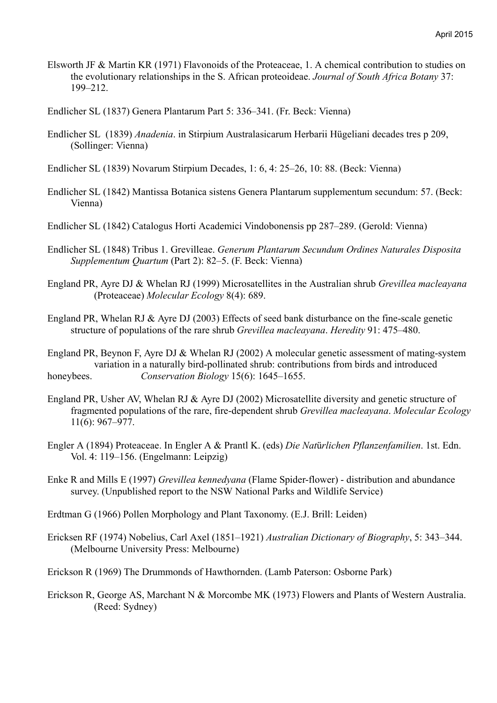- Elsworth JF & Martin KR (1971) Flavonoids of the Proteaceae, 1. A chemical contribution to studies on the evolutionary relationships in the S. African proteoideae. *Journal of South Africa Botany* 37: 199–212.
- Endlicher SL (1837) Genera Plantarum Part 5: 336–341. (Fr. Beck: Vienna)
- Endlicher SL (1839) *Anadenia*. in Stirpium Australasicarum Herbarii Hügeliani decades tres p 209, (Sollinger: Vienna)
- Endlicher SL (1839) Novarum Stirpium Decades, 1: 6, 4: 25–26, 10: 88. (Beck: Vienna)
- Endlicher SL (1842) Mantissa Botanica sistens Genera Plantarum supplementum secundum: 57. (Beck: Vienna)
- Endlicher SL (1842) Catalogus Horti Academici Vindobonensis pp 287–289. (Gerold: Vienna)
- Endlicher SL (1848) Tribus 1. Grevilleae. *Generum Plantarum Secundum Ordines Naturales Disposita Supplementum Quartum* (Part 2): 82–5. (F. Beck: Vienna)
- England PR, Ayre DJ & Whelan RJ (1999) Microsatellites in the Australian shrub *Grevillea macleayana* (Proteaceae) *Molecular Ecology* 8(4): 689.
- England PR, Whelan RJ & Ayre DJ (2003) Effects of seed bank disturbance on the fine-scale genetic structure of populations of the rare shrub *Grevillea macleayana*. *Heredity* 91: 475–480.
- England PR, Beynon F, Ayre DJ & Whelan RJ (2002) A molecular genetic assessment of mating-system variation in a naturally bird-pollinated shrub: contributions from birds and introduced honeybees. *Conservation Biology* 15(6): 1645–1655.
- England PR, Usher AV, Whelan RJ & Ayre DJ (2002) Microsatellite diversity and genetic structure of fragmented populations of the rare, fire-dependent shrub *Grevillea macleayana*. *Molecular Ecology* 11(6): 967–977.
- Engler A (1894) Proteaceae. In Engler A & Prantl K. (eds) *Die Nat*ü*rlichen Pflanzenfamilien*. 1st. Edn. Vol. 4: 119–156. (Engelmann: Leipzig)
- Enke R and Mills E (1997) *Grevillea kennedyana* (Flame Spider-flower) distribution and abundance survey. (Unpublished report to the NSW National Parks and Wildlife Service)
- Erdtman G (1966) Pollen Morphology and Plant Taxonomy. (E.J. Brill: Leiden)
- Ericksen RF (1974) Nobelius, Carl Axel (1851–1921) *Australian Dictionary of Biography*, 5: 343–344. (Melbourne University Press: Melbourne)
- Erickson R (1969) The Drummonds of Hawthornden. (Lamb Paterson: Osborne Park)
- Erickson R, George AS, Marchant N & Morcombe MK (1973) Flowers and Plants of Western Australia. (Reed: Sydney)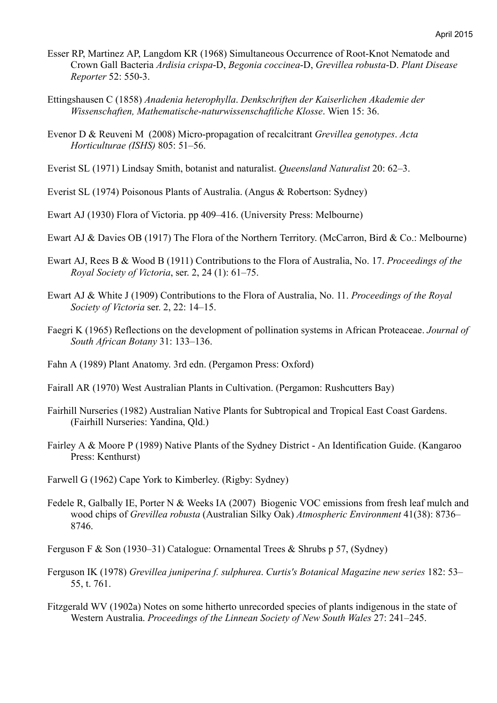- Esser RP, Martinez AP, Langdom KR (1968) Simultaneous Occurrence of Root-Knot Nematode and Crown Gall Bacteria *Ardisia crispa*-D, *Begonia coccinea*-D, *Grevillea robusta*-D. *Plant Disease Reporter* 52: 550-3.
- Ettingshausen C (1858) *Anadenia heterophylla*. *Denkschriften der Kaiserlichen Akademie der Wissenschaften, Mathematische-naturwissenschaftliche Klosse*. Wien 15: 36.
- Evenor D & Reuveni M (2008) Micro-propagation of recalcitrant *Grevillea genotypes*. *Acta Horticulturae (ISHS)* 805: 51–56.
- Everist SL (1971) Lindsay Smith, botanist and naturalist. *Queensland Naturalist* 20: 62–3.
- Everist SL (1974) Poisonous Plants of Australia. (Angus & Robertson: Sydney)
- Ewart AJ (1930) Flora of Victoria. pp 409–416. (University Press: Melbourne)
- Ewart AJ & Davies OB (1917) The Flora of the Northern Territory. (McCarron, Bird & Co.: Melbourne)
- Ewart AJ, Rees B & Wood B (1911) Contributions to the Flora of Australia, No. 17. *Proceedings of the Royal Society of Victoria*, ser. 2, 24 (1): 61–75.
- Ewart AJ & White J (1909) Contributions to the Flora of Australia, No. 11. *Proceedings of the Royal Society of Victoria* ser. 2, 22: 14–15.
- Faegri K (1965) Reflections on the development of pollination systems in African Proteaceae. *Journal of South African Botany* 31: 133–136.
- Fahn A (1989) Plant Anatomy. 3rd edn. (Pergamon Press: Oxford)
- Fairall AR (1970) West Australian Plants in Cultivation. (Pergamon: Rushcutters Bay)
- Fairhill Nurseries (1982) Australian Native Plants for Subtropical and Tropical East Coast Gardens. (Fairhill Nurseries: Yandina, Qld.)
- Fairley A & Moore P (1989) Native Plants of the Sydney District An Identification Guide. (Kangaroo Press: Kenthurst)
- Farwell G (1962) Cape York to Kimberley. (Rigby: Sydney)
- Fedele R, Galbally IE, Porter N & Weeks IA (2007) Biogenic VOC emissions from fresh leaf mulch and wood chips of *Grevillea robusta* (Australian Silky Oak) *Atmospheric Environment* 41(38): 8736– 8746.

Ferguson F & Son (1930–31) Catalogue: Ornamental Trees & Shrubs p 57, (Sydney)

- Ferguson IK (1978) *Grevillea juniperina f. sulphurea*. *Curtis's Botanical Magazine new series* 182: 53– 55, t. 761.
- Fitzgerald WV (1902a) Notes on some hitherto unrecorded species of plants indigenous in the state of Western Australia. *Proceedings of the Linnean Society of New South Wales* 27: 241–245.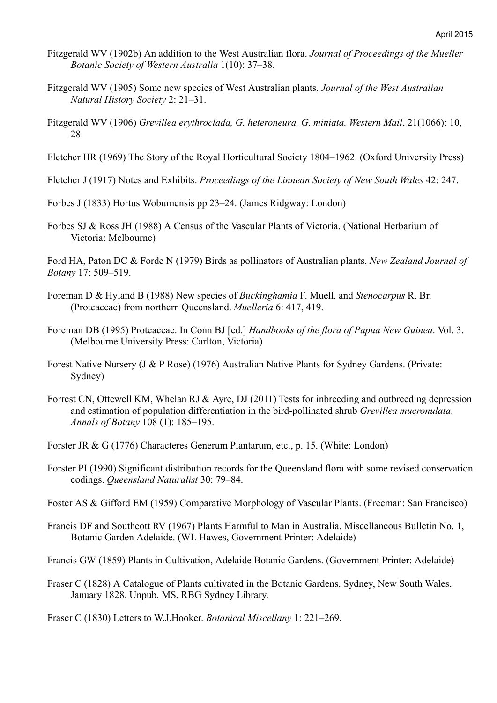- Fitzgerald WV (1902b) An addition to the West Australian flora. *Journal of Proceedings of the Mueller Botanic Society of Western Australia* 1(10): 37–38.
- Fitzgerald WV (1905) Some new species of West Australian plants. *Journal of the West Australian Natural History Society* 2: 21–31.
- Fitzgerald WV (1906) *Grevillea erythroclada, G. heteroneura, G. miniata. Western Mail*, 21(1066): 10, 28.
- Fletcher HR (1969) The Story of the Royal Horticultural Society 1804–1962. (Oxford University Press)

Fletcher J (1917) Notes and Exhibits. *Proceedings of the Linnean Society of New South Wales* 42: 247.

Forbes J (1833) Hortus Woburnensis pp 23–24. (James Ridgway: London)

Forbes SJ & Ross JH (1988) A Census of the Vascular Plants of Victoria. (National Herbarium of Victoria: Melbourne)

Ford HA, Paton DC & Forde N (1979) Birds as pollinators of Australian plants. *New Zealand Journal of Botany* 17: 509–519.

- Foreman D & Hyland B (1988) New species of *Buckinghamia* F. Muell. and *Stenocarpus* R. Br. (Proteaceae) from northern Queensland. *Muelleria* 6: 417, 419.
- Foreman DB (1995) Proteaceae. In Conn BJ [ed.] *Handbooks of the flora of Papua New Guinea*. Vol. 3. (Melbourne University Press: Carlton, Victoria)
- Forest Native Nursery (J & P Rose) (1976) Australian Native Plants for Sydney Gardens. (Private: Sydney)
- Forrest CN, Ottewell KM, Whelan RJ & Ayre, DJ (2011) Tests for inbreeding and outbreeding depression and estimation of population differentiation in the bird-pollinated shrub *Grevillea mucronulata*. *Annals of Botany* 108 (1): 185–195.
- Forster JR & G (1776) Characteres Generum Plantarum, etc., p. 15. (White: London)
- Forster PI (1990) Significant distribution records for the Queensland flora with some revised conservation codings. *Queensland Naturalist* 30: 79–84.
- Foster AS & Gifford EM (1959) Comparative Morphology of Vascular Plants. (Freeman: San Francisco)
- Francis DF and Southcott RV (1967) Plants Harmful to Man in Australia. Miscellaneous Bulletin No. 1, Botanic Garden Adelaide. (WL Hawes, Government Printer: Adelaide)
- Francis GW (1859) Plants in Cultivation, Adelaide Botanic Gardens. (Government Printer: Adelaide)
- Fraser C (1828) A Catalogue of Plants cultivated in the Botanic Gardens, Sydney, New South Wales, January 1828. Unpub. MS, RBG Sydney Library.

Fraser C (1830) Letters to W.J.Hooker. *Botanical Miscellany* 1: 221–269.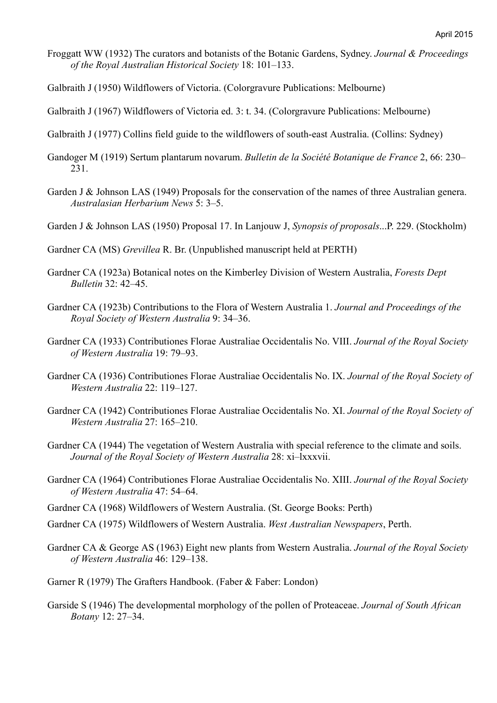- Froggatt WW (1932) The curators and botanists of the Botanic Gardens, Sydney. *Journal & Proceedings of the Royal Australian Historical Society* 18: 101–133.
- Galbraith J (1950) Wildflowers of Victoria. (Colorgravure Publications: Melbourne)
- Galbraith J (1967) Wildflowers of Victoria ed. 3: t. 34. (Colorgravure Publications: Melbourne)
- Galbraith J (1977) Collins field guide to the wildflowers of south-east Australia. (Collins: Sydney)
- Gandoger M (1919) Sertum plantarum novarum. *Bulletin de la Société Botanique de France* 2, 66: 230– 231.
- Garden J & Johnson LAS (1949) Proposals for the conservation of the names of three Australian genera. *Australasian Herbarium News* 5: 3–5.
- Garden J & Johnson LAS (1950) Proposal 17. In Lanjouw J, *Synopsis of proposals*...P. 229. (Stockholm)
- Gardner CA (MS) *Grevillea* R. Br. (Unpublished manuscript held at PERTH)
- Gardner CA (1923a) Botanical notes on the Kimberley Division of Western Australia, *Forests Dept Bulletin* 32: 42–45.
- Gardner CA (1923b) Contributions to the Flora of Western Australia 1. *Journal and Proceedings of the Royal Society of Western Australia* 9: 34–36.
- Gardner CA (1933) Contributiones Florae Australiae Occidentalis No. VIII. *Journal of the Royal Society of Western Australia* 19: 79–93.
- Gardner CA (1936) Contributiones Florae Australiae Occidentalis No. IX. *Journal of the Royal Society of Western Australia* 22: 119–127.
- Gardner CA (1942) Contributiones Florae Australiae Occidentalis No. XI. *Journal of the Royal Society of Western Australia* 27: 165–210.
- Gardner CA (1944) The vegetation of Western Australia with special reference to the climate and soils. *Journal of the Royal Society of Western Australia* 28: xi–lxxxvii.
- Gardner CA (1964) Contributiones Florae Australiae Occidentalis No. XIII. *Journal of the Royal Society of Western Australia* 47: 54–64.
- Gardner CA (1968) Wildflowers of Western Australia. (St. George Books: Perth)
- Gardner CA (1975) Wildflowers of Western Australia. *West Australian Newspapers*, Perth.
- Gardner CA & George AS (1963) Eight new plants from Western Australia. *Journal of the Royal Society of Western Australia* 46: 129–138.
- Garner R (1979) The Grafters Handbook. (Faber & Faber: London)
- Garside S (1946) The developmental morphology of the pollen of Proteaceae. *Journal of South African Botany* 12: 27–34.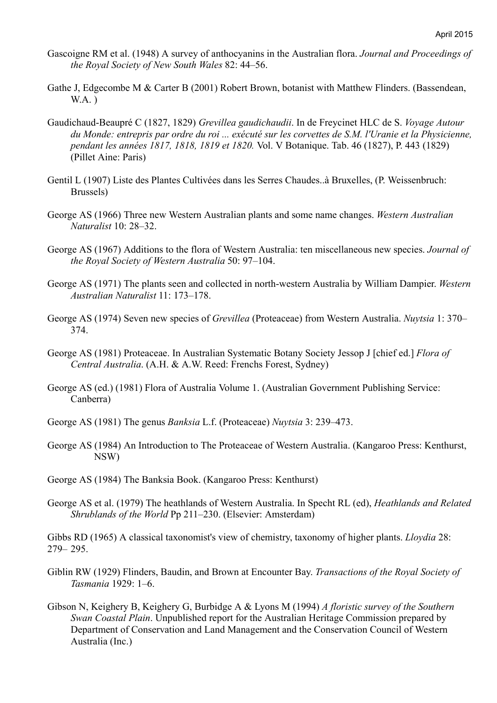- Gascoigne RM et al. (1948) A survey of anthocyanins in the Australian flora. *Journal and Proceedings of the Royal Society of New South Wales* 82: 44–56.
- Gathe J, Edgecombe M & Carter B (2001) Robert Brown, botanist with Matthew Flinders. (Bassendean,  $WA.$ )
- Gaudichaud-Beaupré C (1827, 1829) *Grevillea gaudichaudii*. In de Freycinet HLC de S. *Voyage Autour du Monde: entrepris par ordre du roi ... exécuté sur les corvettes de S.M. l'Uranie et la Physicienne, pendant les années 1817, 1818, 1819 et 1820.* Vol. V Botanique. Tab. 46 (1827), P. 443 (1829) (Pillet Aine: Paris)
- Gentil L (1907) Liste des Plantes Cultivées dans les Serres Chaudes..à Bruxelles, (P. Weissenbruch: Brussels)
- George AS (1966) Three new Western Australian plants and some name changes. *Western Australian Naturalist* 10: 28–32.
- George AS (1967) Additions to the flora of Western Australia: ten miscellaneous new species. *Journal of the Royal Society of Western Australia* 50: 97–104.
- George AS (1971) The plants seen and collected in north-western Australia by William Dampier. *Western Australian Naturalist* 11: 173–178.
- George AS (1974) Seven new species of *Grevillea* (Proteaceae) from Western Australia. *Nuytsia* 1: 370– 374.
- George AS (1981) Proteaceae. In Australian Systematic Botany Society Jessop J [chief ed.] *Flora of Central Australia*. (A.H. & A.W. Reed: Frenchs Forest, Sydney)
- George AS (ed.) (1981) Flora of Australia Volume 1. (Australian Government Publishing Service: Canberra)
- George AS (1981) The genus *Banksia* L.f. (Proteaceae) *Nuytsia* 3: 239–473.
- George AS (1984) An Introduction to The Proteaceae of Western Australia. (Kangaroo Press: Kenthurst, NSW)
- George AS (1984) The Banksia Book. (Kangaroo Press: Kenthurst)
- George AS et al. (1979) The heathlands of Western Australia. In Specht RL (ed), *Heathlands and Related Shrublands of the World* Pp 211–230. (Elsevier: Amsterdam)

Gibbs RD (1965) A classical taxonomist's view of chemistry, taxonomy of higher plants. *Lloydia* 28: 279– 295.

- Giblin RW (1929) Flinders, Baudin, and Brown at Encounter Bay. *Transactions of the Royal Society of Tasmania* 1929: 1–6.
- Gibson N, Keighery B, Keighery G, Burbidge A & Lyons M (1994) *A floristic survey of the Southern Swan Coastal Plain*. Unpublished report for the Australian Heritage Commission prepared by Department of Conservation and Land Management and the Conservation Council of Western Australia (Inc.)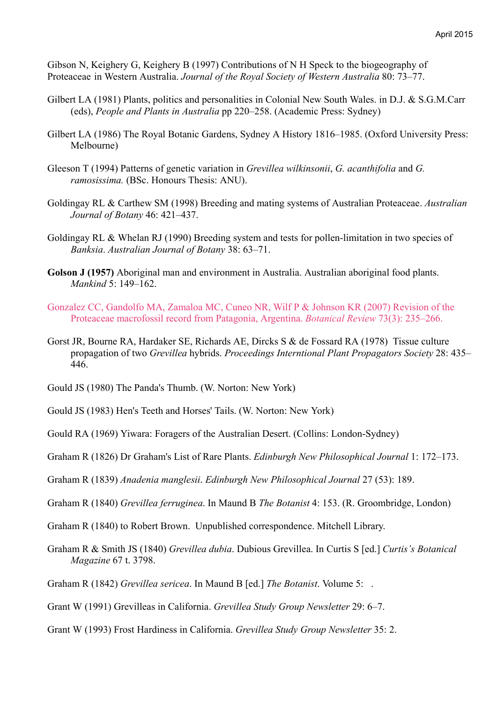Gibson N, Keighery G, Keighery B (1997) Contributions of N H Speck to the biogeography of Proteaceae in Western Australia. *Journal of the Royal Society of Western Australia* 80: 73–77.

- Gilbert LA (1981) Plants, politics and personalities in Colonial New South Wales. in D.J. & S.G.M.Carr (eds), *People and Plants in Australia* pp 220–258. (Academic Press: Sydney)
- Gilbert LA (1986) The Royal Botanic Gardens, Sydney A History 1816–1985. (Oxford University Press: Melbourne)
- Gleeson T (1994) Patterns of genetic variation in *Grevillea wilkinsonii*, *G. acanthifolia* and *G. ramosissima.* (BSc. Honours Thesis: ANU).
- Goldingay RL & Carthew SM (1998) Breeding and mating systems of Australian Proteaceae. *Australian Journal of Botany* 46: 421–437.
- Goldingay RL & Whelan RJ (1990) Breeding system and tests for pollen-limitation in two species of *Banksia*. *Australian Journal of Botany* 38: 63–71.
- **Golson J (1957)** Aboriginal man and environment in Australia. Australian aboriginal food plants. *Mankind* 5: 149–162.
- Gonzalez CC, Gandolfo MA, Zamaloa MC, Cuneo NR, Wilf P & Johnson KR (2007) Revision of the Proteaceae macrofossil record from Patagonia, Argentina. *Botanical Review* 73(3): 235–266.
- Gorst JR, Bourne RA, Hardaker SE, Richards AE, Dircks S & de Fossard RA (1978) Tissue culture propagation of two *Grevillea* hybrids. *Proceedings Interntional Plant Propagators Society* 28: 435– 446.
- Gould JS (1980) The Panda's Thumb. (W. Norton: New York)

Gould JS (1983) Hen's Teeth and Horses' Tails. (W. Norton: New York)

Gould RA (1969) Yiwara: Foragers of the Australian Desert. (Collins: London-Sydney)

Graham R (1826) Dr Graham's List of Rare Plants. *Edinburgh New Philosophical Journal* 1: 172–173.

- Graham R (1839) *Anadenia manglesii*. *Edinburgh New Philosophical Journal* 27 (53): 189.
- Graham R (1840) *Grevillea ferruginea*. In Maund B *The Botanist* 4: 153. (R. Groombridge, London)
- Graham R (1840) to Robert Brown. Unpublished correspondence. Mitchell Library.
- Graham R & Smith JS (1840) *Grevillea dubia*. Dubious Grevillea. In Curtis S [ed.] *Curtis's Botanical Magazine* 67 t. 3798.
- Graham R (1842) *Grevillea sericea*. In Maund B [ed.] *The Botanist*. Volume 5: .
- Grant W (1991) Grevilleas in California. *Grevillea Study Group Newsletter* 29: 6–7.
- Grant W (1993) Frost Hardiness in California. *Grevillea Study Group Newsletter* 35: 2.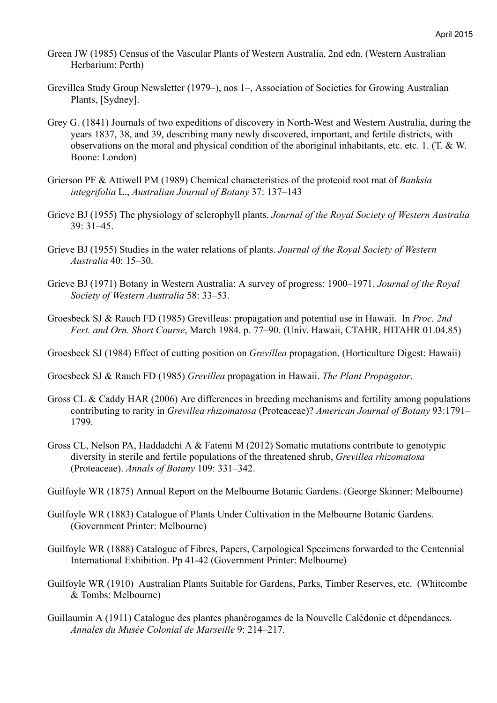- Green JW (1985) Census of the Vascular Plants of Western Australia, 2nd edn. (Western Australian Herbarium: Perth)
- Grevillea Study Group Newsletter (1979–), nos 1–, Association of Societies for Growing Australian Plants, [Sydney].
- Grey G. (1841) Journals of two expeditions of discovery in North-West and Western Australia, during the years 1837, 38, and 39, describing many newly discovered, important, and fertile districts, with observations on the moral and physical condition of the aboriginal inhabitants, etc. etc. 1. (T. & W. Boone: London)
- Grierson PF & Attiwell PM (1989) Chemical characteristics of the proteoid root mat of *Banksia integrifolia* L., *Australian Journal of Botany* 37: 137–143
- Grieve BJ (1955) The physiology of sclerophyll plants. *Journal of the Royal Society of Western Australia* 39: 31–45.
- Grieve BJ (1955) Studies in the water relations of plants. *Journal of the Royal Society of Western Australia* 40: 15–30.
- Grieve BJ (1971) Botany in Western Australia: A survey of progress: 1900–1971. *Journal of the Royal Society of Western Australia* 58: 33–53.
- Groesbeck SJ & Rauch FD (1985) Grevilleas: propagation and potential use in Hawaii. In *Proc. 2nd Fert. and Orn. Short Course*, March 1984. p. 77–90. (Univ. Hawaii, CTAHR, HITAHR 01.04.85)
- Groesbeck SJ (1984) Effect of cutting position on *Grevillea* propagation. (Horticulture Digest: Hawaii)
- Groesbeck SJ & Rauch FD (1985) *Grevillea* propagation in Hawaii. *The Plant Propagator*.
- Gross CL & Caddy HAR (2006) Are differences in breeding mechanisms and fertility among populations contributing to rarity in *Grevillea rhizomatosa* (Proteaceae)? *American Journal of Botany* 93:1791– 1799.
- Gross CL, Nelson PA, Haddadchi A & Fatemi M (2012) Somatic mutations contribute to genotypic diversity in sterile and fertile populations of the threatened shrub, *Grevillea rhizomatosa* (Proteaceae). *Annals of Botany* 109: 331–342.
- Guilfoyle WR (1875) Annual Report on the Melbourne Botanic Gardens. (George Skinner: Melbourne)
- Guilfoyle WR (1883) Catalogue of Plants Under Cultivation in the Melbourne Botanic Gardens. (Government Printer: Melbourne)
- Guilfoyle WR (1888) Catalogue of Fibres, Papers, Carpological Specimens forwarded to the Centennial International Exhibition. Pp 41-42 (Government Printer: Melbourne)
- Guilfoyle WR (1910) Australian Plants Suitable for Gardens, Parks, Timber Reserves, etc. (Whitcombe & Tombs: Melbourne)
- Guillaumin A (1911) Catalogue des plantes phanérogames de la Nouvelle Calédonie et dépendances. *Annales du Musée Colonial de Marseille* 9: 214–217.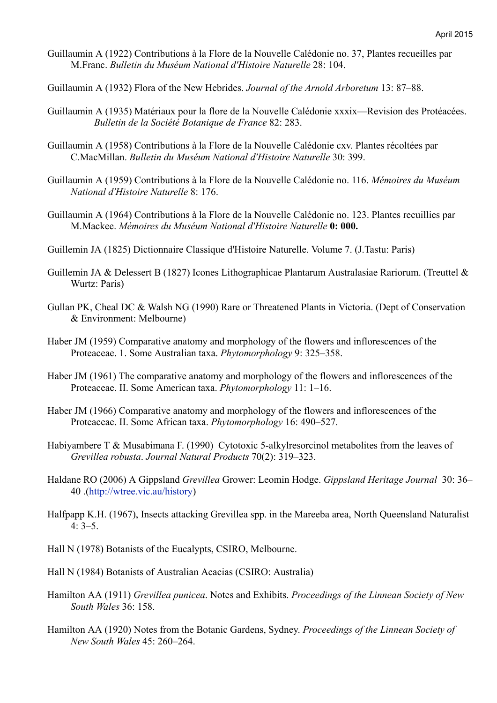- Guillaumin A (1922) Contributions à la Flore de la Nouvelle Calédonie no. 37, Plantes recueilles par M.Franc. *Bulletin du Muséum National d'Histoire Naturelle* 28: 104.
- Guillaumin A (1932) Flora of the New Hebrides. *Journal of the Arnold Arboretum* 13: 87–88.
- Guillaumin A (1935) Matériaux pour la flore de la Nouvelle Calédonie xxxix—Revision des Protéacées. *Bulletin de la Société Botanique de France* 82: 283.
- Guillaumin A (1958) Contributions à la Flore de la Nouvelle Calédonie cxv. Plantes récoltées par C.MacMillan. *Bulletin du Muséum National d'Histoire Naturelle* 30: 399.
- Guillaumin A (1959) Contributions à la Flore de la Nouvelle Calédonie no. 116. *Mémoires du Muséum National d'Histoire Naturelle* 8: 176.
- Guillaumin A (1964) Contributions à la Flore de la Nouvelle Calédonie no. 123. Plantes recuillies par M.Mackee. *Mémoires du Muséum National d'Histoire Naturelle* **0: 000.**
- Guillemin JA (1825) Dictionnaire Classique d'Histoire Naturelle. Volume 7. (J.Tastu: Paris)
- Guillemin JA & Delessert B (1827) Icones Lithographicae Plantarum Australasiae Rariorum. (Treuttel & Wurtz: Paris)
- Gullan PK, Cheal DC & Walsh NG (1990) Rare or Threatened Plants in Victoria. (Dept of Conservation & Environment: Melbourne)
- Haber JM (1959) Comparative anatomy and morphology of the flowers and inflorescences of the Proteaceae. 1. Some Australian taxa. *Phytomorphology* 9: 325–358.
- Haber JM (1961) The comparative anatomy and morphology of the flowers and inflorescences of the Proteaceae. II. Some American taxa. *Phytomorphology* 11: 1–16.
- Haber JM (1966) Comparative anatomy and morphology of the flowers and inflorescences of the Proteaceae. II. Some African taxa. *Phytomorphology* 16: 490–527.
- Habiyambere T & Musabimana F. (1990) Cytotoxic 5-alkylresorcinol metabolites from the leaves of *Grevillea robusta*. *Journal Natural Products* 70(2): 319–323.
- Haldane RO (2006) A Gippsland *Grevillea* Grower: Leomin Hodge. *Gippsland Heritage Journal* 30: 36– 40 .(http://wtree.vic.au/history)
- Halfpapp K.H. (1967), Insects attacking Grevillea spp. in the Mareeba area, North Queensland Naturalist  $4.3 - 5$
- Hall N (1978) Botanists of the Eucalypts, CSIRO, Melbourne.
- Hall N (1984) Botanists of Australian Acacias (CSIRO: Australia)
- Hamilton AA (1911) *Grevillea punicea*. Notes and Exhibits. *Proceedings of the Linnean Society of New South Wales* 36: 158.
- Hamilton AA (1920) Notes from the Botanic Gardens, Sydney. *Proceedings of the Linnean Society of New South Wales* 45: 260–264.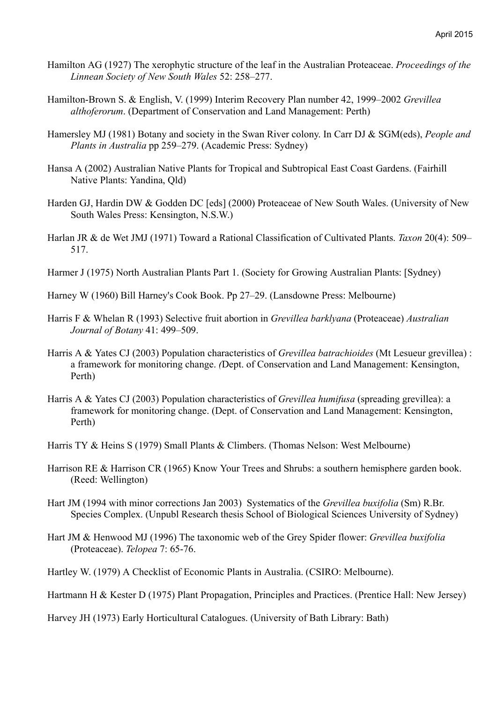- Hamilton AG (1927) The xerophytic structure of the leaf in the Australian Proteaceae. *Proceedings of the Linnean Society of New South Wales* 52: 258–277.
- Hamilton-Brown S. & English, V. (1999) Interim Recovery Plan number 42, 1999–2002 *Grevillea althoferorum*. (Department of Conservation and Land Management: Perth)
- Hamersley MJ (1981) Botany and society in the Swan River colony. In Carr DJ & SGM(eds), *People and Plants in Australia* pp 259–279. (Academic Press: Sydney)
- Hansa A (2002) Australian Native Plants for Tropical and Subtropical East Coast Gardens. (Fairhill Native Plants: Yandina, Qld)
- Harden GJ, Hardin DW & Godden DC [eds] (2000) Proteaceae of New South Wales. (University of New South Wales Press: Kensington, N.S.W.)
- Harlan JR & de Wet JMJ (1971) Toward a Rational Classification of Cultivated Plants. *Taxon* 20(4): 509– 517.
- Harmer J (1975) North Australian Plants Part 1. (Society for Growing Australian Plants: [Sydney)
- Harney W (1960) Bill Harney's Cook Book. Pp 27–29. (Lansdowne Press: Melbourne)
- Harris F & Whelan R (1993) Selective fruit abortion in *Grevillea barklyana* (Proteaceae) *Australian Journal of Botany* 41: 499–509.
- Harris A & Yates CJ (2003) Population characteristics of *Grevillea batrachioides* (Mt Lesueur grevillea) : a framework for monitoring change. *(*Dept. of Conservation and Land Management: Kensington, Perth)
- Harris A & Yates CJ (2003) Population characteristics of *Grevillea humifusa* (spreading grevillea): a framework for monitoring change. (Dept. of Conservation and Land Management: Kensington, Perth)
- Harris TY & Heins S (1979) Small Plants & Climbers. (Thomas Nelson: West Melbourne)
- Harrison RE & Harrison CR (1965) Know Your Trees and Shrubs: a southern hemisphere garden book. (Reed: Wellington)
- Hart JM (1994 with minor corrections Jan 2003) Systematics of the *Grevillea buxifolia* (Sm) R.Br. Species Complex. (Unpubl Research thesis School of Biological Sciences University of Sydney)
- Hart JM & Henwood MJ (1996) The taxonomic web of the Grey Spider flower: *Grevillea buxifolia* (Proteaceae). *Telopea* 7: 65-76.
- Hartley W. (1979) A Checklist of Economic Plants in Australia. (CSIRO: Melbourne).
- Hartmann H & Kester D (1975) Plant Propagation, Principles and Practices. (Prentice Hall: New Jersey)

Harvey JH (1973) Early Horticultural Catalogues. (University of Bath Library: Bath)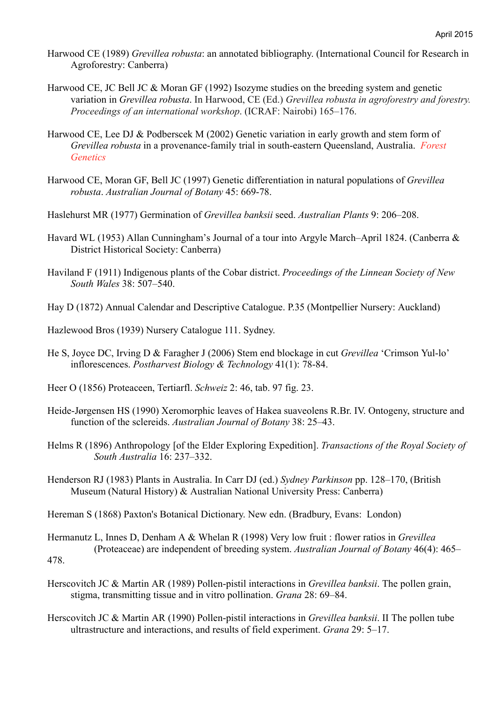- Harwood CE (1989) *Grevillea robusta*: an annotated bibliography. (International Council for Research in Agroforestry: Canberra)
- Harwood CE, JC Bell JC & Moran GF (1992) Isozyme studies on the breeding system and genetic variation in *Grevillea robusta*. In Harwood, CE (Ed.) *Grevillea robusta in agroforestry and forestry. Proceedings of an international workshop*. (ICRAF: Nairobi) 165–176.
- Harwood CE, Lee DJ & Podberscek M (2002) Genetic variation in early growth and stem form of *Grevillea robusta* in a provenance-family trial in south-eastern Queensland, Australia. *Forest Genetics*
- Harwood CE, Moran GF, Bell JC (1997) Genetic differentiation in natural populations of *Grevillea robusta*. *Australian Journal of Botany* 45: 669-78.
- Haslehurst MR (1977) Germination of *Grevillea banksii* seed. *Australian Plants* 9: 206–208.
- Havard WL (1953) Allan Cunningham's Journal of a tour into Argyle March–April 1824. (Canberra & District Historical Society: Canberra)
- Haviland F (1911) Indigenous plants of the Cobar district. *Proceedings of the Linnean Society of New South Wales* 38: 507–540.

Hay D (1872) Annual Calendar and Descriptive Catalogue. P.35 (Montpellier Nursery: Auckland)

- Hazlewood Bros (1939) Nursery Catalogue 111. Sydney.
- He S, Joyce DC, Irving D & Faragher J (2006) Stem end blockage in cut *Grevillea* 'Crimson Yul-lo' inflorescences. *Postharvest Biology & Technology* 41(1): 78-84.
- Heer O (1856) Proteaceen, Tertiarfl. *Schweiz* 2: 46, tab. 97 fig. 23.
- Heide-Jørgensen HS (1990) Xeromorphic leaves of Hakea suaveolens R.Br. IV. Ontogeny, structure and function of the sclereids. *Australian Journal of Botany* 38: 25–43.
- Helms R (1896) Anthropology [of the Elder Exploring Expedition]. *Transactions of the Royal Society of South Australia* 16: 237–332.
- Henderson RJ (1983) Plants in Australia. In Carr DJ (ed.) *Sydney Parkinson* pp. 128–170, (British Museum (Natural History) & Australian National University Press: Canberra)
- Hereman S (1868) Paxton's Botanical Dictionary. New edn. (Bradbury, Evans: London)
- Hermanutz L, Innes D, Denham A & Whelan R (1998) Very low fruit : flower ratios in *Grevillea* (Proteaceae) are independent of breeding system. *Australian Journal of Botany* 46(4): 465– 478.
- Herscovitch JC & Martin AR (1989) Pollen-pistil interactions in *Grevillea banksii*. The pollen grain, stigma, transmitting tissue and in vitro pollination. *Grana* 28: 69–84.
- Herscovitch JC & Martin AR (1990) Pollen-pistil interactions in *Grevillea banksii*. II The pollen tube ultrastructure and interactions, and results of field experiment. *Grana* 29: 5–17.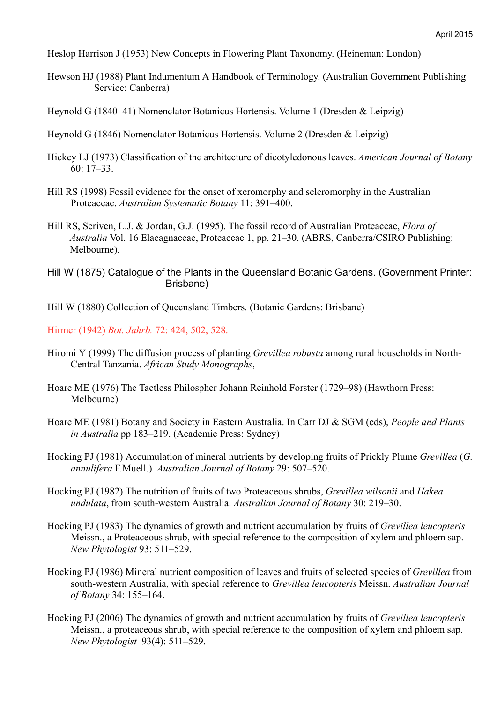Heslop Harrison J (1953) New Concepts in Flowering Plant Taxonomy. (Heineman: London)

Hewson HJ (1988) Plant Indumentum A Handbook of Terminology. (Australian Government Publishing Service: Canberra)

Heynold G (1840–41) Nomenclator Botanicus Hortensis. Volume 1 (Dresden & Leipzig)

- Heynold G (1846) Nomenclator Botanicus Hortensis. Volume 2 (Dresden & Leipzig)
- Hickey LJ (1973) Classification of the architecture of dicotyledonous leaves. *American Journal of Botany* 60: 17–33.
- Hill RS (1998) Fossil evidence for the onset of xeromorphy and scleromorphy in the Australian Proteaceae. *Australian Systematic Botany* 11: 391–400.
- Hill RS, Scriven, L.J. & Jordan, G.J. (1995). The fossil record of Australian Proteaceae, *Flora of Australia* Vol. 16 Elaeagnaceae, Proteaceae 1, pp. 21–30. (ABRS, Canberra/CSIRO Publishing: Melbourne).
- Hill W (1875) Catalogue of the Plants in the Queensland Botanic Gardens. (Government Printer: Brisbane)
- Hill W (1880) Collection of Queensland Timbers. (Botanic Gardens: Brisbane)

Hirmer (1942) *Bot. Jahrb.* 72: 424, 502, 528.

- Hiromi Y (1999) The diffusion process of planting *Grevillea robusta* among rural households in North-Central Tanzania. *African Study Monographs*,
- Hoare ME (1976) The Tactless Philospher Johann Reinhold Forster (1729–98) (Hawthorn Press: Melbourne)
- Hoare ME (1981) Botany and Society in Eastern Australia. In Carr DJ & SGM (eds), *People and Plants in Australia* pp 183–219. (Academic Press: Sydney)
- Hocking PJ (1981) Accumulation of mineral nutrients by developing fruits of Prickly Plume *Grevillea* (*G. annulifera* F.Muell.) *Australian Journal of Botany* 29: 507–520.
- Hocking PJ (1982) The nutrition of fruits of two Proteaceous shrubs, *Grevillea wilsonii* and *Hakea undulata*, from south-western Australia. *Australian Journal of Botany* 30: 219–30.
- Hocking PJ (1983) The dynamics of growth and nutrient accumulation by fruits of *Grevillea leucopteris* Meissn., a Proteaceous shrub, with special reference to the composition of xylem and phloem sap. *New Phytologist* 93: 511–529.
- Hocking PJ (1986) Mineral nutrient composition of leaves and fruits of selected species of *Grevillea* from south-western Australia, with special reference to *Grevillea leucopteris* Meissn. *Australian Journal of Botany* 34: 155–164.
- Hocking PJ (2006) The dynamics of growth and nutrient accumulation by fruits of *Grevillea leucopteris* Meissn., a proteaceous shrub, with special reference to the composition of xylem and phloem sap. *New Phytologist* 93(4): 511–529.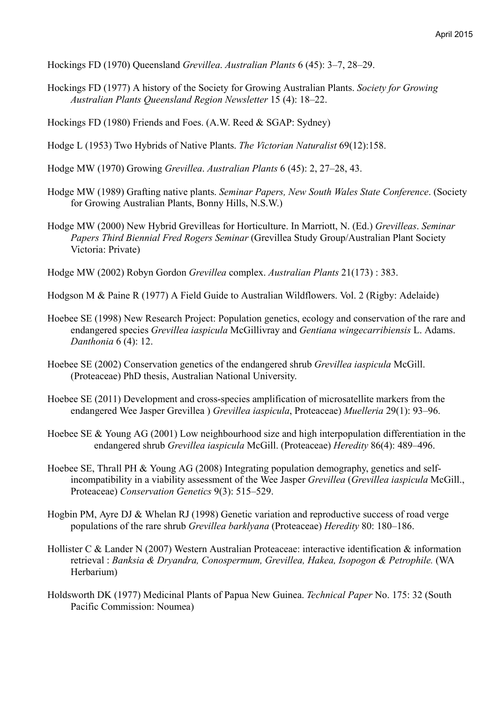Hockings FD (1970) Queensland *Grevillea*. *Australian Plants* 6 (45): 3–7, 28–29.

- Hockings FD (1977) A history of the Society for Growing Australian Plants. *Society for Growing Australian Plants Queensland Region Newsletter* 15 (4): 18–22.
- Hockings FD (1980) Friends and Foes. (A.W. Reed & SGAP: Sydney)
- Hodge L (1953) Two Hybrids of Native Plants. *The Victorian Naturalist* 69(12):158.
- Hodge MW (1970) Growing *Grevillea*. *Australian Plants* 6 (45): 2, 27–28, 43.
- Hodge MW (1989) Grafting native plants. *Seminar Papers, New South Wales State Conference*. (Society for Growing Australian Plants, Bonny Hills, N.S.W.)
- Hodge MW (2000) New Hybrid Grevilleas for Horticulture. In Marriott, N. (Ed.) *Grevilleas*. *Seminar Papers Third Biennial Fred Rogers Seminar* (Grevillea Study Group/Australian Plant Society Victoria: Private)
- Hodge MW (2002) Robyn Gordon *Grevillea* complex. *Australian Plants* 21(173) : 383.

Hodgson M & Paine R (1977) A Field Guide to Australian Wildflowers. Vol. 2 (Rigby: Adelaide)

- Hoebee SE (1998) New Research Project: Population genetics, ecology and conservation of the rare and endangered species *Grevillea iaspicula* McGillivray and *Gentiana wingecarribiensis* L. Adams. *Danthonia* 6 (4): 12.
- Hoebee SE (2002) Conservation genetics of the endangered shrub *Grevillea iaspicula* McGill. (Proteaceae) PhD thesis, Australian National University.
- Hoebee SE (2011) Development and cross-species amplification of microsatellite markers from the endangered Wee Jasper Grevillea ) *Grevillea iaspicula*, Proteaceae) *Muelleria* 29(1): 93–96.
- Hoebee SE & Young AG (2001) Low neighbourhood size and high interpopulation differentiation in the endangered shrub *Grevillea iaspicula* McGill. (Proteaceae) *Heredity* 86(4): 489–496.
- Hoebee SE, Thrall PH & Young AG (2008) Integrating population demography, genetics and selfincompatibility in a viability assessment of the Wee Jasper *Grevillea* (*Grevillea iaspicula* McGill., Proteaceae) *Conservation Genetics* 9(3): 515–529.
- Hogbin PM, Ayre DJ & Whelan RJ (1998) Genetic variation and reproductive success of road verge populations of the rare shrub *Grevillea barklyana* (Proteaceae) *Heredity* 80: 180–186.
- Hollister C & Lander N (2007) Western Australian Proteaceae: interactive identification & information retrieval : *Banksia & Dryandra, Conospermum, Grevillea, Hakea, Isopogon & Petrophile.* (WA Herbarium)
- Holdsworth DK (1977) Medicinal Plants of Papua New Guinea. *Technical Paper* No. 175: 32 (South Pacific Commission: Noumea)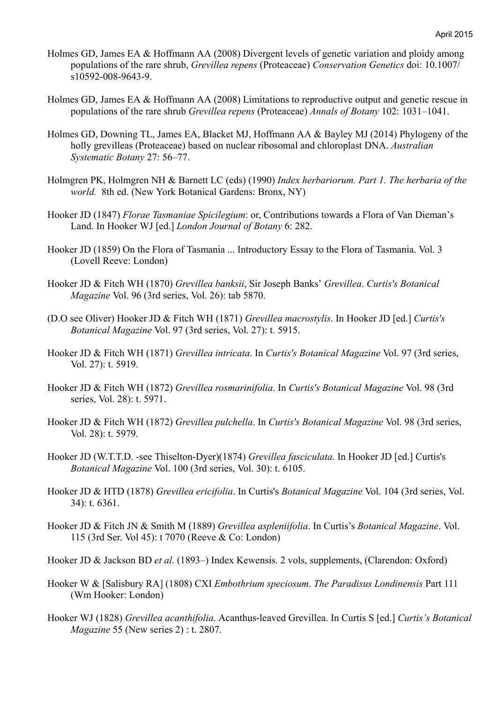- Holmes GD, James EA & Hoffmann AA (2008) Divergent levels of genetic variation and ploidy among populations of the rare shrub, *Grevillea repens* (Proteaceae) *Conservation Genetics* doi: 10.1007/ s10592-008-9643-9.
- Holmes GD, James EA & Hoffmann AA (2008) Limitations to reproductive output and genetic rescue in populations of the rare shrub *Grevillea repens* (Proteaceae) *Annals of Botany* 102: 1031–1041.
- Holmes GD, Downing TL, James EA, Blacket MJ, Hoffmann AA & Bayley MJ (2014) Phylogeny of the holly grevilleas (Proteaceae) based on nuclear ribosomal and chloroplast DNA. *Australian Systematic Botany* 27: 56–77.
- Holmgren PK, Holmgren NH & Barnett LC (eds) (1990) *Index herbariorum. Part 1. The herbaria of the world.* 8th ed. (New York Botanical Gardens: Bronx, NY)
- Hooker JD (1847) *Florae Tasmaniae Spicilegium*: or, Contributions towards a Flora of Van Dieman's Land. In Hooker WJ [ed.] *London Journal of Botany* 6: 282.
- Hooker JD (1859) On the Flora of Tasmania ... Introductory Essay to the Flora of Tasmania. Vol. 3 (Lovell Reeve: London)
- Hooker JD & Fitch WH (1870) *Grevillea banksii*, Sir Joseph Banks' *Grevillea*. *Curtis's Botanical Magazine* Vol. 96 (3rd series, Vol. 26): tab 5870.
- (D.O see Oliver) Hooker JD & Fitch WH (1871) *Grevillea macrostylis*. In Hooker JD [ed.] *Curtis's Botanical Magazine* Vol. 97 (3rd series, Vol. 27): t. 5915.
- Hooker JD & Fitch WH (1871) *Grevillea intricata*. In *Curtis's Botanical Magazine* Vol. 97 (3rd series, Vol. 27): t. 5919.
- Hooker JD & Fitch WH (1872) *Grevillea rosmarinifolia*. In *Curtis's Botanical Magazine* Vol. 98 (3rd series, Vol. 28): t. 5971.
- Hooker JD & Fitch WH (1872) *Grevillea pulchella*. In *Curtis's Botanical Magazine* Vol. 98 (3rd series, Vol. 28): t. 5979.
- Hooker JD (W.T.T.D. -see Thiselton-Dyer)(1874) *Grevillea fasciculata*. In Hooker JD [ed.] Curtis's *Botanical Magazine* Vol. 100 (3rd series, Vol. 30): t. 6105.
- Hooker JD & HTD (1878) *Grevillea ericifolia*. In Curtis's *Botanical Magazine* Vol. 104 (3rd series, Vol. 34): t. 6361.
- Hooker JD & Fitch JN & Smith M (1889) *Grevillea aspleniifolia*. In Curtis's *Botanical Magazine*. Vol. 115 (3rd Ser. Vol 45): t 7070 (Reeve & Co: London)
- Hooker JD & Jackson BD *et al*. (1893–) Index Kewensis. 2 vols, supplements, (Clarendon: Oxford)
- Hooker W & [Salisbury RA] (1808) CXI *Embothrium speciosum*. *The Paradisus Londinensis* Part 111 (Wm Hooker: London)
- Hooker WJ (1828) *Grevillea acanthifolia*. Acanthus-leaved Grevillea. In Curtis S [ed.] *Curtis's Botanical Magazine* 55 (New series 2) : t. 2807.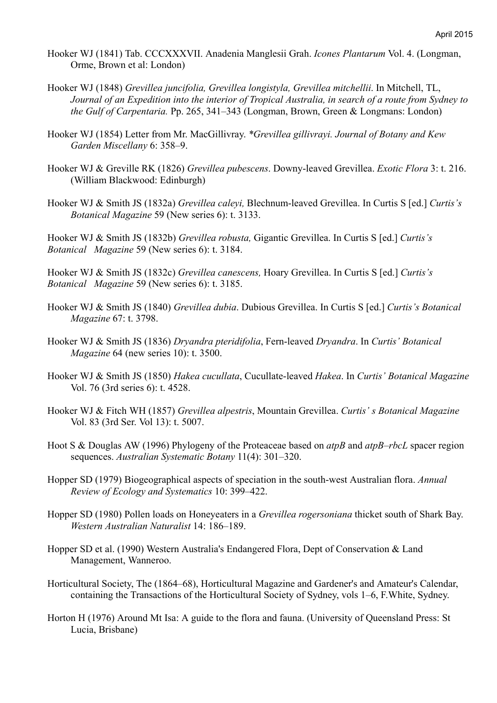- Hooker WJ (1841) Tab. CCCXXXVII. Anadenia Manglesii Grah. *Icones Plantarum* Vol. 4. (Longman, Orme, Brown et al: London)
- Hooker WJ (1848) *Grevillea juncifolia, Grevillea longistyla, Grevillea mitchellii*. In Mitchell, TL, *Journal of an Expedition into the interior of Tropical Australia, in search of a route from Sydney to the Gulf of Carpentaria.* Pp. 265, 341–343 (Longman, Brown, Green & Longmans: London)
- Hooker WJ (1854) Letter from Mr. MacGillivray. *\*Grevillea gillivrayi. Journal of Botany and Kew Garden Miscellany* 6: 358–9.
- Hooker WJ & Greville RK (1826) *Grevillea pubescens*. Downy-leaved Grevillea. *Exotic Flora* 3: t. 216. (William Blackwood: Edinburgh)
- Hooker WJ & Smith JS (1832a) *Grevillea caleyi,* Blechnum-leaved Grevillea. In Curtis S [ed.] *Curtis's Botanical Magazine* 59 (New series 6): t. 3133.

Hooker WJ & Smith JS (1832b) *Grevillea robusta,* Gigantic Grevillea. In Curtis S [ed.] *Curtis's Botanical Magazine* 59 (New series 6): t. 3184.

Hooker WJ & Smith JS (1832c) *Grevillea canescens,* Hoary Grevillea. In Curtis S [ed.] *Curtis's Botanical Magazine* 59 (New series 6): t. 3185.

- Hooker WJ & Smith JS (1840) *Grevillea dubia*. Dubious Grevillea. In Curtis S [ed.] *Curtis's Botanical Magazine* 67: t. 3798.
- Hooker WJ & Smith JS (1836) *Dryandra pteridifolia*, Fern-leaved *Dryandra*. In *Curtis' Botanical Magazine* 64 (new series 10): t. 3500.
- Hooker WJ & Smith JS (1850) *Hakea cucullata*, Cucullate-leaved *Hakea*. In *Curtis' Botanical Magazine* Vol. 76 (3rd series 6): t. 4528.
- Hooker WJ & Fitch WH (1857) *Grevillea alpestris*, Mountain Grevillea. *Curtis' s Botanical Magazine* Vol. 83 (3rd Ser. Vol 13): t. 5007.
- Hoot S & Douglas AW (1996) Phylogeny of the Proteaceae based on *atpB* and *atpB–rbcL* spacer region sequences. *Australian Systematic Botany* 11(4): 301–320.
- Hopper SD (1979) Biogeographical aspects of speciation in the south-west Australian flora. *Annual Review of Ecology and Systematics* 10: 399–422.
- Hopper SD (1980) Pollen loads on Honeyeaters in a *Grevillea rogersoniana* thicket south of Shark Bay. *Western Australian Naturalist* 14: 186–189.
- Hopper SD et al. (1990) Western Australia's Endangered Flora, Dept of Conservation & Land Management, Wanneroo.
- Horticultural Society, The (1864–68), Horticultural Magazine and Gardener's and Amateur's Calendar, containing the Transactions of the Horticultural Society of Sydney, vols 1–6, F.White, Sydney.
- Horton H (1976) Around Mt Isa: A guide to the flora and fauna. (University of Queensland Press: St Lucia, Brisbane)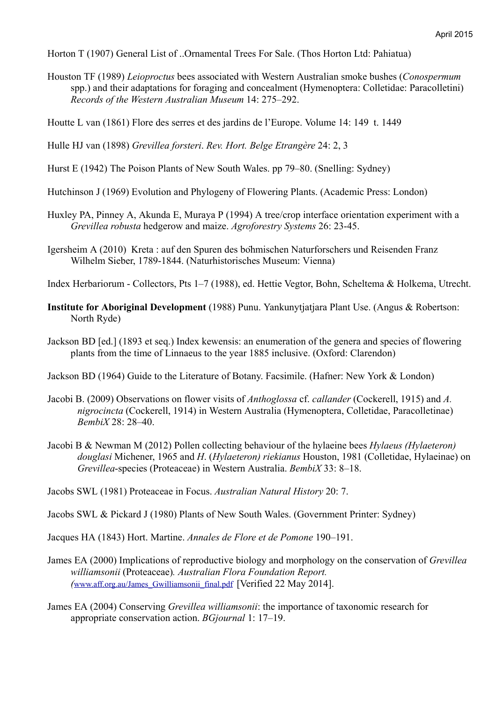Horton T (1907) General List of ..Ornamental Trees For Sale. (Thos Horton Ltd: Pahiatua)

Houston TF (1989) *Leioproctus* bees associated with Western Australian smoke bushes (*Conospermum*  spp.) and their adaptations for foraging and concealment (Hymenoptera: Colletidae: Paracolletini) *Records of the Western Australian Museum* 14: 275–292.

Houtte L van (1861) Flore des serres et des jardins de l'Europe. Volume 14: 149 t. 1449

Hulle HJ van (1898) *Grevillea forsteri*. *Rev. Hort. Belge Etrangère* 24: 2, 3

- Hurst E (1942) The Poison Plants of New South Wales. pp 79–80. (Snelling: Sydney)
- Hutchinson J (1969) Evolution and Phylogeny of Flowering Plants. (Academic Press: London)
- Huxley PA, Pinney A, Akunda E, Muraya P (1994) A tree/crop interface orientation experiment with a *Grevillea robusta* hedgerow and maize. *Agroforestry Systems* 26: 23-45.
- Igersheim A (2010) Kreta : auf den Spuren des böhmischen Naturforschers und Reisenden Franz Wilhelm Sieber, 1789-1844. (Naturhistorisches Museum: Vienna)

Index Herbariorum - Collectors, Pts 1–7 (1988), ed. Hettie Vegtor, Bohn, Scheltema & Holkema, Utrecht.

- **Institute for Aboriginal Development** (1988) Punu. Yankunytjatjara Plant Use. (Angus & Robertson: North Ryde)
- Jackson BD [ed.] (1893 et seq.) Index kewensis: an enumeration of the genera and species of flowering plants from the time of Linnaeus to the year 1885 inclusive. (Oxford: Clarendon)

Jackson BD (1964) Guide to the Literature of Botany. Facsimile. (Hafner: New York & London)

- Jacobi B. (2009) Observations on flower visits of *Anthoglossa* cf. *callander* (Cockerell, 1915) and *A. nigrocincta* (Cockerell, 1914) in Western Australia (Hymenoptera, Colletidae, Paracolletinae) *BembiX* 28: 28–40.
- Jacobi B & Newman M (2012) Pollen collecting behaviour of the hylaeine bees *Hylaeus (Hylaeteron) douglasi* Michener, 1965 and *H*. (*Hylaeteron) riekianus* Houston, 1981 (Colletidae, Hylaeinae) on *Grevillea*-species (Proteaceae) in Western Australia. *BembiX* 33: 8–18.

Jacobs SWL (1981) Proteaceae in Focus. *Australian Natural History* 20: 7.

Jacobs SWL & Pickard J (1980) Plants of New South Wales. (Government Printer: Sydney)

Jacques HA (1843) Hort. Martine. *Annales de Flore et de Pomone* 190–191.

- James EA (2000) Implications of reproductive biology and morphology on the conservation of *Grevillea williamsonii* (Proteaceae)*. Australian Flora Foundation Report. (*www.aff.org.au/James\_Gwilliamsonii\_final.pdf [Verified 22 May 2014].
- James EA (2004) Conserving *Grevillea williamsonii*: the importance of taxonomic research for appropriate conservation action. *BGjournal* 1: 17–19.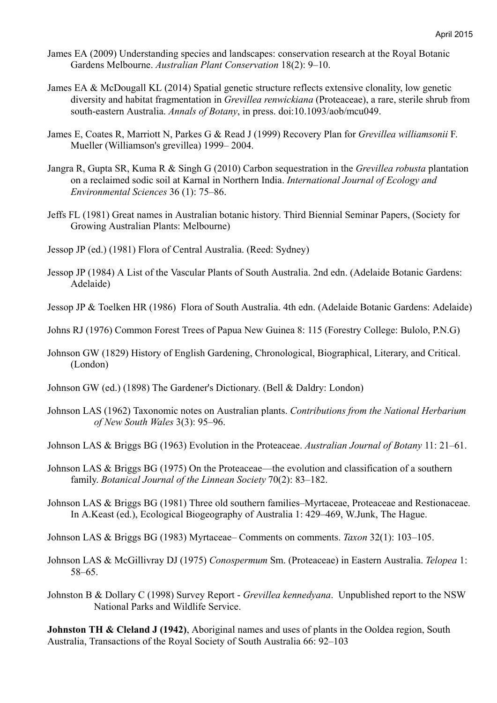- James EA (2009) Understanding species and landscapes: conservation research at the Royal Botanic Gardens Melbourne. *Australian Plant Conservation* 18(2): 9–10.
- James EA & McDougall KL (2014) Spatial genetic structure reflects extensive clonality, low genetic diversity and habitat fragmentation in *Grevillea renwickiana* (Proteaceae), a rare, sterile shrub from south-eastern Australia. *Annals of Botany*, in press. doi:10.1093/aob/mcu049.
- James E, Coates R, Marriott N, Parkes G & Read J (1999) Recovery Plan for *Grevillea williamsonii* F. Mueller (Williamson's grevillea) 1999– 2004.
- Jangra R, Gupta SR, Kuma R & Singh G (2010) Carbon sequestration in the *Grevillea robusta* plantation on a reclaimed sodic soil at Karnal in Northern India. *International Journal of Ecology and Environmental Sciences* 36 (1): 75–86.
- Jeffs FL (1981) Great names in Australian botanic history. Third Biennial Seminar Papers, (Society for Growing Australian Plants: Melbourne)
- Jessop JP (ed.) (1981) Flora of Central Australia. (Reed: Sydney)
- Jessop JP (1984) A List of the Vascular Plants of South Australia. 2nd edn. (Adelaide Botanic Gardens: Adelaide)
- Jessop JP & Toelken HR (1986) Flora of South Australia. 4th edn. (Adelaide Botanic Gardens: Adelaide)
- Johns RJ (1976) Common Forest Trees of Papua New Guinea 8: 115 (Forestry College: Bulolo, P.N.G)
- Johnson GW (1829) History of English Gardening, Chronological, Biographical, Literary, and Critical. (London)
- Johnson GW (ed.) (1898) The Gardener's Dictionary. (Bell & Daldry: London)
- Johnson LAS (1962) Taxonomic notes on Australian plants. *Contributions from the National Herbarium of New South Wales* 3(3): 95–96.

Johnson LAS & Briggs BG (1963) Evolution in the Proteaceae. *Australian Journal of Botany* 11: 21–61.

- Johnson LAS & Briggs BG (1975) On the Proteaceae—the evolution and classification of a southern family. *Botanical Journal of the Linnean Society* 70(2): 83–182.
- Johnson LAS & Briggs BG (1981) Three old southern families–Myrtaceae, Proteaceae and Restionaceae. In A.Keast (ed.), Ecological Biogeography of Australia 1: 429–469, W.Junk, The Hague.
- Johnson LAS & Briggs BG (1983) Myrtaceae– Comments on comments. *Taxon* 32(1): 103–105.
- Johnson LAS & McGillivray DJ (1975) *Conospermum* Sm. (Proteaceae) in Eastern Australia. *Telopea* 1: 58–65.
- Johnston B & Dollary C (1998) Survey Report *Grevillea kennedyana*. Unpublished report to the NSW National Parks and Wildlife Service.

**Johnston TH & Cleland J (1942)**, Aboriginal names and uses of plants in the Ooldea region, South Australia, Transactions of the Royal Society of South Australia 66: 92–103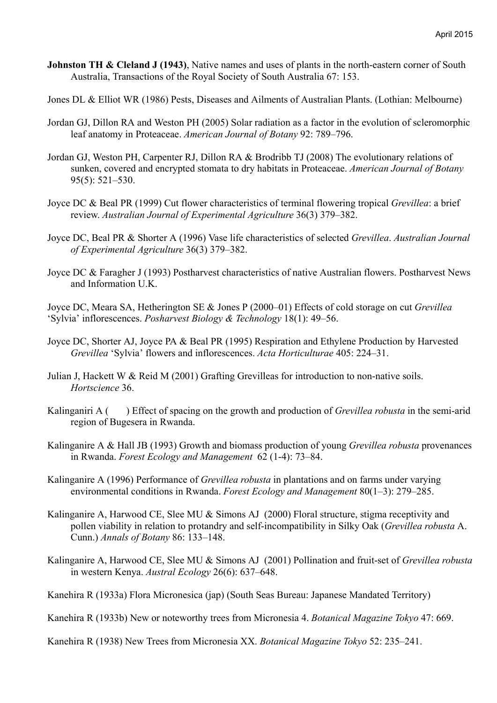- **Johnston TH & Cleland J (1943)**, Native names and uses of plants in the north-eastern corner of South Australia, Transactions of the Royal Society of South Australia 67: 153.
- Jones DL & Elliot WR (1986) Pests, Diseases and Ailments of Australian Plants. (Lothian: Melbourne)
- Jordan GJ, Dillon RA and Weston PH (2005) Solar radiation as a factor in the evolution of scleromorphic leaf anatomy in Proteaceae. *American Journal of Botany* 92: 789–796.
- Jordan GJ, Weston PH, Carpenter RJ, Dillon RA & Brodribb TJ (2008) The evolutionary relations of sunken, covered and encrypted stomata to dry habitats in Proteaceae. *American Journal of Botany* 95(5): 521–530.
- Joyce DC & Beal PR (1999) Cut flower characteristics of terminal flowering tropical *Grevillea*: a brief review. *Australian Journal of Experimental Agriculture* 36(3) 379–382.
- Joyce DC, Beal PR & Shorter A (1996) Vase life characteristics of selected *Grevillea*. *Australian Journal of Experimental Agriculture* 36(3) 379–382.
- Joyce DC & Faragher J (1993) Postharvest characteristics of native Australian flowers. Postharvest News and Information U.K.

Joyce DC, Meara SA, Hetherington SE & Jones P (2000–01) Effects of cold storage on cut *Grevillea* 'Sylvia' inflorescences. *Posharvest Biology & Technology* 18(1): 49–56.

- Joyce DC, Shorter AJ, Joyce PA & Beal PR (1995) Respiration and Ethylene Production by Harvested *Grevillea* 'Sylvia' flowers and inflorescences. *Acta Horticulturae* 405: 224–31.
- Julian J, Hackett W & Reid M (2001) Grafting Grevilleas for introduction to non-native soils. *Hortscience* 36.
- Kalinganiri A ( ) Effect of spacing on the growth and production of *Grevillea robusta* in the semi-arid region of Bugesera in Rwanda.
- Kalinganire A & Hall JB (1993) Growth and biomass production of young *Grevillea robusta* provenances in Rwanda. *Forest Ecology and Management* 62 (1-4): 73–84.
- Kalinganire A (1996) Performance of *Grevillea robusta* in plantations and on farms under varying environmental conditions in Rwanda. *Forest Ecology and Management* 80(1–3): 279–285.
- Kalinganire A, Harwood CE, Slee MU & Simons AJ (2000) Floral structure, stigma receptivity and pollen viability in relation to protandry and self-incompatibility in Silky Oak (*Grevillea robusta* A. Cunn.) *Annals of Botany* 86: 133–148.
- Kalinganire A, Harwood CE, Slee MU & Simons AJ (2001) Pollination and fruit-set of *Grevillea robusta* in western Kenya. *Austral Ecology* 26(6): 637–648.
- Kanehira R (1933a) Flora Micronesica (jap) (South Seas Bureau: Japanese Mandated Territory)

Kanehira R (1933b) New or noteworthy trees from Micronesia 4. *Botanical Magazine Tokyo* 47: 669.

Kanehira R (1938) New Trees from Micronesia XX. *Botanical Magazine Tokyo* 52: 235–241.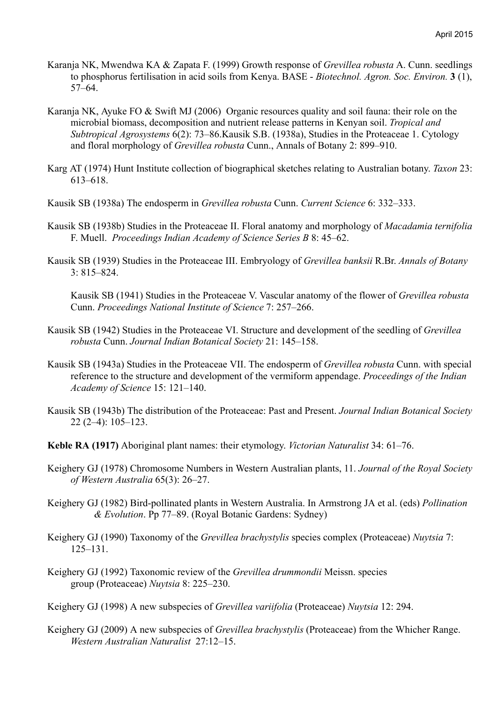- Karanja NK, Mwendwa KA & Zapata F. (1999) Growth response of *Grevillea robusta* A. Cunn. seedlings to phosphorus fertilisation in acid soils from Kenya. BASE - *Biotechnol. Agron. Soc. Environ.* **3** (1), 57–64.
- Karanja NK, Ayuke FO & Swift MJ (2006) Organic resources quality and soil fauna: their role on the microbial biomass, decomposition and nutrient release patterns in Kenyan soil. *Tropical and Subtropical Agrosystems* 6(2): 73–86.Kausik S.B. (1938a), Studies in the Proteaceae 1. Cytology and floral morphology of *Grevillea robusta* Cunn., Annals of Botany 2: 899–910.
- Karg AT (1974) Hunt Institute collection of biographical sketches relating to Australian botany. *Taxon* 23: 613–618.
- Kausik SB (1938a) The endosperm in *Grevillea robusta* Cunn. *Current Science* 6: 332–333.
- Kausik SB (1938b) Studies in the Proteaceae II. Floral anatomy and morphology of *Macadamia ternifolia* F. Muell. *Proceedings Indian Academy of Science Series B* 8: 45–62.
- Kausik SB (1939) Studies in the Proteaceae III. Embryology of *Grevillea banksii* R.Br. *Annals of Botany* 3: 815–824.

Kausik SB (1941) Studies in the Proteaceae V. Vascular anatomy of the flower of *Grevillea robusta* Cunn. *Proceedings National Institute of Science* 7: 257–266.

- Kausik SB (1942) Studies in the Proteaceae VI. Structure and development of the seedling of *Grevillea robusta* Cunn. *Journal Indian Botanical Society* 21: 145–158.
- Kausik SB (1943a) Studies in the Proteaceae VII. The endosperm of *Grevillea robusta* Cunn. with special reference to the structure and development of the vermiform appendage. *Proceedings of the Indian Academy of Science* 15: 121–140.
- Kausik SB (1943b) The distribution of the Proteaceae: Past and Present. *Journal Indian Botanical Society* 22 (2–4): 105–123.
- **Keble RA (1917)** Aboriginal plant names: their etymology. *Victorian Naturalist* 34: 61–76.
- Keighery GJ (1978) Chromosome Numbers in Western Australian plants, 11. *Journal of the Royal Society of Western Australia* 65(3): 26–27.
- Keighery GJ (1982) Bird-pollinated plants in Western Australia. In Armstrong JA et al. (eds) *Pollination & Evolution*. Pp 77–89. (Royal Botanic Gardens: Sydney)
- Keighery GJ (1990) Taxonomy of the *Grevillea brachystylis* species complex (Proteaceae) *Nuytsia* 7: 125–131.
- Keighery GJ (1992) Taxonomic review of the *Grevillea drummondii* Meissn. species group (Proteaceae) *Nuytsia* 8: 225–230.

Keighery GJ (1998) A new subspecies of *Grevillea variifolia* (Proteaceae) *Nuytsia* 12: 294.

Keighery GJ (2009) A new subspecies of *Grevillea brachystylis* (Proteaceae) from the Whicher Range. *Western Australian Naturalist* 27:12–15.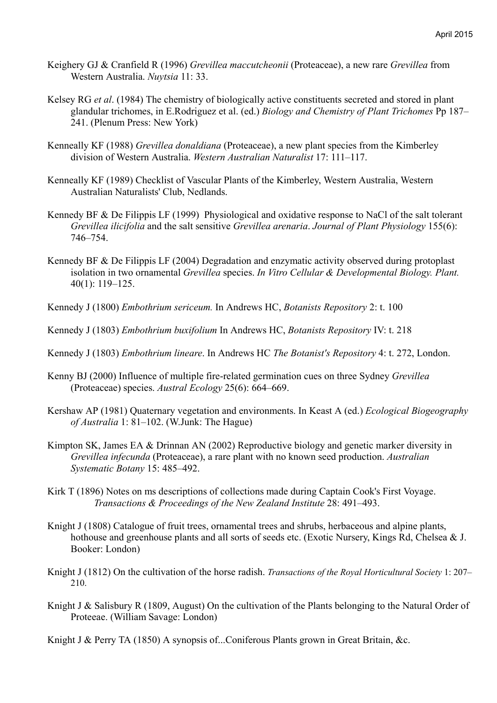- Keighery GJ & Cranfield R (1996) *Grevillea maccutcheonii* (Proteaceae), a new rare *Grevillea* from Western Australia. *Nuytsia* 11: 33.
- Kelsey RG *et al*. (1984) The chemistry of biologically active constituents secreted and stored in plant glandular trichomes, in E.Rodriguez et al. (ed.) *Biology and Chemistry of Plant Trichomes* Pp 187– 241. (Plenum Press: New York)
- Kenneally KF (1988) *Grevillea donaldiana* (Proteaceae), a new plant species from the Kimberley division of Western Australia. *Western Australian Naturalist* 17: 111–117.
- Kenneally KF (1989) Checklist of Vascular Plants of the Kimberley, Western Australia, Western Australian Naturalists' Club, Nedlands.
- Kennedy BF & De Filippis LF (1999) Physiological and oxidative response to NaCl of the salt tolerant *Grevillea ilicifolia* and the salt sensitive *Grevillea arenaria*. *Journal of Plant Physiology* 155(6): 746–754.
- Kennedy BF & De Filippis LF (2004) Degradation and enzymatic activity observed during protoplast isolation in two ornamental *Grevillea* species. *In Vitro Cellular & Developmental Biology. Plant.* 40(1): 119–125.
- Kennedy J (1800) *Embothrium sericeum.* In Andrews HC, *Botanists Repository* 2: t. 100
- Kennedy J (1803) *Embothrium buxifolium* In Andrews HC, *Botanists Repository* IV: t. 218
- Kennedy J (1803) *Embothrium lineare*. In Andrews HC *The Botanist's Repository* 4: t. 272, London.
- Kenny BJ (2000) Influence of multiple fire-related germination cues on three Sydney *Grevillea* (Proteaceae) species. *Austral Ecology* 25(6): 664–669.
- Kershaw AP (1981) Quaternary vegetation and environments. In Keast A (ed.) *Ecological Biogeography of Australia* 1: 81–102. (W.Junk: The Hague)
- Kimpton SK, James EA & Drinnan AN (2002) Reproductive biology and genetic marker diversity in *Grevillea infecunda* (Proteaceae), a rare plant with no known seed production. *Australian Systematic Botany* 15: 485–492.
- Kirk T (1896) Notes on ms descriptions of collections made during Captain Cook's First Voyage. *Transactions & Proceedings of the New Zealand Institute* 28: 491–493.
- Knight J (1808) Catalogue of fruit trees, ornamental trees and shrubs, herbaceous and alpine plants, hothouse and greenhouse plants and all sorts of seeds etc. (Exotic Nursery, Kings Rd, Chelsea & J. Booker: London)
- Knight J (1812) On the cultivation of the horse radish. *Transactions of the Royal Horticultural Society* 1: 207– 210.
- Knight J & Salisbury R (1809, August) On the cultivation of the Plants belonging to the Natural Order of Proteeae. (William Savage: London)

Knight J & Perry TA (1850) A synopsis of...Coniferous Plants grown in Great Britain, &c.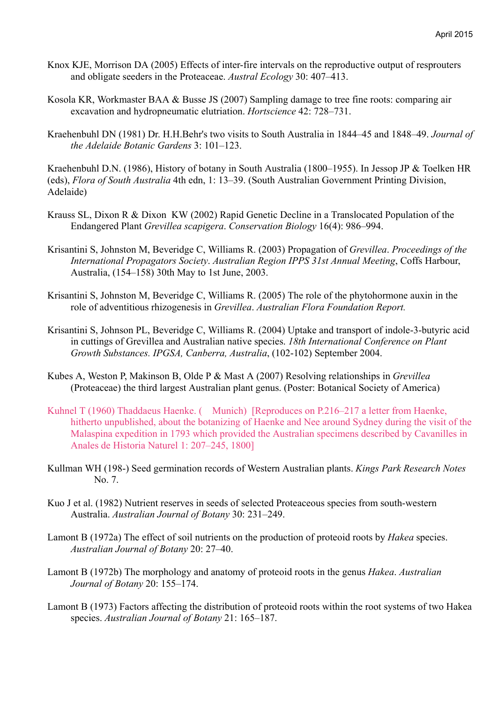- Knox KJE, Morrison DA (2005) Effects of inter-fire intervals on the reproductive output of resprouters and obligate seeders in the Proteaceae. *Austral Ecology* 30: 407–413.
- Kosola KR, Workmaster BAA & Busse JS (2007) Sampling damage to tree fine roots: comparing air excavation and hydropneumatic elutriation. *Hortscience* 42: 728–731.
- Kraehenbuhl DN (1981) Dr. H.H.Behr's two visits to South Australia in 1844–45 and 1848–49. *Journal of the Adelaide Botanic Gardens* 3: 101–123.

Kraehenbuhl D.N. (1986), History of botany in South Australia (1800–1955). In Jessop JP & Toelken HR (eds), *Flora of South Australia* 4th edn, 1: 13–39. (South Australian Government Printing Division, Adelaide)

- Krauss SL, Dixon R & Dixon KW (2002) Rapid Genetic Decline in a Translocated Population of the Endangered Plant *Grevillea scapigera*. *Conservation Biology* 16(4): 986–994.
- Krisantini S, Johnston M, Beveridge C, Williams R. (2003) Propagation of *Grevillea*. *Proceedings of the International Propagators Society*. *Australian Region IPPS 31st Annual Meeting*, Coffs Harbour, Australia, (154–158) 30th May to 1st June, 2003.
- Krisantini S, Johnston M, Beveridge C, Williams R. (2005) The role of the phytohormone auxin in the role of adventitious rhizogenesis in *Grevillea*. *Australian Flora Foundation Report.*
- Krisantini S, Johnson PL, Beveridge C, Williams R. (2004) Uptake and transport of indole-3-butyric acid in cuttings of Grevillea and Australian native species. *18th International Conference on Plant Growth Substances. IPGSA, Canberra, Australia*, (102-102) September 2004.
- Kubes A, Weston P, Makinson B, Olde P & Mast A (2007) Resolving relationships in *Grevillea* (Proteaceae) the third largest Australian plant genus. (Poster: Botanical Society of America)
- Kuhnel T (1960) Thaddaeus Haenke. (Munich) [Reproduces on P.216–217 a letter from Haenke, hitherto unpublished, about the botanizing of Haenke and Nee around Sydney during the visit of the Malaspina expedition in 1793 which provided the Australian specimens described by Cavanilles in Anales de Historia Naturel 1: 207–245, 1800]
- Kullman WH (198-) Seed germination records of Western Australian plants. *Kings Park Research Notes* No. 7.
- Kuo J et al. (1982) Nutrient reserves in seeds of selected Proteaceous species from south-western Australia. *Australian Journal of Botany* 30: 231–249.
- Lamont B (1972a) The effect of soil nutrients on the production of proteoid roots by *Hakea* species. *Australian Journal of Botany* 20: 27–40.
- Lamont B (1972b) The morphology and anatomy of proteoid roots in the genus *Hakea*. *Australian Journal of Botany* 20: 155–174.
- Lamont B (1973) Factors affecting the distribution of proteoid roots within the root systems of two Hakea species. *Australian Journal of Botany* 21: 165–187.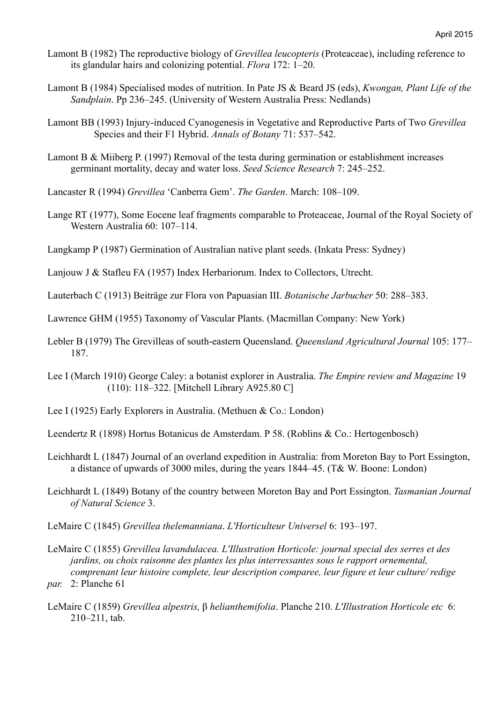- Lamont B (1982) The reproductive biology of *Grevillea leucopteris* (Proteaceae), including reference to its glandular hairs and colonizing potential. *Flora* 172: 1–20.
- Lamont B (1984) Specialised modes of nutrition. In Pate JS & Beard JS (eds), *Kwongan, Plant Life of the Sandplain*. Pp 236–245. (University of Western Australia Press: Nedlands)
- Lamont BB (1993) Injury-induced Cyanogenesis in Vegetative and Reproductive Parts of Two *Grevillea* Species and their F1 Hybrid. *Annals of Botany* 71: 537–542.
- Lamont B & Miiberg P. (1997) Removal of the testa during germination or establishment increases germinant mortality, decay and water loss. *Seed Science Research* 7: 245–252.
- Lancaster R (1994) *Grevillea* 'Canberra Gem'. *The Garden*. March: 108–109.
- Lange RT (1977), Some Eocene leaf fragments comparable to Proteaceae, Journal of the Royal Society of Western Australia 60: 107–114.
- Langkamp P (1987) Germination of Australian native plant seeds. (Inkata Press: Sydney)
- Lanjouw J & Stafleu FA (1957) Index Herbariorum. Index to Collectors, Utrecht.
- Lauterbach C (1913) Beiträge zur Flora von Papuasian III. *Botanische Jarbucher* 50: 288–383.
- Lawrence GHM (1955) Taxonomy of Vascular Plants. (Macmillan Company: New York)
- Lebler B (1979) The Grevilleas of south-eastern Queensland. *Queensland Agricultural Journal* 105: 177– 187.
- Lee I (March 1910) George Caley: a botanist explorer in Australia. *The Empire review and Magazine* 19 (110): 118–322. [Mitchell Library A925.80 C]
- Lee I (1925) Early Explorers in Australia. (Methuen & Co.: London)
- Leendertz R (1898) Hortus Botanicus de Amsterdam. P 58. (Roblins & Co.: Hertogenbosch)
- Leichhardt L (1847) Journal of an overland expedition in Australia: from Moreton Bay to Port Essington, a distance of upwards of 3000 miles, during the years 1844–45. (T& W. Boone: London)
- Leichhardt L (1849) Botany of the country between Moreton Bay and Port Essington. *Tasmanian Journal of Natural Science* 3.
- LeMaire C (1845) *Grevillea thelemanniana*. *L'Horticulteur Universel* 6: 193–197.
- LeMaire C (1855) *Grevillea lavandulacea. L'Illustration Horticole: journal special des serres et des jardins, ou choix raisonne des plantes les plus interressantes sous le rapport ornemental, comprenant leur histoire complete, leur description comparee, leur figure et leur culture/ redige par.* 2: Planche 61
- LeMaire C (1859) *Grevillea alpestris,* β *helianthemifolia*. Planche 210. *L'Illustration Horticole etc* 6: 210–211, tab.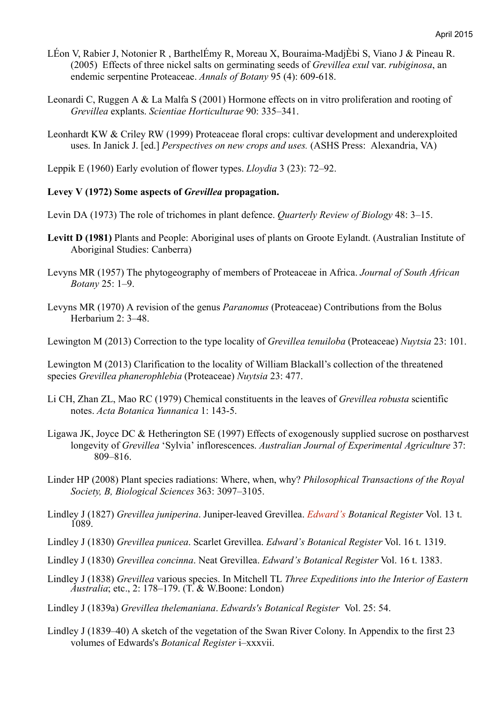- LÉon V, Rabier J, Notonier R , BarthelÉmy R, Moreau X, Bouraima-MadjÈbi S, Viano J & Pineau R. (2005) Effects of three nickel salts on germinating seeds of *Grevillea exul* var. *rubiginosa*, an endemic serpentine Proteaceae. *Annals of Botany* 95 (4): 609-618.
- Leonardi C, Ruggen A & La Malfa S (2001) Hormone effects on in vitro proliferation and rooting of *Grevillea* explants. *Scientiae Horticulturae* 90: 335–341.
- Leonhardt KW & Criley RW (1999) Proteaceae floral crops: cultivar development and underexploited uses. In Janick J. [ed.] *Perspectives on new crops and uses.* (ASHS Press: Alexandria, VA)
- Leppik E (1960) Early evolution of flower types. *Lloydia* 3 (23): 72–92.

## **Levey V (1972) Some aspects of** *Grevillea* **propagation.**

- Levin DA (1973) The role of trichomes in plant defence. *Quarterly Review of Biology* 48: 3–15.
- **Levitt D (1981)** Plants and People: Aboriginal uses of plants on Groote Eylandt. (Australian Institute of Aboriginal Studies: Canberra)
- Levyns MR (1957) The phytogeography of members of Proteaceae in Africa. *Journal of South African Botany* 25: 1–9.
- Levyns MR (1970) A revision of the genus *Paranomus* (Proteaceae) Contributions from the Bolus Herbarium 2: 3–48.

Lewington M (2013) Correction to the type locality of *Grevillea tenuiloba* (Proteaceae) *Nuytsia* 23: 101.

Lewington M (2013) Clarification to the locality of William Blackall's collection of the threatened species *Grevillea phanerophlebia* (Proteaceae) *Nuytsia* 23: 477.

- Li CH, Zhan ZL, Mao RC (1979) Chemical constituents in the leaves of *Grevillea robusta* scientific notes. *Acta Botanica Yunnanica* 1: 143-5.
- Ligawa JK, Joyce DC & Hetherington SE (1997) Effects of exogenously supplied sucrose on postharvest longevity of *Grevillea* 'Sylvia' inflorescences. *Australian Journal of Experimental Agriculture* 37: 809–816.
- Linder HP (2008) Plant species radiations: Where, when, why? *Philosophical Transactions of the Royal Society, B, Biological Sciences* 363: 3097–3105.
- Lindley J (1827) *Grevillea juniperina*. Juniper-leaved Grevillea. *Edward's Botanical Register* Vol. 13 t. 1089.
- Lindley J (1830) *Grevillea punicea*. Scarlet Grevillea. *Edward's Botanical Register* Vol. 16 t. 1319.
- Lindley J (1830) *Grevillea concinna*. Neat Grevillea. *Edward's Botanical Register* Vol. 16 t. 1383.
- Lindley J (1838) *Grevillea* various species. In Mitchell TL *Three Expeditions into the Interior of Eastern Australia*; etc., 2: 178–179. (T. & W.Boone: London)

Lindley J (1839a) *Grevillea thelemaniana*. *Edwards's Botanical Register* Vol. 25: 54.

Lindley J (1839–40) A sketch of the vegetation of the Swan River Colony. In Appendix to the first 23 volumes of Edwards's *Botanical Register* i–xxxvii.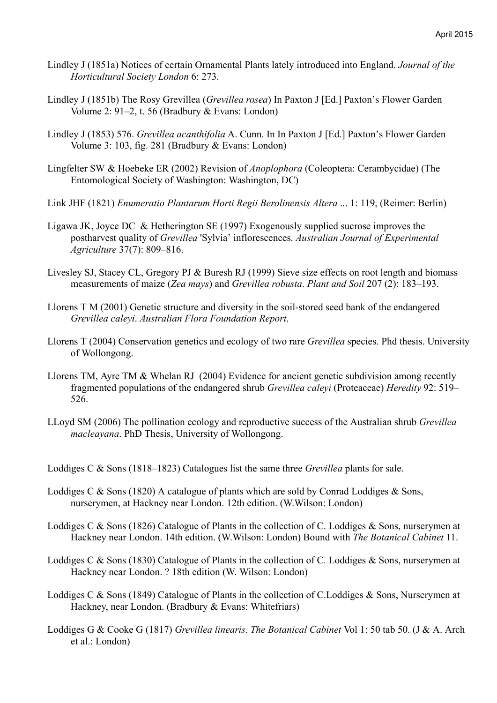- Lindley J (1851a) Notices of certain Ornamental Plants lately introduced into England. *Journal of the Horticultural Society London* 6: 273.
- Lindley J (1851b) The Rosy Grevillea (*Grevillea rosea*) In Paxton J [Ed.] Paxton's Flower Garden Volume 2: 91–2, t. 56 (Bradbury & Evans: London)
- Lindley J (1853) 576. *Grevillea acanthifolia* A. Cunn. In In Paxton J [Ed.] Paxton's Flower Garden Volume 3: 103, fig. 281 (Bradbury & Evans: London)
- Lingfelter SW & Hoebeke ER (2002) Revision of *Anoplophora* (Coleoptera: Cerambycidae) (The Entomological Society of Washington: Washington, DC)
- Link JHF (1821) *Enumeratio Plantarum Horti Regii Berolinensis Altera* ... 1: 119, (Reimer: Berlin)
- Ligawa JK, Joyce DC & Hetherington SE (1997) Exogenously supplied sucrose improves the postharvest quality of *Grevillea* 'Sylvia' inflorescences. *Australian Journal of Experimental Agriculture* 37(7): 809–816.
- Livesley SJ, Stacey CL, Gregory PJ & Buresh RJ (1999) Sieve size effects on root length and biomass measurements of maize (*Zea mays*) and *Grevillea robusta*. *Plant and Soil* 207 (2): 183–193.
- Llorens T M (2001) Genetic structure and diversity in the soil-stored seed bank of the endangered *Grevillea caleyi*. *Australian Flora Foundation Report*.
- Llorens T (2004) Conservation genetics and ecology of two rare *Grevillea* species. Phd thesis. University of Wollongong.
- Llorens TM, Ayre TM & Whelan RJ (2004) Evidence for ancient genetic subdivision among recently fragmented populations of the endangered shrub *Grevillea caleyi* (Proteaceae) *Heredity* 92: 519– 526.
- LLoyd SM (2006) The pollination ecology and reproductive success of the Australian shrub *Grevillea macleayana*. PhD Thesis, University of Wollongong.
- Loddiges C & Sons (1818–1823) Catalogues list the same three *Grevillea* plants for sale.
- Loddiges C & Sons (1820) A catalogue of plants which are sold by Conrad Loddiges & Sons, nurserymen, at Hackney near London. 12th edition. (W.Wilson: London)
- Loddiges C & Sons (1826) Catalogue of Plants in the collection of C. Loddiges & Sons, nurserymen at Hackney near London. 14th edition. (W.Wilson: London) Bound with *The Botanical Cabinet* 11.
- Loddiges C & Sons (1830) Catalogue of Plants in the collection of C. Loddiges & Sons, nurserymen at Hackney near London. ? 18th edition (W. Wilson: London)
- Loddiges C & Sons (1849) Catalogue of Plants in the collection of C.Loddiges & Sons, Nurserymen at Hackney, near London. (Bradbury & Evans: Whitefriars)
- Loddiges G & Cooke G (1817) *Grevillea linearis*. *The Botanical Cabinet* Vol 1: 50 tab 50. (J & A. Arch et al.: London)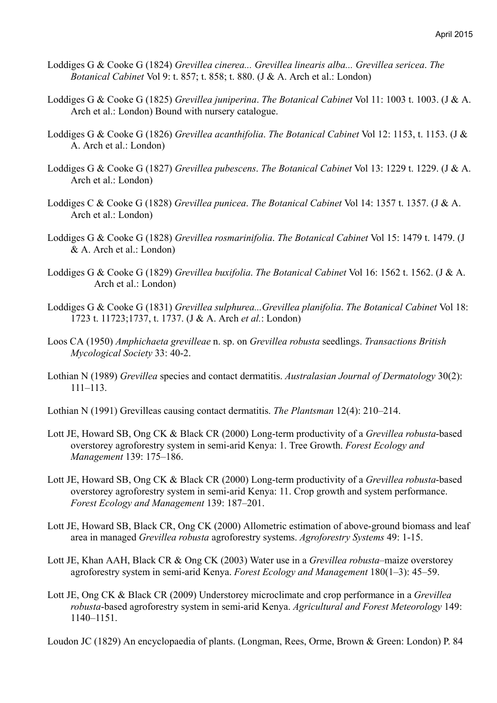- Loddiges G & Cooke G (1824) *Grevillea cinerea... Grevillea linearis alba... Grevillea sericea*. *The Botanical Cabinet* Vol 9: t. 857; t. 858; t. 880. (J & A. Arch et al.: London)
- Loddiges G & Cooke G (1825) *Grevillea juniperina*. *The Botanical Cabinet* Vol 11: 1003 t. 1003. (J & A. Arch et al.: London) Bound with nursery catalogue.
- Loddiges G & Cooke G (1826) *Grevillea acanthifolia*. *The Botanical Cabinet* Vol 12: 1153, t. 1153. (J & A. Arch et al.: London)
- Loddiges G & Cooke G (1827) *Grevillea pubescens*. *The Botanical Cabinet* Vol 13: 1229 t. 1229. (J & A. Arch et al.: London)
- Loddiges C & Cooke G (1828) *Grevillea punicea*. *The Botanical Cabinet* Vol 14: 1357 t. 1357. (J & A. Arch et al.: London)
- Loddiges G & Cooke G (1828) *Grevillea rosmarinifolia*. *The Botanical Cabinet* Vol 15: 1479 t. 1479. (J & A. Arch et al.: London)
- Loddiges G & Cooke G (1829) *Grevillea buxifolia*. *The Botanical Cabinet* Vol 16: 1562 t. 1562. (J & A. Arch et al.: London)
- Loddiges G & Cooke G (1831) *Grevillea sulphurea...Grevillea planifolia*. *The Botanical Cabinet* Vol 18: 1723 t. 11723;1737, t. 1737. (J & A. Arch *et al.*: London)
- Loos CA (1950) *Amphichaeta grevilleae* n. sp. on *Grevillea robusta* seedlings. *Transactions British Mycological Society* 33: 40-2.
- Lothian N (1989) *Grevillea* species and contact dermatitis. *Australasian Journal of Dermatology* 30(2): 111–113.
- Lothian N (1991) Grevilleas causing contact dermatitis. *The Plantsman* 12(4): 210–214.
- Lott JE, Howard SB, Ong CK & Black CR (2000) Long-term productivity of a *Grevillea robusta*-based overstorey agroforestry system in semi-arid Kenya: 1. Tree Growth. *Forest Ecology and Management* 139: 175–186.
- Lott JE, Howard SB, Ong CK & Black CR (2000) Long-term productivity of a *Grevillea robusta*-based overstorey agroforestry system in semi-arid Kenya: 11. Crop growth and system performance. *Forest Ecology and Management* 139: 187–201.
- Lott JE, Howard SB, Black CR, Ong CK (2000) Allometric estimation of above-ground biomass and leaf area in managed *Grevillea robusta* agroforestry systems. *Agroforestry Systems* 49: 1-15.
- Lott JE, Khan AAH, Black CR & Ong CK (2003) Water use in a *Grevillea robusta*–maize overstorey agroforestry system in semi-arid Kenya. *Forest Ecology and Management* 180(1–3): 45–59.
- Lott JE, Ong CK & Black CR (2009) Understorey microclimate and crop performance in a *Grevillea robusta*-based agroforestry system in semi-arid Kenya. *Agricultural and Forest Meteorology* 149: 1140–1151.

Loudon JC (1829) An encyclopaedia of plants. (Longman, Rees, Orme, Brown & Green: London) P. 84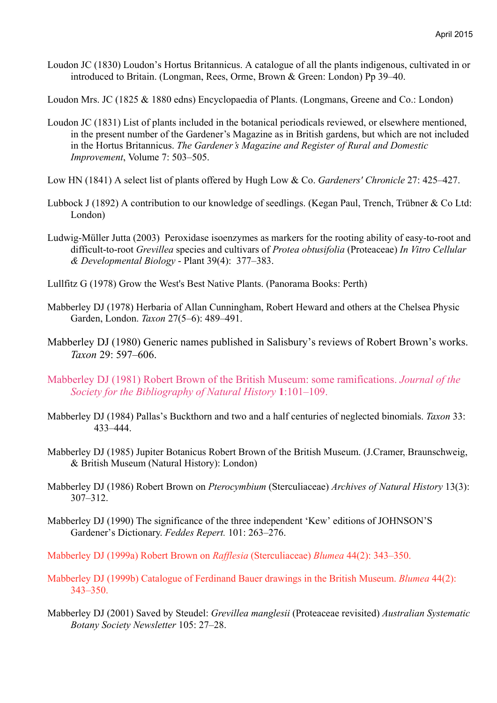Loudon JC (1830) Loudon's Hortus Britannicus. A catalogue of all the plants indigenous, cultivated in or introduced to Britain. (Longman, Rees, Orme, Brown & Green: London) Pp 39–40.

Loudon Mrs. JC (1825 & 1880 edns) Encyclopaedia of Plants. (Longmans, Greene and Co.: London)

- Loudon JC (1831) List of plants included in the botanical periodicals reviewed, or elsewhere mentioned, in the present number of the Gardener's Magazine as in British gardens, but which are not included in the Hortus Britannicus. *The Gardener's Magazine and Register of Rural and Domestic Improvement*, Volume 7: 503–505.
- Low HN (1841) A select list of plants offered by Hugh Low & Co. *Gardeners' Chronicle* 27: 425–427.
- Lubbock J (1892) A contribution to our knowledge of seedlings. (Kegan Paul, Trench, Trübner & Co Ltd: London)
- Ludwig-Müller Jutta (2003) Peroxidase isoenzymes as markers for the rooting ability of easy-to-root and difficult-to-root *Grevillea* species and cultivars of *Protea obtusifolia* (Proteaceae) *In Vitro Cellular & Developmental Biology* - Plant 39(4): 377–383.
- Lullfitz G (1978) Grow the West's Best Native Plants. (Panorama Books: Perth)
- Mabberley DJ (1978) Herbaria of Allan Cunningham, Robert Heward and others at the Chelsea Physic Garden, London. *Taxon* 27(5–6): 489–491.
- Mabberley DJ (1980) Generic names published in Salisbury's reviews of Robert Brown's works. *Taxon* 29: 597–606.
- Mabberley DJ (1981) Robert Brown of the British Museum: some ramifications. *Journal of the Society for the Bibliography of Natural History* **1**:101–109.
- Mabberley DJ (1984) Pallas's Buckthorn and two and a half centuries of neglected binomials. *Taxon* 33: 433–444.
- Mabberley DJ (1985) Jupiter Botanicus Robert Brown of the British Museum. (J.Cramer, Braunschweig, & British Museum (Natural History): London)
- Mabberley DJ (1986) Robert Brown on *Pterocymbium* (Sterculiaceae) *Archives of Natural History* 13(3): 307–312.
- Mabberley DJ (1990) The significance of the three independent 'Kew' editions of JOHNSON'S Gardener's Dictionary. *Feddes Repert.* 101: 263–276.
- Mabberley DJ (1999a) Robert Brown on *Rafflesia* (Sterculiaceae) *Blumea* 44(2): 343–350.
- Mabberley DJ (1999b) Catalogue of Ferdinand Bauer drawings in the British Museum. *Blumea* 44(2): 343–350.
- Mabberley DJ (2001) Saved by Steudel: *Grevillea manglesii* (Proteaceae revisited) *Australian Systematic Botany Society Newsletter* 105: 27–28.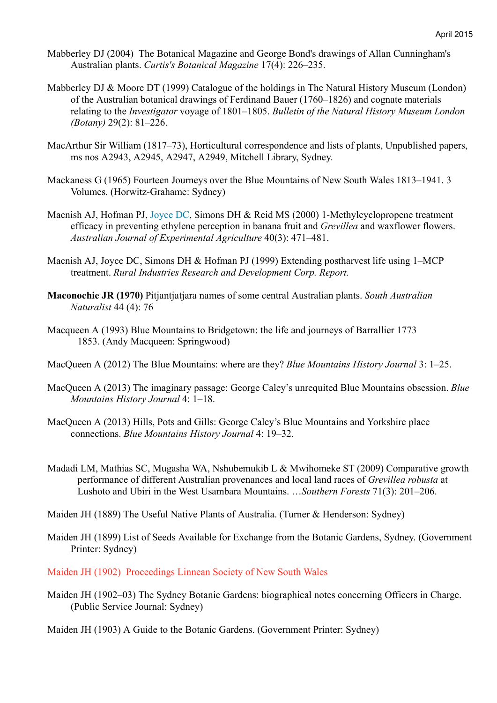- Mabberley DJ (2004) The Botanical Magazine and George Bond's drawings of Allan Cunningham's Australian plants. *Curtis's Botanical Magazine* 17(4): 226–235.
- Mabberley DJ & Moore DT (1999) Catalogue of the holdings in The Natural History Museum (London) of the Australian botanical drawings of Ferdinand Bauer (1760–1826) and cognate materials relating to the *Investigator* voyage of 1801–1805. *Bulletin of the Natural History Museum London (Botany)* 29(2): 81–226.
- MacArthur Sir William (1817–73), Horticultural correspondence and lists of plants, Unpublished papers, ms nos A2943, A2945, A2947, A2949, Mitchell Library, Sydney.
- Mackaness G (1965) Fourteen Journeys over the Blue Mountains of New South Wales 1813–1941. 3 Volumes. (Horwitz-Grahame: Sydney)
- Macnish AJ, Hofman PJ, Joyce DC, Simons DH & Reid MS (2000) 1-Methylcyclopropene treatment efficacy in preventing ethylene perception in banana fruit and *Grevillea* and waxflower flowers. *Australian Journal of Experimental Agriculture* 40(3): 471–481.
- Macnish AJ, Joyce DC, Simons DH & Hofman PJ (1999) Extending postharvest life using 1–MCP treatment. *Rural Industries Research and Development Corp. Report.*
- **Maconochie JR (1970)** Pitjantjatjara names of some central Australian plants. *South Australian Naturalist* 44 (4): 76
- Macqueen A (1993) Blue Mountains to Bridgetown: the life and journeys of Barrallier 1773 1853. (Andy Macqueen: Springwood)
- MacQueen A (2012) The Blue Mountains: where are they? *Blue Mountains History Journal* 3: 1–25.
- MacQueen A (2013) The imaginary passage: George Caley's unrequited Blue Mountains obsession. *Blue Mountains History Journal* 4: 1–18.
- MacQueen A (2013) Hills, Pots and Gills: George Caley's Blue Mountains and Yorkshire place connections. *Blue Mountains History Journal* 4: 19–32.
- Madadi LM, Mathias SC, Mugasha WA, Nshubemukib L & Mwihomeke ST (2009) Comparative growth performance of different Australian provenances and local land races of *Grevillea robusta* at Lushoto and Ubiri in the West Usambara Mountains. …*Southern Forests* 71(3): 201–206.
- Maiden JH (1889) The Useful Native Plants of Australia. (Turner & Henderson: Sydney)
- Maiden JH (1899) List of Seeds Available for Exchange from the Botanic Gardens, Sydney. (Government Printer: Sydney)
- Maiden JH (1902) Proceedings Linnean Society of New South Wales
- Maiden JH (1902–03) The Sydney Botanic Gardens: biographical notes concerning Officers in Charge. (Public Service Journal: Sydney)

Maiden JH (1903) A Guide to the Botanic Gardens. (Government Printer: Sydney)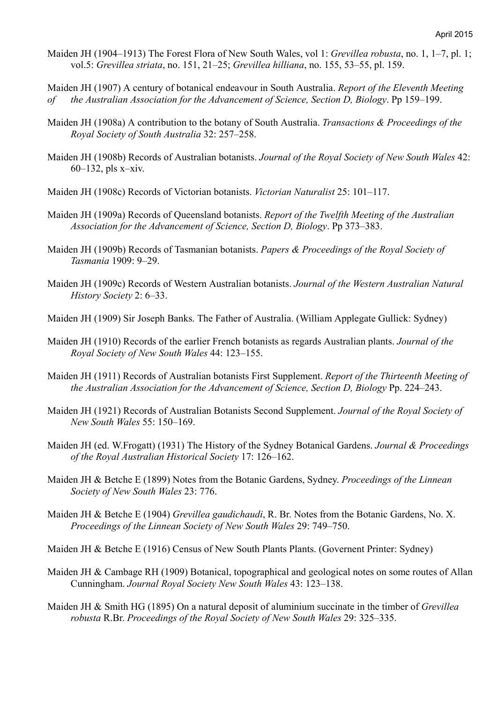Maiden JH (1904–1913) The Forest Flora of New South Wales, vol 1: *Grevillea robusta*, no. 1, 1–7, pl. 1; vol.5: *Grevillea striata*, no. 151, 21–25; *Grevillea hilliana*, no. 155, 53–55, pl. 159.

Maiden JH (1907) A century of botanical endeavour in South Australia. *Report of the Eleventh Meeting of the Australian Association for the Advancement of Science, Section D, Biology*. Pp 159–199.

- Maiden JH (1908a) A contribution to the botany of South Australia. *Transactions & Proceedings of the Royal Society of South Australia* 32: 257–258.
- Maiden JH (1908b) Records of Australian botanists. *Journal of the Royal Society of New South Wales* 42: 60–132, pls x–xiv.
- Maiden JH (1908c) Records of Victorian botanists. *Victorian Naturalist* 25: 101–117.
- Maiden JH (1909a) Records of Queensland botanists. *Report of the Twelfth Meeting of the Australian Association for the Advancement of Science, Section D, Biology*. Pp 373–383.
- Maiden JH (1909b) Records of Tasmanian botanists. *Papers & Proceedings of the Royal Society of Tasmania* 1909: 9–29.
- Maiden JH (1909c) Records of Western Australian botanists. *Journal of the Western Australian Natural History Society* 2: 6–33.
- Maiden JH (1909) Sir Joseph Banks. The Father of Australia. (William Applegate Gullick: Sydney)
- Maiden JH (1910) Records of the earlier French botanists as regards Australian plants. *Journal of the Royal Society of New South Wales* 44: 123–155.
- Maiden JH (1911) Records of Australian botanists First Supplement. *Report of the Thirteenth Meeting of the Australian Association for the Advancement of Science, Section D, Biology* Pp. 224–243.
- Maiden JH (1921) Records of Australian Botanists Second Supplement. *Journal of the Royal Society of New South Wales* 55: 150–169.
- Maiden JH (ed. W.Frogatt) (1931) The History of the Sydney Botanical Gardens. *Journal & Proceedings of the Royal Australian Historical Society* 17: 126–162.
- Maiden JH & Betche E (1899) Notes from the Botanic Gardens, Sydney. *Proceedings of the Linnean Society of New South Wales* 23: 776.
- Maiden JH & Betche E (1904) *Grevillea gaudichaudi*, R. Br. Notes from the Botanic Gardens, No. X. *Proceedings of the Linnean Society of New South Wales* 29: 749–750.
- Maiden JH & Betche E (1916) Census of New South Plants Plants. (Governent Printer: Sydney)
- Maiden JH & Cambage RH (1909) Botanical, topographical and geological notes on some routes of Allan Cunningham. *Journal Royal Society New South Wales* 43: 123–138.
- Maiden JH & Smith HG (1895) On a natural deposit of aluminium succinate in the timber of *Grevillea robusta* R.Br. *Proceedings of the Royal Society of New South Wales* 29: 325–335.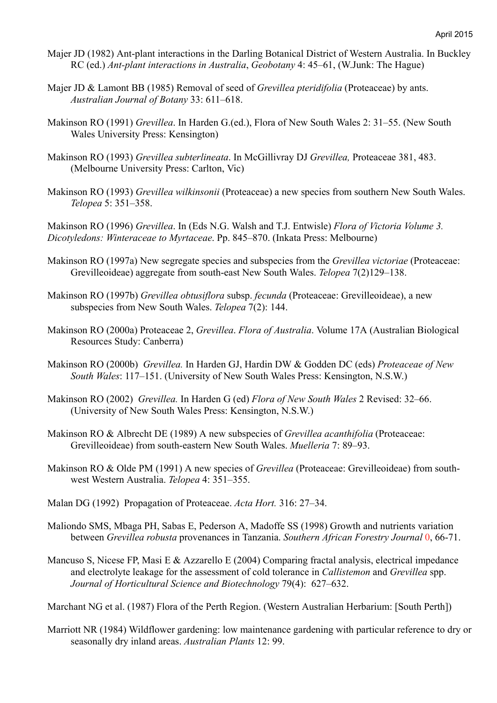- Majer JD (1982) Ant-plant interactions in the Darling Botanical District of Western Australia. In Buckley RC (ed.) *Ant-plant interactions in Australia*, *Geobotany* 4: 45–61, (W.Junk: The Hague)
- Majer JD & Lamont BB (1985) Removal of seed of *Grevillea pteridifolia* (Proteaceae) by ants. *Australian Journal of Botany* 33: 611–618.
- Makinson RO (1991) *Grevillea*. In Harden G.(ed.), Flora of New South Wales 2: 31–55. (New South Wales University Press: Kensington)
- Makinson RO (1993) *Grevillea subterlineata*. In McGillivray DJ *Grevillea,* Proteaceae 381, 483. (Melbourne University Press: Carlton, Vic)
- Makinson RO (1993) *Grevillea wilkinsonii* (Proteaceae) a new species from southern New South Wales. *Telopea* 5: 351–358.

Makinson RO (1996) *Grevillea*. In (Eds N.G. Walsh and T.J. Entwisle) *Flora of Victoria Volume 3. Dicotyledons: Winteraceae to Myrtaceae*. Pp. 845–870. (Inkata Press: Melbourne)

- Makinson RO (1997a) New segregate species and subspecies from the *Grevillea victoriae* (Proteaceae: Grevilleoideae) aggregate from south-east New South Wales. *Telopea* 7(2)129–138.
- Makinson RO (1997b) *Grevillea obtusiflora* subsp. *fecunda* (Proteaceae: Grevilleoideae), a new subspecies from New South Wales. *Telopea* 7(2): 144.
- Makinson RO (2000a) Proteaceae 2, *Grevillea*. *Flora of Australia*. Volume 17A (Australian Biological Resources Study: Canberra)
- Makinson RO (2000b) *Grevillea.* In Harden GJ, Hardin DW & Godden DC (eds) *Proteaceae of New South Wales*: 117–151. (University of New South Wales Press: Kensington, N.S.W.)
- Makinson RO (2002) *Grevillea.* In Harden G (ed) *Flora of New South Wales* 2 Revised: 32–66. (University of New South Wales Press: Kensington, N.S.W.)
- Makinson RO & Albrecht DE (1989) A new subspecies of *Grevillea acanthifolia* (Proteaceae: Grevilleoideae) from south-eastern New South Wales. *Muelleria* 7: 89–93.
- Makinson RO & Olde PM (1991) A new species of *Grevillea* (Proteaceae: Grevilleoideae) from southwest Western Australia. *Telopea* 4: 351–355.
- Malan DG (1992) Propagation of Proteaceae. *Acta Hort.* 316: 27–34.
- Maliondo SMS, Mbaga PH, Sabas E, Pederson A, Madoffe SS (1998) Growth and nutrients variation between *Grevillea robusta* provenances in Tanzania. *Southern African Forestry Journal* 0, 66-71.
- Mancuso S, Nicese FP, Masi E & Azzarello E (2004) Comparing fractal analysis, electrical impedance and electrolyte leakage for the assessment of cold tolerance in *Callistemon* and *Grevillea* spp. *Journal of Horticultural Science and Biotechnology* 79(4): 627–632.

Marchant NG et al. (1987) Flora of the Perth Region. (Western Australian Herbarium: [South Perth])

Marriott NR (1984) Wildflower gardening: low maintenance gardening with particular reference to dry or seasonally dry inland areas. *Australian Plants* 12: 99.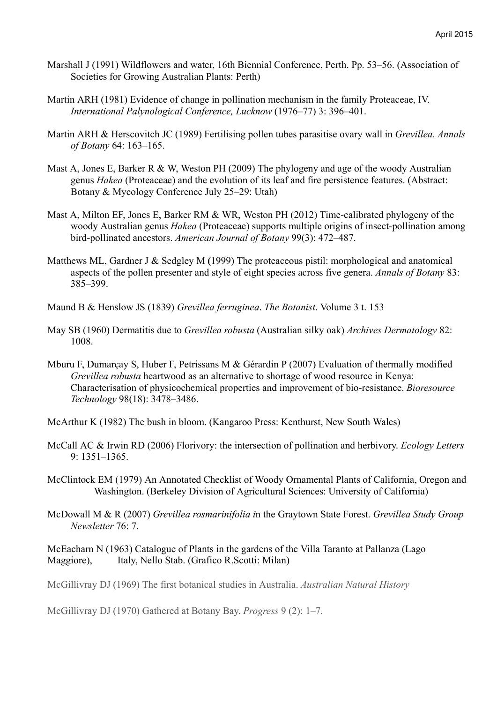- Marshall J (1991) Wildflowers and water, 16th Biennial Conference, Perth. Pp. 53–56. (Association of Societies for Growing Australian Plants: Perth)
- Martin ARH (1981) Evidence of change in pollination mechanism in the family Proteaceae, IV. *International Palynological Conference, Lucknow* (1976–77) 3: 396–401.
- Martin ARH & Herscovitch JC (1989) Fertilising pollen tubes parasitise ovary wall in *Grevillea*. *Annals of Botany* 64: 163–165.
- Mast A, Jones E, Barker R & W, Weston PH (2009) The phylogeny and age of the woody Australian genus *Hakea* (Proteaceae) and the evolution of its leaf and fire persistence features. (Abstract: Botany & Mycology Conference July 25–29: Utah)
- Mast A, Milton EF, Jones E, Barker RM & WR, Weston PH (2012) Time-calibrated phylogeny of the woody Australian genus *Hakea* (Proteaceae) supports multiple origins of insect-pollination among bird-pollinated ancestors. *American Journal of Botany* 99(3): 472–487.
- Matthews ML, Gardner J & Sedgley M **(**1999) The proteaceous pistil: morphological and anatomical aspects of the pollen presenter and style of eight species across five genera. *Annals of Botany* 83: 385–399.
- Maund B & Henslow JS (1839) *Grevillea ferruginea*. *The Botanist*. Volume 3 t. 153
- May SB (1960) Dermatitis due to *Grevillea robusta* (Australian silky oak) *Archives Dermatology* 82: 1008.
- Mburu F, Dumarçay S, Huber F, Petrissans M & Gérardin P (2007) Evaluation of thermally modified *Grevillea robusta* heartwood as an alternative to shortage of wood resource in Kenya: Characterisation of physicochemical properties and improvement of bio-resistance. *Bioresource Technology* 98(18): 3478–3486.
- McArthur K (1982) The bush in bloom. (Kangaroo Press: Kenthurst, New South Wales)
- McCall AC & Irwin RD (2006) Florivory: the intersection of pollination and herbivory. *Ecology Letters* 9: 1351–1365.
- McClintock EM (1979) An Annotated Checklist of Woody Ornamental Plants of California, Oregon and Washington. (Berkeley Division of Agricultural Sciences: University of California)
- McDowall M & R (2007) *Grevillea rosmarinifolia i*n the Graytown State Forest. *Grevillea Study Group Newsletter* 76: 7.

McEacharn N (1963) Catalogue of Plants in the gardens of the Villa Taranto at Pallanza (Lago Maggiore), Italy, Nello Stab. (Grafico R.Scotti: Milan)

McGillivray DJ (1969) The first botanical studies in Australia. *Australian Natural History*

McGillivray DJ (1970) Gathered at Botany Bay. *Progress* 9 (2): 1–7.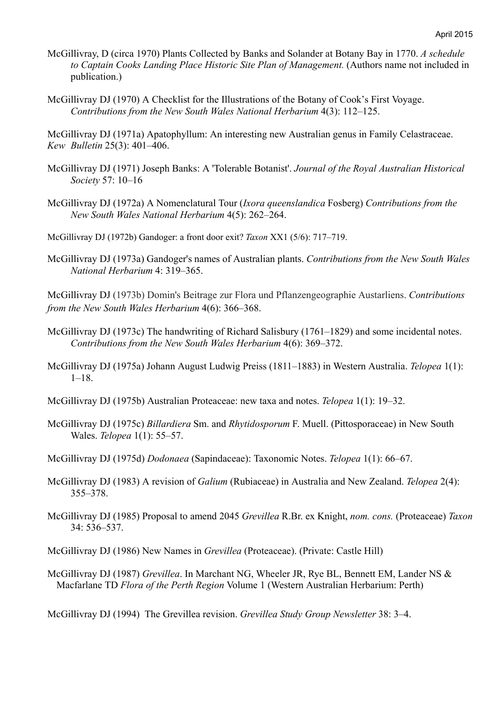- McGillivray, D (circa 1970) Plants Collected by Banks and Solander at Botany Bay in 1770. *A schedule to Captain Cooks Landing Place Historic Site Plan of Management.* (Authors name not included in publication.)
- McGillivray DJ (1970) A Checklist for the Illustrations of the Botany of Cook's First Voyage. *Contributions from the New South Wales National Herbarium* 4(3): 112–125.

McGillivray DJ (1971a) Apatophyllum: An interesting new Australian genus in Family Celastraceae. *Kew Bulletin* 25(3): 401–406.

- McGillivray DJ (1971) Joseph Banks: A 'Tolerable Botanist'. *Journal of the Royal Australian Historical Society* 57: 10–16
- McGillivray DJ (1972a) A Nomenclatural Tour (*Ixora queenslandica* Fosberg) *Contributions from the New South Wales National Herbarium* 4(5): 262–264.
- McGillivray DJ (1972b) Gandoger: a front door exit? *Taxon* XX1 (5/6): 717–719.
- McGillivray DJ (1973a) Gandoger's names of Australian plants. *Contributions from the New South Wales National Herbarium* 4: 319–365.

McGillivray DJ (1973b) Domin's Beitrage zur Flora und Pflanzengeographie Austarliens. *Contributions from the New South Wales Herbarium* 4(6): 366–368.

- McGillivray DJ (1973c) The handwriting of Richard Salisbury (1761–1829) and some incidental notes. *Contributions from the New South Wales Herbarium* 4(6): 369–372.
- McGillivray DJ (1975a) Johann August Ludwig Preiss (1811–1883) in Western Australia. *Telopea* 1(1):  $1-18.$
- McGillivray DJ (1975b) Australian Proteaceae: new taxa and notes. *Telopea* 1(1): 19–32.
- McGillivray DJ (1975c) *Billardiera* Sm. and *Rhytidosporum* F. Muell. (Pittosporaceae) in New South Wales. *Telopea* 1(1): 55–57.
- McGillivray DJ (1975d) *Dodonaea* (Sapindaceae): Taxonomic Notes. *Telopea* 1(1): 66–67.
- McGillivray DJ (1983) A revision of *Galium* (Rubiaceae) in Australia and New Zealand. *Telopea* 2(4): 355–378.
- McGillivray DJ (1985) Proposal to amend 2045 *Grevillea* R.Br. ex Knight, *nom. cons.* (Proteaceae) *Taxon* 34: 536–537.
- McGillivray DJ (1986) New Names in *Grevillea* (Proteaceae). (Private: Castle Hill)
- McGillivray DJ (1987) *Grevillea*. In Marchant NG, Wheeler JR, Rye BL, Bennett EM, Lander NS & Macfarlane TD *Flora of the Perth Region* Volume 1 (Western Australian Herbarium: Perth)

McGillivray DJ (1994) The Grevillea revision. *Grevillea Study Group Newsletter* 38: 3–4.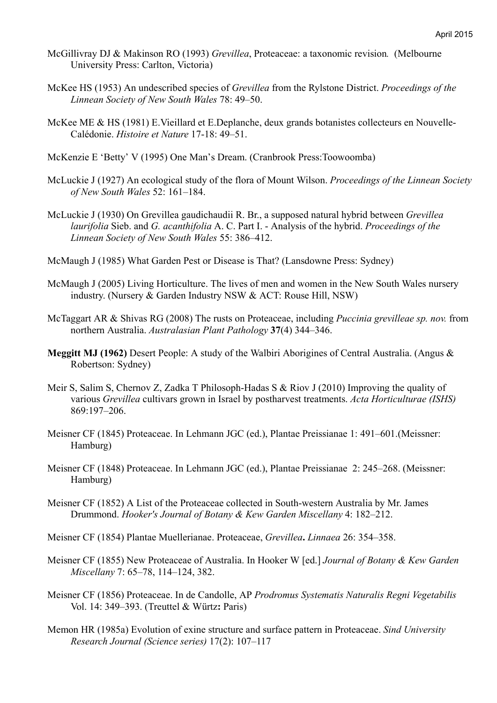- McGillivray DJ & Makinson RO (1993) *Grevillea*, Proteaceae: a taxonomic revision*.* (Melbourne University Press: Carlton, Victoria)
- McKee HS (1953) An undescribed species of *Grevillea* from the Rylstone District. *Proceedings of the Linnean Society of New South Wales* 78: 49–50.
- McKee ME & HS (1981) E.Vieillard et E.Deplanche, deux grands botanistes collecteurs en Nouvelle-Calédonie. *Histoire et Nature* 17-18: 49–51.
- McKenzie E 'Betty' V (1995) One Man's Dream. (Cranbrook Press:Toowoomba)
- McLuckie J (1927) An ecological study of the flora of Mount Wilson. *Proceedings of the Linnean Society of New South Wales* 52: 161–184.
- McLuckie J (1930) On Grevillea gaudichaudii R. Br., a supposed natural hybrid between *Grevillea laurifolia* Sieb. and *G. acanthifolia* A. C. Part I. - Analysis of the hybrid. *Proceedings of the Linnean Society of New South Wales* 55: 386–412.
- McMaugh J (1985) What Garden Pest or Disease is That? (Lansdowne Press: Sydney)
- McMaugh J (2005) Living Horticulture. The lives of men and women in the New South Wales nursery industry. (Nursery & Garden Industry NSW & ACT: Rouse Hill, NSW)
- McTaggart AR & Shivas RG (2008) The rusts on Proteaceae, including *Puccinia grevilleae sp. nov.* from northern Australia. *Australasian Plant Pathology* **37**(4) 344–346.
- **Meggitt MJ (1962)** Desert People: A study of the Walbiri Aborigines of Central Australia. (Angus & Robertson: Sydney)
- Meir S, Salim S, Chernov Z, Zadka T Philosoph-Hadas S & Riov J (2010) Improving the quality of various *Grevillea* cultivars grown in Israel by postharvest treatments. *Acta Horticulturae (ISHS)* 869:197–206.
- Meisner CF (1845) Proteaceae. In Lehmann JGC (ed.), Plantae Preissianae 1: 491–601.(Meissner: Hamburg)
- Meisner CF (1848) Proteaceae. In Lehmann JGC (ed.), Plantae Preissianae 2: 245–268. (Meissner: Hamburg)
- Meisner CF (1852) A List of the Proteaceae collected in South-western Australia by Mr. James Drummond. *Hooker's Journal of Botany & Kew Garden Miscellany* 4: 182–212.
- Meisner CF (1854) Plantae Muellerianae. Proteaceae, *Grevillea***.** *Linnaea* 26: 354–358.
- Meisner CF (1855) New Proteaceae of Australia. In Hooker W [ed.] *Journal of Botany & Kew Garden Miscellany* 7: 65–78, 114–124, 382.
- Meisner CF (1856) Proteaceae. In de Candolle, AP *Prodromus Systematis Naturalis Regni Vegetabilis* Vol. 14: 349–393. (Treuttel & Würtz**:** Paris)
- Memon HR (1985a) Evolution of exine structure and surface pattern in Proteaceae. *Sind University Research Journal (Science series)* 17(2): 107–117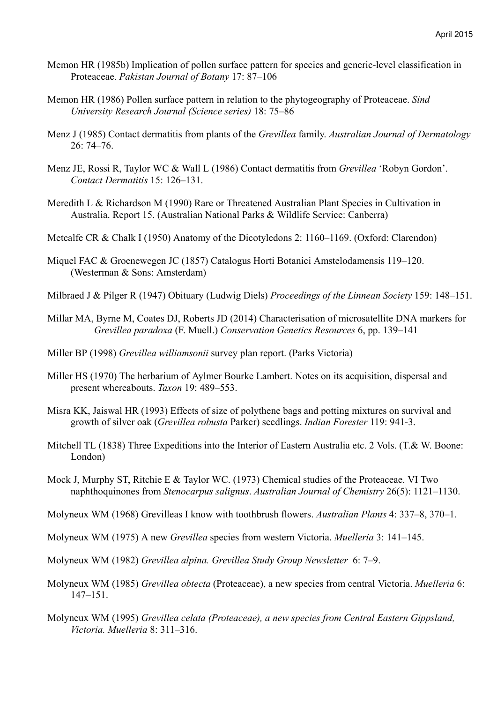- Memon HR (1985b) Implication of pollen surface pattern for species and generic-level classification in Proteaceae. *Pakistan Journal of Botany* 17: 87–106
- Memon HR (1986) Pollen surface pattern in relation to the phytogeography of Proteaceae. *Sind University Research Journal (Science series)* 18: 75–86
- Menz J (1985) Contact dermatitis from plants of the *Grevillea* family. *Australian Journal of Dermatology* 26: 74–76.
- Menz JE, Rossi R, Taylor WC & Wall L (1986) Contact dermatitis from *Grevillea* 'Robyn Gordon'. *Contact Dermatitis* 15: 126–131.
- Meredith L & Richardson M (1990) Rare or Threatened Australian Plant Species in Cultivation in Australia. Report 15. (Australian National Parks & Wildlife Service: Canberra)
- Metcalfe CR & Chalk I (1950) Anatomy of the Dicotyledons 2: 1160–1169. (Oxford: Clarendon)
- Miquel FAC & Groenewegen JC (1857) Catalogus Horti Botanici Amstelodamensis 119–120. (Westerman & Sons: Amsterdam)
- Milbraed J & Pilger R (1947) Obituary (Ludwig Diels) *Proceedings of the Linnean Society* 159: 148–151.
- Millar MA, Byrne M, Coates DJ, Roberts JD (2014) Characterisation of microsatellite DNA markers for *Grevillea paradoxa* (F. Muell.) *Conservation Genetics Resources* 6, pp. 139–141
- Miller BP (1998) *Grevillea williamsonii* survey plan report. (Parks Victoria)
- Miller HS (1970) The herbarium of Aylmer Bourke Lambert. Notes on its acquisition, dispersal and present whereabouts. *Taxon* 19: 489–553.
- Misra KK, Jaiswal HR (1993) Effects of size of polythene bags and potting mixtures on survival and growth of silver oak (*Grevillea robusta* Parker) seedlings. *Indian Forester* 119: 941-3.
- Mitchell TL (1838) Three Expeditions into the Interior of Eastern Australia etc. 2 Vols. (T.& W. Boone: London)
- Mock J, Murphy ST, Ritchie E & Taylor WC. (1973) Chemical studies of the Proteaceae. VI Two naphthoquinones from *Stenocarpus salignus*. *Australian Journal of Chemistry* 26(5): 1121–1130.
- Molyneux WM (1968) Grevilleas I know with toothbrush flowers. *Australian Plants* 4: 337–8, 370–1.
- Molyneux WM (1975) A new *Grevillea* species from western Victoria. *Muelleria* 3: 141–145.
- Molyneux WM (1982) *Grevillea alpina. Grevillea Study Group Newsletter* 6: 7–9.
- Molyneux WM (1985) *Grevillea obtecta* (Proteaceae), a new species from central Victoria. *Muelleria* 6: 147–151.
- Molyneux WM (1995) *Grevillea celata (Proteaceae), a new species from Central Eastern Gippsland, Victoria. Muelleria* 8: 311–316.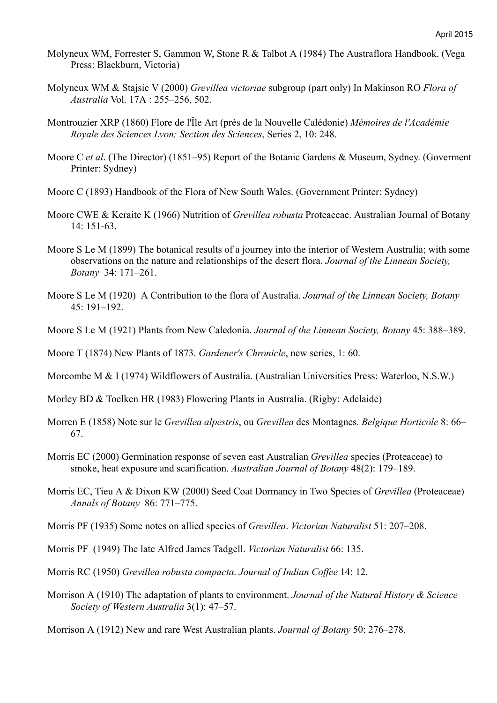- Molyneux WM, Forrester S, Gammon W, Stone R & Talbot A (1984) The Austraflora Handbook. (Vega Press: Blackburn, Victoria)
- Molyneux WM & Stajsic V (2000) *Grevillea victoriae* subgroup (part only) In Makinson RO *Flora of Australia* Vol. 17A : 255–256, 502.
- Montrouzier XRP (1860) Flore de l'Île Art (près de la Nouvelle Calédonie) *Mémoires de l'Académie Royale des Sciences Lyon; Section des Sciences*, Series 2, 10: 248.
- Moore C *et al*. (The Director) (1851–95) Report of the Botanic Gardens & Museum, Sydney. (Goverment Printer: Sydney)
- Moore C (1893) Handbook of the Flora of New South Wales. (Government Printer: Sydney)
- Moore CWE & Keraite K (1966) Nutrition of *Grevillea robusta* Proteaceae. Australian Journal of Botany 14: 151-63.
- Moore S Le M (1899) The botanical results of a journey into the interior of Western Australia; with some observations on the nature and relationships of the desert flora. *Journal of the Linnean Society, Botany* 34: 171–261.
- Moore S Le M (1920) A Contribution to the flora of Australia. *Journal of the Linnean Society, Botany* 45: 191–192.
- Moore S Le M (1921) Plants from New Caledonia. *Journal of the Linnean Society, Botany* 45: 388–389.

Moore T (1874) New Plants of 1873. *Gardener's Chronicle*, new series, 1: 60.

Morcombe M & I (1974) Wildflowers of Australia. (Australian Universities Press: Waterloo, N.S.W.)

Morley BD & Toelken HR (1983) Flowering Plants in Australia. (Rigby: Adelaide)

- Morren E (1858) Note sur le *Grevillea alpestris*, ou *Grevillea* des Montagnes. *Belgique Horticole* 8: 66– 67.
- Morris EC (2000) Germination response of seven east Australian *Grevillea* species (Proteaceae) to smoke, heat exposure and scarification. *Australian Journal of Botany* 48(2): 179–189.
- Morris EC, Tieu A & Dixon KW (2000) Seed Coat Dormancy in Two Species of *Grevillea* (Proteaceae) *Annals of Botany* 86: 771–775.
- Morris PF (1935) Some notes on allied species of *Grevillea*. *Victorian Naturalist* 51: 207–208.
- Morris PF (1949) The late Alfred James Tadgell. *Victorian Naturalist* 66: 135.
- Morris RC (1950) *Grevillea robusta compacta*. *Journal of Indian Coffee* 14: 12.
- Morrison A (1910) The adaptation of plants to environment. *Journal of the Natural History & Science Society of Western Australia* 3(1): 47–57.

Morrison A (1912) New and rare West Australian plants. *Journal of Botany* 50: 276–278.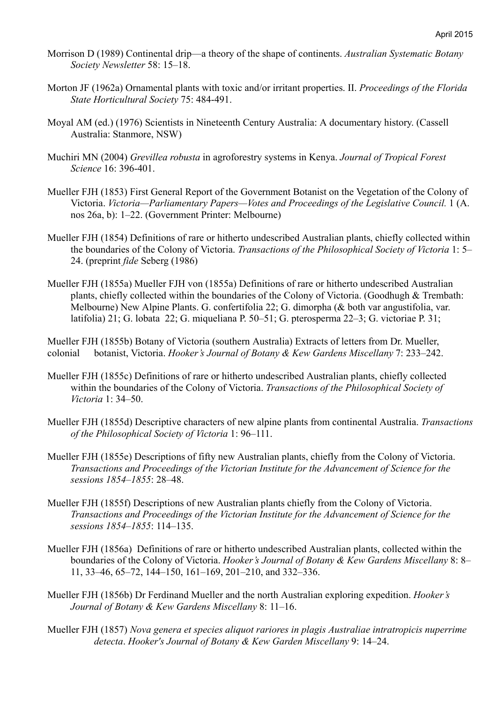- Morrison D (1989) Continental drip—a theory of the shape of continents. *Australian Systematic Botany Society Newsletter* 58: 15–18.
- Morton JF (1962a) Ornamental plants with toxic and/or irritant properties. II. *Proceedings of the Florida State Horticultural Society* 75: 484-491.
- Moyal AM (ed.) (1976) Scientists in Nineteenth Century Australia: A documentary history. (Cassell Australia: Stanmore, NSW)
- Muchiri MN (2004) *Grevillea robusta* in agroforestry systems in Kenya. *Journal of Tropical Forest Science* 16: 396-401.
- Mueller FJH (1853) First General Report of the Government Botanist on the Vegetation of the Colony of Victoria. *Victoria—Parliamentary Papers—Votes and Proceedings of the Legislative Council.* 1 (A. nos 26a, b): 1–22. (Government Printer: Melbourne)
- Mueller FJH (1854) Definitions of rare or hitherto undescribed Australian plants, chiefly collected within the boundaries of the Colony of Victoria. *Transactions of the Philosophical Society of Victoria* 1: 5– 24. (preprint *fide* Seberg (1986)
- Mueller FJH (1855a) Mueller FJH von (1855a) Definitions of rare or hitherto undescribed Australian plants, chiefly collected within the boundaries of the Colony of Victoria. (Goodhugh & Trembath: Melbourne) New Alpine Plants. G. confertifolia 22; G. dimorpha (& both var angustifolia, var. latifolia) 21; G. lobata 22; G. miqueliana P. 50–51; G. pterosperma 22–3; G. victoriae P. 31;

Mueller FJH (1855b) Botany of Victoria (southern Australia) Extracts of letters from Dr. Mueller, colonial botanist, Victoria. *Hooker's Journal of Botany & Kew Gardens Miscellany* 7: 233–242.

- Mueller FJH (1855c) Definitions of rare or hitherto undescribed Australian plants, chiefly collected within the boundaries of the Colony of Victoria. *Transactions of the Philosophical Society of Victoria* 1: 34–50.
- Mueller FJH (1855d) Descriptive characters of new alpine plants from continental Australia. *Transactions of the Philosophical Society of Victoria* 1: 96–111.
- Mueller FJH (1855e) Descriptions of fifty new Australian plants, chiefly from the Colony of Victoria. *Transactions and Proceedings of the Victorian Institute for the Advancement of Science for the sessions 1854–1855*: 28–48.
- Mueller FJH (1855f) Descriptions of new Australian plants chiefly from the Colony of Victoria. *Transactions and Proceedings of the Victorian Institute for the Advancement of Science for the sessions 1854–1855*: 114–135.
- Mueller FJH (1856a) Definitions of rare or hitherto undescribed Australian plants, collected within the boundaries of the Colony of Victoria. *Hooker's Journal of Botany & Kew Gardens Miscellany* 8: 8– 11, 33–46, 65–72, 144–150, 161–169, 201–210, and 332–336.
- Mueller FJH (1856b) Dr Ferdinand Mueller and the north Australian exploring expedition. *Hooker's Journal of Botany & Kew Gardens Miscellany* 8: 11–16.
- Mueller FJH (1857) *Nova genera et species aliquot rariores in plagis Australiae intratropicis nuperrime detecta*. *Hooker's Journal of Botany & Kew Garden Miscellany* 9: 14–24.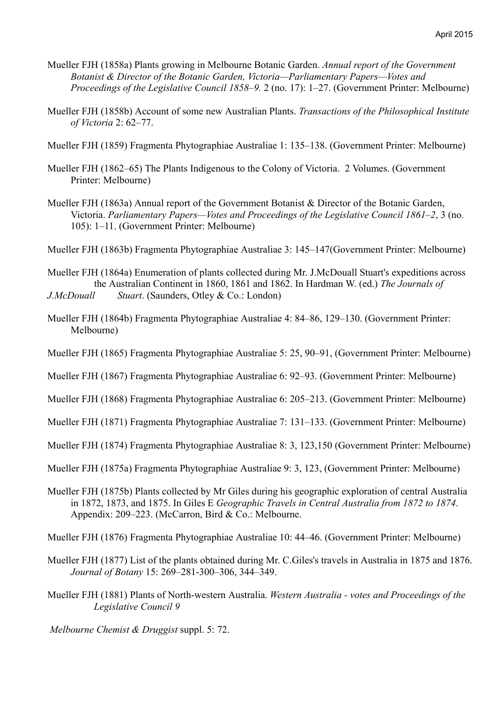- Mueller FJH (1858a) Plants growing in Melbourne Botanic Garden. *Annual report of the Government Botanist & Director of the Botanic Garden, Victoria—Parliamentary Papers—Votes and Proceedings of the Legislative Council 1858–9.* 2 (no. 17): 1–27. (Government Printer: Melbourne)
- Mueller FJH (1858b) Account of some new Australian Plants. *Transactions of the Philosophical Institute of Victoria* 2: 62–77.
- Mueller FJH (1859) Fragmenta Phytographiae Australiae 1: 135–138. (Government Printer: Melbourne)
- Mueller FJH (1862–65) The Plants Indigenous to the Colony of Victoria. 2 Volumes. (Government Printer: Melbourne)
- Mueller FJH (1863a) Annual report of the Government Botanist & Director of the Botanic Garden, Victoria. *Parliamentary Papers—Votes and Proceedings of the Legislative Council 1861–2*, 3 (no. 105): 1–11. (Government Printer: Melbourne)
- Mueller FJH (1863b) Fragmenta Phytographiae Australiae 3: 145–147(Government Printer: Melbourne)

Mueller FJH (1864a) Enumeration of plants collected during Mr. J.McDouall Stuart's expeditions across the Australian Continent in 1860, 1861 and 1862. In Hardman W. (ed.) *The Journals of J.McDouall Stuart*. (Saunders, Otley & Co.: London)

- Mueller FJH (1864b) Fragmenta Phytographiae Australiae 4: 84–86, 129–130. (Government Printer: Melbourne)
- Mueller FJH (1865) Fragmenta Phytographiae Australiae 5: 25, 90–91, (Government Printer: Melbourne)
- Mueller FJH (1867) Fragmenta Phytographiae Australiae 6: 92–93. (Government Printer: Melbourne)
- Mueller FJH (1868) Fragmenta Phytographiae Australiae 6: 205–213. (Government Printer: Melbourne)
- Mueller FJH (1871) Fragmenta Phytographiae Australiae 7: 131–133. (Government Printer: Melbourne)
- Mueller FJH (1874) Fragmenta Phytographiae Australiae 8: 3, 123,150 (Government Printer: Melbourne)
- Mueller FJH (1875a) Fragmenta Phytographiae Australiae 9: 3, 123, (Government Printer: Melbourne)
- Mueller FJH (1875b) Plants collected by Mr Giles during his geographic exploration of central Australia in 1872, 1873, and 1875. In Giles E *Geographic Travels in Central Australia from 1872 to 1874*. Appendix: 209–223. (McCarron, Bird & Co.: Melbourne.

Mueller FJH (1876) Fragmenta Phytographiae Australiae 10: 44–46. (Government Printer: Melbourne)

- Mueller FJH (1877) List of the plants obtained during Mr. C.Giles's travels in Australia in 1875 and 1876. *Journal of Botany* 15: 269–281-300–306, 344–349.
- Mueller FJH (1881) Plants of North-western Australia. *Western Australia votes and Proceedings of the Legislative Council 9*
- *Melbourne Chemist & Druggist* suppl. 5: 72.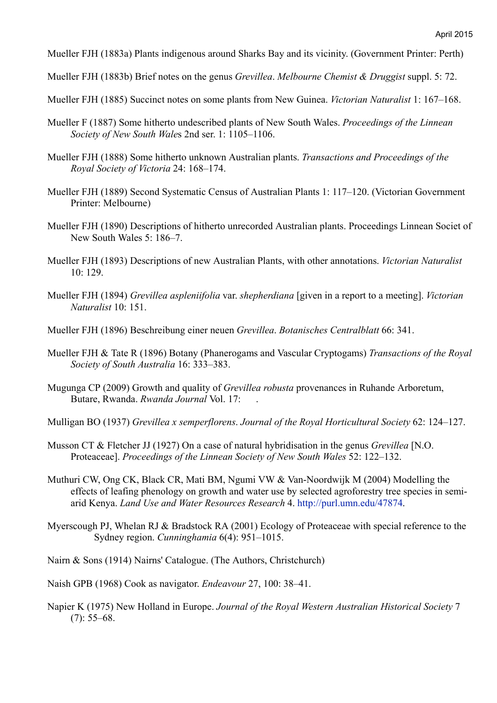Mueller FJH (1883a) Plants indigenous around Sharks Bay and its vicinity. (Government Printer: Perth)

Mueller FJH (1883b) Brief notes on the genus *Grevillea*. *Melbourne Chemist & Druggist* suppl. 5: 72.

Mueller FJH (1885) Succinct notes on some plants from New Guinea. *Victorian Naturalist* 1: 167–168.

- Mueller F (1887) Some hitherto undescribed plants of New South Wales. *Proceedings of the Linnean Society of New South Wale*s 2nd ser. 1: 1105–1106.
- Mueller FJH (1888) Some hitherto unknown Australian plants. *Transactions and Proceedings of the Royal Society of Victoria* 24: 168–174.
- Mueller FJH (1889) Second Systematic Census of Australian Plants 1: 117–120. (Victorian Government Printer: Melbourne)
- Mueller FJH (1890) Descriptions of hitherto unrecorded Australian plants. Proceedings Linnean Societ of New South Wales 5: 186–7.
- Mueller FJH (1893) Descriptions of new Australian Plants, with other annotations. *Victorian Naturalist*  10: 129.
- Mueller FJH (1894) *Grevillea aspleniifolia* var. *shepherdiana* [given in a report to a meeting]. *Victorian Naturalist* 10: 151.
- Mueller FJH (1896) Beschreibung einer neuen *Grevillea*. *Botanisches Centralblatt* 66: 341.
- Mueller FJH & Tate R (1896) Botany (Phanerogams and Vascular Cryptogams) *Transactions of the Royal Society of South Australia* 16: 333–383.
- Mugunga CP (2009) Growth and quality of *Grevillea robusta* provenances in Ruhande Arboretum, Butare, Rwanda. *Rwanda Journal* Vol. 17: .
- Mulligan BO (1937) *Grevillea x semperflorens*. *Journal of the Royal Horticultural Society* 62: 124–127.
- Musson CT & Fletcher JJ (1927) On a case of natural hybridisation in the genus *Grevillea* [N.O. Proteaceae]. *Proceedings of the Linnean Society of New South Wales* 52: 122–132.
- Muthuri CW, Ong CK, Black CR, Mati BM, Ngumi VW & Van-Noordwijk M (2004) Modelling the effects of leafing phenology on growth and water use by selected agroforestry tree species in semiarid Kenya. *Land Use and Water Resources Research* 4. http://purl.umn.edu/47874.
- Myerscough PJ, Whelan RJ & Bradstock RA (2001) Ecology of Proteaceae with special reference to the Sydney region. *Cunninghamia* 6(4): 951–1015.
- Nairn & Sons (1914) Nairns' Catalogue. (The Authors, Christchurch)
- Naish GPB (1968) Cook as navigator. *Endeavour* 27, 100: 38–41.
- Napier K (1975) New Holland in Europe. *Journal of the Royal Western Australian Historical Society* 7  $(7): 55-68.$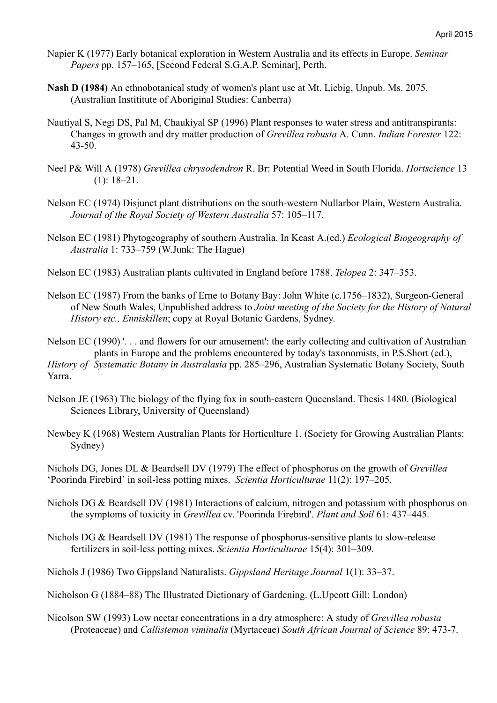- Napier K (1977) Early botanical exploration in Western Australia and its effects in Europe. *Seminar Papers* pp. 157–165, [Second Federal S.G.A.P. Seminar], Perth.
- **Nash D (1984)** An ethnobotanical study of women's plant use at Mt. Liebig, Unpub. Ms. 2075. (Australian Instititute of Aboriginal Studies: Canberra)
- Nautiyal S, Negi DS, Pal M, Chaukiyal SP (1996) Plant responses to water stress and antitranspirants: Changes in growth and dry matter production of *Grevillea robusta* A. Cunn. *Indian Forester* 122: 43-50.
- Neel P& Will A (1978) *Grevillea chrysodendron* R. Br: Potential Weed in South Florida. *Hortscience* 13 (1): 18–21.
- Nelson EC (1974) Disjunct plant distributions on the south-western Nullarbor Plain, Western Australia. *Journal of the Royal Society of Western Australia* 57: 105–117.
- Nelson EC (1981) Phytogeography of southern Australia. In Keast A.(ed.) *Ecological Biogeography of Australia* 1: 733–759 (W.Junk: The Hague)
- Nelson EC (1983) Australian plants cultivated in England before 1788. *Telopea* 2: 347–353.
- Nelson EC (1987) From the banks of Erne to Botany Bay: John White (c.1756–1832), Surgeon-General of New South Wales, Unpublished address to *Joint meeting of the Society for the History of Natural History etc., Enniskillen*; copy at Royal Botanic Gardens, Sydney.

Nelson EC (1990) '. . . and flowers for our amusement': the early collecting and cultivation of Australian plants in Europe and the problems encountered by today's taxonomists, in P.S.Short (ed.),

*History of Systematic Botany in Australasia* pp. 285–296, Australian Systematic Botany Society, South Yarra.

- Nelson JE (1963) The biology of the flying fox in south-eastern Queensland. Thesis 1480. (Biological Sciences Library, University of Queensland)
- Newbey K (1968) Western Australian Plants for Horticulture 1. (Society for Growing Australian Plants: Sydney)

Nichols DG, Jones DL & Beardsell DV (1979) The effect of phosphorus on the growth of *Grevillea* 'Poorinda Firebird' in soil-less potting mixes. *Scientia Horticulturae* 11(2): 197–205.

- Nichols DG & Beardsell DV (1981) Interactions of calcium, nitrogen and potassium with phosphorus on the symptoms of toxicity in *Grevillea* cv. 'Poorinda Firebird'. *Plant and Soil* 61: 437–445.
- Nichols DG & Beardsell DV (1981) The response of phosphorus-sensitive plants to slow-release fertilizers in soil-less potting mixes. *Scientia Horticulturae* 15(4): 301–309.

Nichols J (1986) Two Gippsland Naturalists. *Gippsland Heritage Journal* 1(1): 33–37.

Nicholson G (1884–88) The Illustrated Dictionary of Gardening. (L.Upcott Gill: London)

Nicolson SW (1993) Low nectar concentrations in a dry atmosphere: A study of *Grevillea robusta* (Proteaceae) and *Callistemon viminalis* (Myrtaceae) *South African Journal of Science* 89: 473-7.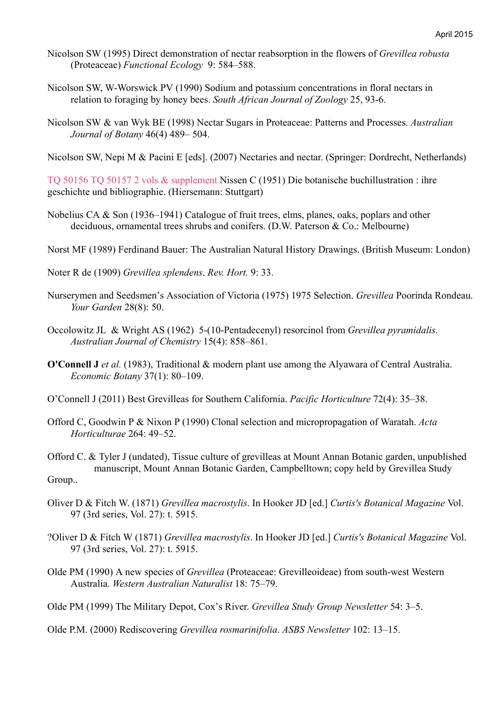- Nicolson SW (1995) Direct demonstration of nectar reabsorption in the flowers of *Grevillea robusta* (Proteaceae) *Functional Ecology* 9: 584–588.
- Nicolson SW, W-Worswick PV (1990) Sodium and potassium concentrations in floral nectars in relation to foraging by honey bees. *South African Journal of Zoology* 25, 93-6.
- Nicolson SW & van Wyk BE (1998) Nectar Sugars in Proteaceae: Patterns and Processes. *Australian Journal of Botany* 46(4) 489– 504.

Nicolson SW, Nepi M & Pacini E [eds]. (2007) Nectaries and nectar. (Springer: Dordrecht, Netherlands)

TQ 50156 TQ 50157 2 vols & supplement Nissen C (1951) Die botanische buchillustration : ihre geschichte und bibliographie. (Hiersemann: Stuttgart)

- Nobelius CA & Son (1936–1941) Catalogue of fruit trees, elms, planes, oaks, poplars and other deciduous, ornamental trees shrubs and conifers. (D.W. Paterson & Co.: Melbourne)
- Norst MF (1989) Ferdinand Bauer: The Australian Natural History Drawings. (British Museum: London)

Noter R de (1909) *Grevillea splendens*. *Rev. Hort.* 9: 33.

- Nurserymen and Seedsmen's Association of Victoria (1975) 1975 Selection. *Grevillea* Poorinda Rondeau. *Your Garden* 28(8): 50.
- Occolowitz JL & Wright AS (1962) 5-(10-Pentadecenyl) resorcinol from *Grevillea pyramidalis. Australian Journal of Chemistry* 15(4): 858–861.
- **O'Connell J** *et al.* (1983), Traditional & modern plant use among the Alyawara of Central Australia. *Economic Botany* 37(1): 80–109.
- O'Connell J (2011) Best Grevilleas for Southern California. *Pacific Horticulture* 72(4): 35–38.
- Offord C, Goodwin P & Nixon P (1990) Clonal selection and micropropagation of Waratah. *Acta Horticulturae* 264: 49–52.

Offord C. & Tyler J (undated), Tissue culture of grevilleas at Mount Annan Botanic garden, unpublished manuscript, Mount Annan Botanic Garden, Campbelltown; copy held by Grevillea Study Group..

- Oliver D & Fitch W. (1871) *Grevillea macrostylis*. In Hooker JD [ed.] *Curtis's Botanical Magazine* Vol. 97 (3rd series, Vol. 27): t. 5915.
- ?Oliver D & Fitch W (1871) *Grevillea macrostylis*. In Hooker JD [ed.] *Curtis's Botanical Magazine* Vol. 97 (3rd series, Vol. 27): t. 5915.
- Olde PM (1990) A new species of *Grevillea* (Proteaceae: Grevilleoideae) from south-west Western Australia. *Western Australian Naturalist* 18: 75–79.

Olde PM (1999) The Military Depot, Cox's River. *Grevillea Study Group Newsletter* 54: 3–5.

Olde P.M. (2000) Rediscovering *Grevillea rosmarinifolia*. *ASBS Newsletter* 102: 13–15.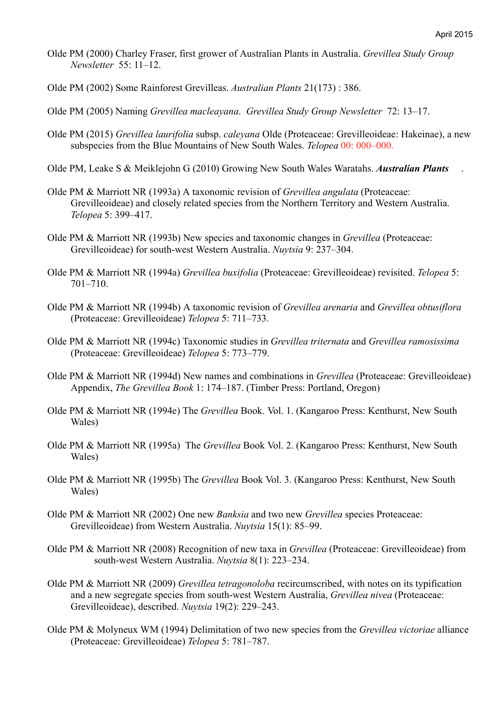- Olde PM (2000) Charley Fraser, first grower of Australian Plants in Australia. *Grevillea Study Group Newsletter* 55: 11–12.
- Olde PM (2002) Some Rainforest Grevilleas. *Australian Plants* 21(173) : 386.
- Olde PM (2005) Naming *Grevillea macleayana*. *Grevillea Study Group Newsletter* 72: 13–17.
- Olde PM (2015) *Grevillea laurifolia* subsp. *caleyana* Olde (Proteaceae: Grevilleoideae: Hakeinae), a new subspecies from the Blue Mountains of New South Wales. *Telopea* 00: 000–000.
- Olde PM, Leake S & Meiklejohn G (2010) Growing New South Wales Waratahs. *Australian Plants*.
- Olde PM & Marriott NR (1993a) A taxonomic revision of *Grevillea angulata* (Proteaceae: Grevilleoideae) and closely related species from the Northern Territory and Western Australia. *Telopea* 5: 399–417.
- Olde PM & Marriott NR (1993b) New species and taxonomic changes in *Grevillea* (Proteaceae: Grevilleoideae) for south-west Western Australia. *Nuytsia* 9: 237–304.
- Olde PM & Marriott NR (1994a) *Grevillea buxifolia* (Proteaceae: Grevilleoideae) revisited. *Telopea* 5: 701–710.
- Olde PM & Marriott NR (1994b) A taxonomic revision of *Grevillea arenaria* and *Grevillea obtusiflora* (Proteaceae: Grevilleoideae) *Telopea* 5: 711–733.
- Olde PM & Marriott NR (1994c) Taxonomic studies in *Grevillea triternata* and *Grevillea ramosissima* (Proteaceae: Grevilleoideae) *Telopea* 5: 773–779.
- Olde PM & Marriott NR (1994d) New names and combinations in *Grevillea* (Proteaceae: Grevilleoideae) Appendix, *The Grevillea Book* 1: 174–187. (Timber Press: Portland, Oregon)
- Olde PM & Marriott NR (1994e) The *Grevillea* Book. Vol. 1. (Kangaroo Press: Kenthurst, New South Wales)
- Olde PM & Marriott NR (1995a) The *Grevillea* Book Vol. 2. (Kangaroo Press: Kenthurst, New South Wales)
- Olde PM & Marriott NR (1995b) The *Grevillea* Book Vol. 3. (Kangaroo Press: Kenthurst, New South Wales)
- Olde PM & Marriott NR (2002) One new *Banksia* and two new *Grevillea* species Proteaceae: Grevilleoideae) from Western Australia. *Nuytsia* 15(1): 85–99.
- Olde PM & Marriott NR (2008) Recognition of new taxa in *Grevillea* (Proteaceae: Grevilleoideae) from south-west Western Australia. *Nuytsia* 8(1): 223–234.
- Olde PM & Marriott NR (2009) *Grevillea tetragonoloba* recircumscribed, with notes on its typification and a new segregate species from south-west Western Australia, *Grevillea nivea* (Proteaceae: Grevilleoideae), described. *Nuytsia* 19(2): 229–243.
- Olde PM & Molyneux WM (1994) Delimitation of two new species from the *Grevillea victoriae* alliance (Proteaceae: Grevilleoideae) *Telopea* 5: 781–787.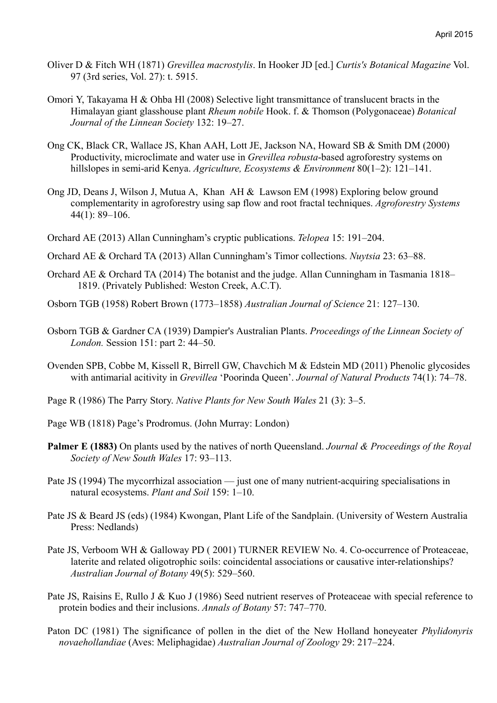- Oliver D & Fitch WH (1871) *Grevillea macrostylis*. In Hooker JD [ed.] *Curtis's Botanical Magazine* Vol. 97 (3rd series, Vol. 27): t. 5915.
- Omori Y, Takayama H & Ohba Hl (2008) Selective light transmittance of translucent bracts in the Himalayan giant glasshouse plant *Rheum nobile* Hook. f. & Thomson (Polygonaceae) *Botanical Journal of the Linnean Society* 132: 19–27.
- Ong CK, Black CR, Wallace JS, Khan AAH, Lott JE, Jackson NA, Howard SB & Smith DM (2000) Productivity, microclimate and water use in *Grevillea robusta*-based agroforestry systems on hillslopes in semi-arid Kenya. *Agriculture, Ecosystems & Environment* 80(1–2): 121–141.
- Ong JD, Deans J, Wilson J, Mutua A, Khan AH & Lawson EM (1998) Exploring below ground complementarity in agroforestry using sap flow and root fractal techniques. *Agroforestry Systems* 44(1): 89–106.
- Orchard AE (2013) Allan Cunningham's cryptic publications. *Telopea* 15: 191–204.
- Orchard AE & Orchard TA (2013) Allan Cunningham's Timor collections. *Nuytsia* 23: 63–88.
- Orchard AE & Orchard TA (2014) The botanist and the judge. Allan Cunningham in Tasmania 1818– 1819. (Privately Published: Weston Creek, A.C.T).
- Osborn TGB (1958) Robert Brown (1773–1858) *Australian Journal of Science* 21: 127–130.
- Osborn TGB & Gardner CA (1939) Dampier's Australian Plants. *Proceedings of the Linnean Society of London.* Session 151: part 2: 44–50.
- Ovenden SPB, Cobbe M, Kissell R, Birrell GW, Chavchich M & Edstein MD (2011) Phenolic glycosides with antimarial acitivity in *Grevillea* 'Poorinda Queen'. *Journal of Natural Products* 74(1): 74–78.
- Page R (1986) The Parry Story. *Native Plants for New South Wales* 21 (3): 3–5.
- Page WB (1818) Page's Prodromus. (John Murray: London)
- **Palmer E (1883)** On plants used by the natives of north Queensland. *Journal & Proceedings of the Royal Society of New South Wales* 17: 93–113.
- Pate JS (1994) The mycorrhizal association just one of many nutrient-acquiring specialisations in natural ecosystems. *Plant and Soil* 159: 1–10.
- Pate JS & Beard JS (eds) (1984) Kwongan, Plant Life of the Sandplain. (University of Western Australia Press: Nedlands)
- Pate JS, Verboom WH & Galloway PD ( 2001) TURNER REVIEW No. 4. Co-occurrence of Proteaceae, laterite and related oligotrophic soils: coincidental associations or causative inter-relationships? *Australian Journal of Botany* 49(5): 529–560.
- Pate JS, Raisins E, Rullo J & Kuo J (1986) Seed nutrient reserves of Proteaceae with special reference to protein bodies and their inclusions. *Annals of Botany* 57: 747–770.
- Paton DC (1981) The significance of pollen in the diet of the New Holland honeyeater *Phylidonyris novaehollandiae* (Aves: Meliphagidae) *Australian Journal of Zoology* 29: 217–224.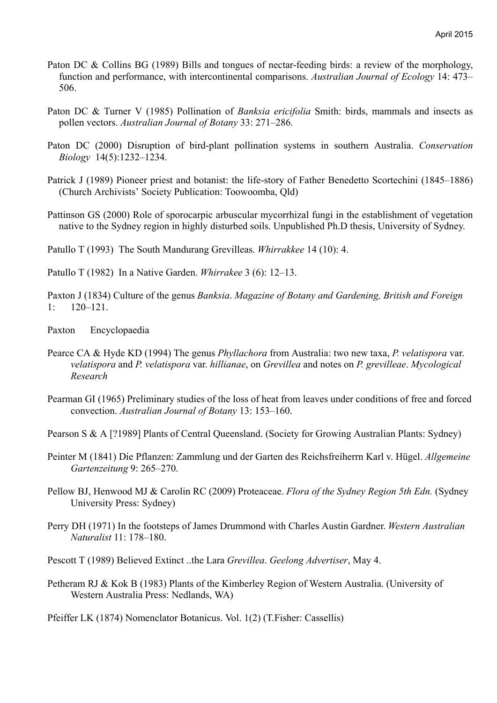- Paton DC & Collins BG (1989) Bills and tongues of nectar-feeding birds: a review of the morphology, function and performance, with intercontinental comparisons. *Australian Journal of Ecology* 14: 473– 506.
- Paton DC & Turner V (1985) Pollination of *Banksia ericifolia* Smith: birds, mammals and insects as pollen vectors. *Australian Journal of Botany* 33: 271–286.
- Paton DC (2000) Disruption of bird-plant pollination systems in southern Australia. *Conservation Biology* 14(5):1232–1234.
- Patrick J (1989) Pioneer priest and botanist: the life-story of Father Benedetto Scortechini (1845–1886) (Church Archivists' Society Publication: Toowoomba, Qld)
- Pattinson GS (2000) Role of sporocarpic arbuscular mycorrhizal fungi in the establishment of vegetation native to the Sydney region in highly disturbed soils. Unpublished Ph.D thesis, University of Sydney.
- Patullo T (1993) The South Mandurang Grevilleas. *Whirrakkee* 14 (10): 4.
- Patullo T (1982) In a Native Garden. *Whirrakee* 3 (6): 12–13.
- Paxton J (1834) Culture of the genus *Banksia*. *Magazine of Botany and Gardening, British and Foreign* 1: 120–121.
- Paxton Encyclopaedia
- Pearce CA & Hyde KD (1994) The genus *Phyllachora* from Australia: two new taxa, *P. velatispora* var. *velatispora* and *P. velatispora* var. *hillianae*, on *Grevillea* and notes on *P. grevilleae*. *Mycological Research*
- Pearman GI (1965) Preliminary studies of the loss of heat from leaves under conditions of free and forced convection. *Australian Journal of Botany* 13: 153–160.
- Pearson S & A [?1989] Plants of Central Queensland. (Society for Growing Australian Plants: Sydney)
- Peinter M (1841) Die Pflanzen: Zammlung und der Garten des Reichsfreiherrn Karl v. Hügel. *Allgemeine Gartenzeitung* 9: 265–270.
- Pellow BJ, Henwood MJ & Carolin RC (2009) Proteaceae. *Flora of the Sydney Region 5th Edn.* (Sydney University Press: Sydney)
- Perry DH (1971) In the footsteps of James Drummond with Charles Austin Gardner. *Western Australian Naturalist* 11: 178–180.
- Pescott T (1989) Believed Extinct ..the Lara *Grevillea*. *Geelong Advertiser*, May 4.
- Petheram RJ & Kok B (1983) Plants of the Kimberley Region of Western Australia. (University of Western Australia Press: Nedlands, WA)
- Pfeiffer LK (1874) Nomenclator Botanicus. Vol. 1(2) (T.Fisher: Cassellis)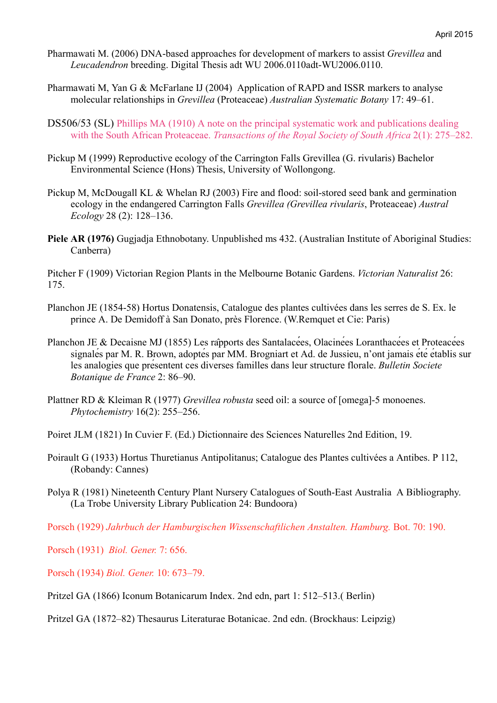- Pharmawati M. (2006) DNA-based approaches for development of markers to assist *Grevillea* and *Leucadendron* breeding. Digital Thesis adt WU 2006.0110adt-WU2006.0110.
- Pharmawati M, Yan G & McFarlane IJ (2004) Application of RAPD and ISSR markers to analyse molecular relationships in *Grevillea* (Proteaceae) *Australian Systematic Botany* 17: 49–61.
- DS506/53 (SL) Phillips MA (1910) A note on the principal systematic work and publications dealing with the South African Proteaceae. *Transactions of the Royal Society of South Africa* 2(1): 275–282.
- Pickup M (1999) Reproductive ecology of the Carrington Falls Grevillea (G. rivularis) Bachelor Environmental Science (Hons) Thesis, University of Wollongong.
- Pickup M, McDougall KL & Whelan RJ (2003) Fire and flood: soil-stored seed bank and germination ecology in the endangered Carrington Falls *Grevillea (Grevillea rivularis*, Proteaceae) *Austral Ecology* 28 (2): 128–136.
- **Piele AR (1976)** Gugjadja Ethnobotany. Unpublished ms 432. (Australian Institute of Aboriginal Studies: Canberra)

Pitcher F (1909) Victorian Region Plants in the Melbourne Botanic Gardens. *Victorian Naturalist* 26: 175.

- Planchon JE (1854-58) Hortus Donatensis, Catalogue des plantes cultivées dans les serres de S. Ex. le prince A. De Demidoff à San Donato, près Florence. (W.Remquet et Cie: Paris)
- Planchon JE & Decaisne MJ (1855) Les râpports des Santalacées, Olacinées Loranthacées et Proteacées signalés par M. R. Brown, adoptés par MM. Brogniart et Ad. de Jussieu, n'ont jamais été établis sur les analogies que présentent ces diverses familles dans leur structure florale. *Bulletin Societe Botanique de France* 2: 86–90.
- Plattner RD & Kleiman R (1977) *Grevillea robusta* seed oil: a source of [omega]-5 monoenes. *Phytochemistry* 16(2): 255–256.
- Poiret JLM (1821) In Cuvier F. (Ed.) Dictionnaire des Sciences Naturelles 2nd Edition, 19.
- Poirault G (1933) Hortus Thuretianus Antipolitanus; Catalogue des Plantes cultivées a Antibes. P 112, (Robandy: Cannes)
- Polya R (1981) Nineteenth Century Plant Nursery Catalogues of South-East Australia A Bibliography. (La Trobe University Library Publication 24: Bundoora)
- Porsch (1929) *Jahrbuch der Hamburgischen Wissenschaftlichen Anstalten. Hamburg.* Bot. 70: 190.
- Porsch (1931) *Biol. Gener.* 7: 656.
- Porsch (1934) *Biol. Gener.* 10: 673–79.
- Pritzel GA (1866) Iconum Botanicarum Index. 2nd edn, part 1: 512–513.( Berlin)
- Pritzel GA (1872–82) Thesaurus Literaturae Botanicae. 2nd edn. (Brockhaus: Leipzig)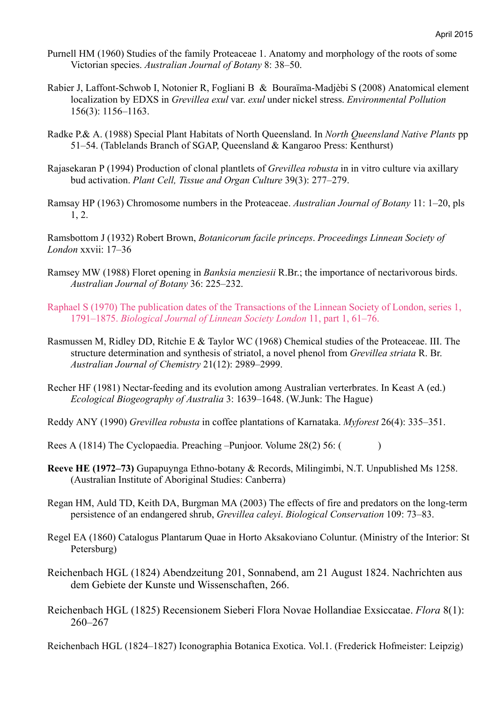- Purnell HM (1960) Studies of the family Proteaceae 1. Anatomy and morphology of the roots of some Victorian species. *Australian Journal of Botany* 8: 38–50.
- Rabier J, Laffont-Schwob I, Notonier R, Fogliani B & Bouraïma-Madjèbi S (2008) Anatomical element localization by EDXS in *Grevillea exul* var. *exul* under nickel stress. *Environmental Pollution* 156(3): 1156–1163.
- Radke P.& A. (1988) Special Plant Habitats of North Queensland. In *North Queensland Native Plants* pp 51–54. (Tablelands Branch of SGAP, Queensland & Kangaroo Press: Kenthurst)
- Rajasekaran P (1994) Production of clonal plantlets of *Grevillea robusta* in in vitro culture via axillary bud activation. *Plant Cell, Tissue and Organ Culture* 39(3): 277–279.
- Ramsay HP (1963) Chromosome numbers in the Proteaceae. *Australian Journal of Botany* 11: 1–20, pls 1, 2.

Ramsbottom J (1932) Robert Brown, *Botanicorum facile princeps*. *Proceedings Linnean Society of London* xxvii: 17–36

- Ramsey MW (1988) Floret opening in *Banksia menziesii* R.Br.; the importance of nectarivorous birds. *Australian Journal of Botany* 36: 225–232.
- Raphael S (1970) The publication dates of the Transactions of the Linnean Society of London, series 1, 1791–1875. *Biological Journal of Linnean Society London* 11, part 1, 61–76.
- Rasmussen M, Ridley DD, Ritchie E & Taylor WC (1968) Chemical studies of the Proteaceae. III. The structure determination and synthesis of striatol, a novel phenol from *Grevillea striata* R. Br. *Australian Journal of Chemistry* 21(12): 2989–2999.
- Recher HF (1981) Nectar-feeding and its evolution among Australian verterbrates. In Keast A (ed.) *Ecological Biogeography of Australia* 3: 1639–1648. (W.Junk: The Hague)
- Reddy ANY (1990) *Grevillea robusta* in coffee plantations of Karnataka. *Myforest* 26(4): 335–351.
- Rees A (1814) The Cyclopaedia. Preaching –Punjoor. Volume 28(2) 56: ()
- **Reeve HE (1972–73)** Gupapuynga Ethno-botany & Records, Milingimbi, N.T. Unpublished Ms 1258. (Australian Institute of Aboriginal Studies: Canberra)
- Regan HM, Auld TD, Keith DA, Burgman MA (2003) The effects of fire and predators on the long-term persistence of an endangered shrub, *Grevillea caleyi*. *Biological Conservation* 109: 73–83.
- Regel EA (1860) Catalogus Plantarum Quae in Horto Aksakoviano Coluntur. (Ministry of the Interior: St Petersburg)
- Reichenbach HGL (1824) Abendzeitung 201, Sonnabend, am 21 August 1824. Nachrichten aus dem Gebiete der Kunste und Wissenschaften, 266.
- Reichenbach HGL (1825) Recensionem Sieberi Flora Novae Hollandiae Exsiccatae. *Flora* 8(1): 260–267

Reichenbach HGL (1824–1827) Iconographia Botanica Exotica. Vol.1. (Frederick Hofmeister: Leipzig)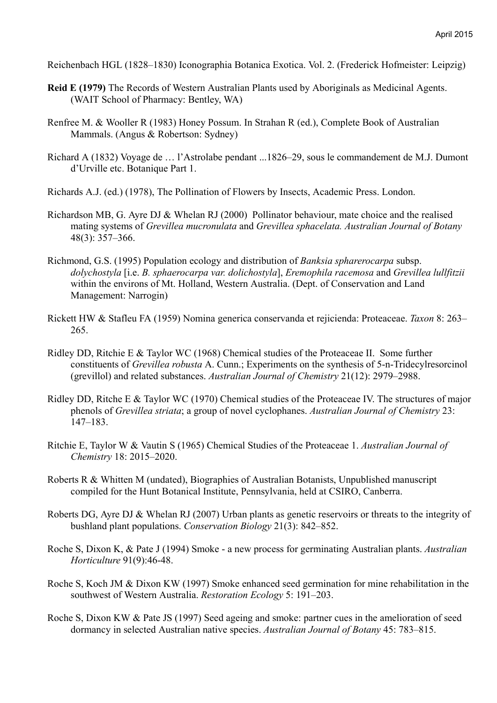Reichenbach HGL (1828–1830) Iconographia Botanica Exotica. Vol. 2. (Frederick Hofmeister: Leipzig)

- **Reid E (1979)** The Records of Western Australian Plants used by Aboriginals as Medicinal Agents. (WAIT School of Pharmacy: Bentley, WA)
- Renfree M. & Wooller R (1983) Honey Possum. In Strahan R (ed.), Complete Book of Australian Mammals. (Angus & Robertson: Sydney)
- Richard A (1832) Voyage de … l'Astrolabe pendant ...1826–29, sous le commandement de M.J. Dumont d'Urville etc. Botanique Part 1.

Richards A.J. (ed.) (1978), The Pollination of Flowers by Insects, Academic Press. London.

- Richardson MB, G. Ayre DJ & Whelan RJ (2000) Pollinator behaviour, mate choice and the realised mating systems of *Grevillea mucronulata* and *Grevillea sphacelata. Australian Journal of Botany* 48(3): 357–366.
- Richmond, G.S. (1995) Population ecology and distribution of *Banksia spharerocarpa* subsp. *dolychostyla* [i.e. *B. sphaerocarpa var. dolichostyla*], *Eremophila racemosa* and *Grevillea lullfitzii* within the environs of Mt. Holland, Western Australia. (Dept. of Conservation and Land Management: Narrogin)
- Rickett HW & Stafleu FA (1959) Nomina generica conservanda et rejicienda: Proteaceae. *Taxon* 8: 263– 265.
- Ridley DD, Ritchie E & Taylor WC (1968) Chemical studies of the Proteaceae II. Some further constituents of *Grevillea robusta* A. Cunn.; Experiments on the synthesis of 5-n-Tridecylresorcinol (grevillol) and related substances. *Australian Journal of Chemistry* 21(12): 2979–2988.
- Ridley DD, Ritche E & Taylor WC (1970) Chemical studies of the Proteaceae IV. The structures of major phenols of *Grevillea striata*; a group of novel cyclophanes. *Australian Journal of Chemistry* 23: 147–183.
- Ritchie E, Taylor W & Vautin S (1965) Chemical Studies of the Proteaceae 1. *Australian Journal of Chemistry* 18: 2015–2020.
- Roberts R & Whitten M (undated), Biographies of Australian Botanists, Unpublished manuscript compiled for the Hunt Botanical Institute, Pennsylvania, held at CSIRO, Canberra.
- Roberts DG, Ayre DJ & Whelan RJ (2007) Urban plants as genetic reservoirs or threats to the integrity of bushland plant populations. *Conservation Biology* 21(3): 842–852.
- Roche S, Dixon K, & Pate J (1994) Smoke a new process for germinating Australian plants. *Australian Horticulture* 91(9):46-48.
- Roche S, Koch JM & Dixon KW (1997) Smoke enhanced seed germination for mine rehabilitation in the southwest of Western Australia. *Restoration Ecology* 5: 191–203.
- Roche S, Dixon KW & Pate JS (1997) Seed ageing and smoke: partner cues in the amelioration of seed dormancy in selected Australian native species. *Australian Journal of Botany* 45: 783–815.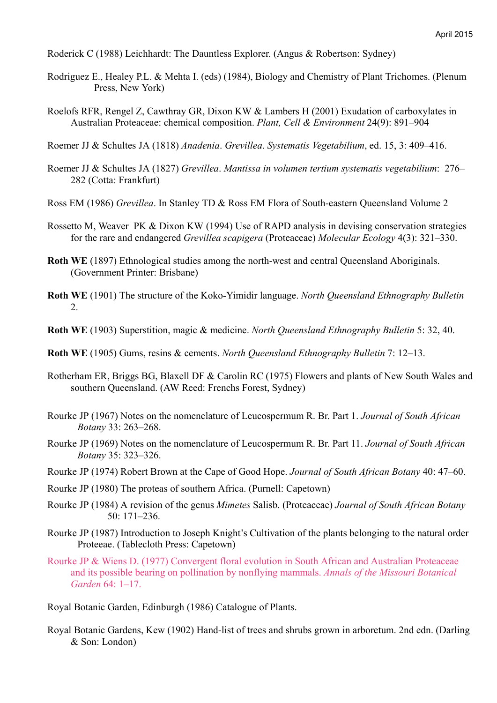Roderick C (1988) Leichhardt: The Dauntless Explorer. (Angus & Robertson: Sydney)

- Rodriguez E., Healey P.L. & Mehta I. (eds) (1984), Biology and Chemistry of Plant Trichomes. (Plenum Press, New York)
- Roelofs RFR, Rengel Z, Cawthray GR, Dixon KW & Lambers H (2001) Exudation of carboxylates in Australian Proteaceae: chemical composition. *Plant, Cell & Environment* 24(9): 891–904

Roemer JJ & Schultes JA (1818) *Anadenia*. *Grevillea*. *Systematis Vegetabilium*, ed. 15, 3: 409–416.

- Roemer JJ & Schultes JA (1827) *Grevillea*. *Mantissa in volumen tertium systematis vegetabilium*: 276– 282 (Cotta: Frankfurt)
- Ross EM (1986) *Grevillea*. In Stanley TD & Ross EM Flora of South-eastern Queensland Volume 2
- Rossetto M, Weaver PK & Dixon KW (1994) Use of RAPD analysis in devising conservation strategies for the rare and endangered *Grevillea scapigera* (Proteaceae) *Molecular Ecology* 4(3): 321–330.
- **Roth WE** (1897) Ethnological studies among the north-west and central Oueensland Aboriginals. (Government Printer: Brisbane)
- **Roth WE** (1901) The structure of the Koko-Yimidir language. *North Queensland Ethnography Bulletin* 2.
- **Roth WE** (1903) Superstition, magic & medicine. *North Queensland Ethnography Bulletin* 5: 32, 40.
- **Roth WE** (1905) Gums, resins & cements. *North Queensland Ethnography Bulletin* 7: 12–13.
- Rotherham ER, Briggs BG, Blaxell DF & Carolin RC (1975) Flowers and plants of New South Wales and southern Queensland. (AW Reed: Frenchs Forest, Sydney)
- Rourke JP (1967) Notes on the nomenclature of Leucospermum R. Br. Part 1. *Journal of South African Botany* 33: 263–268.
- Rourke JP (1969) Notes on the nomenclature of Leucospermum R. Br. Part 11. *Journal of South African Botany* 35: 323–326.
- Rourke JP (1974) Robert Brown at the Cape of Good Hope. *Journal of South African Botany* 40: 47–60.
- Rourke JP (1980) The proteas of southern Africa. (Purnell: Capetown)
- Rourke JP (1984) A revision of the genus *Mimetes* Salisb. (Proteaceae) *Journal of South African Botany* 50: 171–236.
- Rourke JP (1987) Introduction to Joseph Knight's Cultivation of the plants belonging to the natural order Proteeae. (Tablecloth Press: Capetown)
- Rourke JP & Wiens D. (1977) Convergent floral evolution in South African and Australian Proteaceae and its possible bearing on pollination by nonflying mammals. *Annals of the Missouri Botanical Garden* 64: 1–17.
- Royal Botanic Garden, Edinburgh (1986) Catalogue of Plants.
- Royal Botanic Gardens, Kew (1902) Hand-list of trees and shrubs grown in arboretum. 2nd edn. (Darling & Son: London)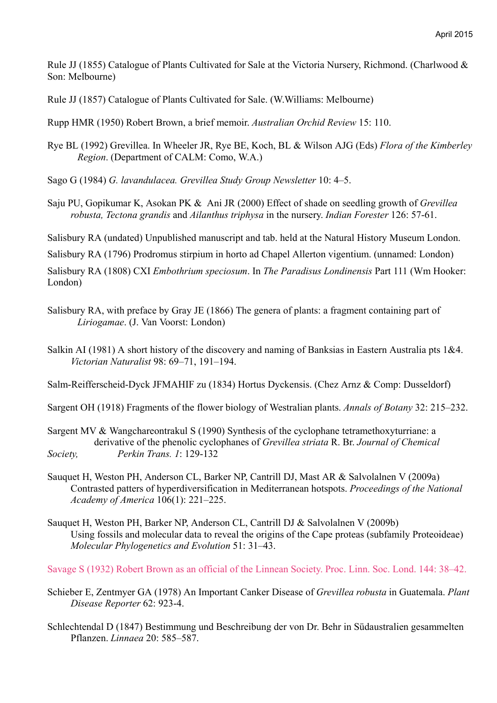Rule JJ (1855) Catalogue of Plants Cultivated for Sale at the Victoria Nursery, Richmond. (Charlwood & Son: Melbourne)

Rule JJ (1857) Catalogue of Plants Cultivated for Sale. (W.Williams: Melbourne)

Rupp HMR (1950) Robert Brown, a brief memoir. *Australian Orchid Review* 15: 110.

Rye BL (1992) Grevillea. In Wheeler JR, Rye BE, Koch, BL & Wilson AJG (Eds) *Flora of the Kimberley Region*. (Department of CALM: Como, W.A.)

Sago G (1984) *G. lavandulacea. Grevillea Study Group Newsletter* 10: 4–5.

Saju PU, Gopikumar K, Asokan PK & Ani JR (2000) Effect of shade on seedling growth of *Grevillea robusta, Tectona grandis* and *Ailanthus triphysa* in the nursery. *Indian Forester* 126: 57-61.

Salisbury RA (undated) Unpublished manuscript and tab. held at the Natural History Museum London.

Salisbury RA (1796) Prodromus stirpium in horto ad Chapel Allerton vigentium. (unnamed: London)

Salisbury RA (1808) CXI *Embothrium speciosum*. In *The Paradisus Londinensis* Part 111 (Wm Hooker: London)

- Salisbury RA, with preface by Gray JE (1866) The genera of plants: a fragment containing part of *Liriogamae*. (J. Van Voorst: London)
- Salkin AI (1981) A short history of the discovery and naming of Banksias in Eastern Australia pts 1&4. *Victorian Naturalist* 98: 69–71, 191–194.

Salm-Reifferscheid-Dyck JFMAHIF zu (1834) Hortus Dyckensis. (Chez Arnz & Comp: Dusseldorf)

Sargent OH (1918) Fragments of the flower biology of Westralian plants. *Annals of Botany* 32: 215–232.

Sargent MV & Wangchareontrakul S (1990) Synthesis of the cyclophane tetramethoxyturriane: a derivative of the phenolic cyclophanes of *Grevillea striata* R. Br. *Journal of Chemical Society, Perkin Trans. 1*: 129-132

- Sauquet H, Weston PH, Anderson CL, Barker NP, Cantrill DJ, Mast AR & Salvolalnen V (2009a) Contrasted patters of hyperdiversification in Mediterranean hotspots. *Proceedings of the National Academy of America* 106(1): 221–225.
- Sauquet H, Weston PH, Barker NP, Anderson CL, Cantrill DJ & Salvolalnen V (2009b) Using fossils and molecular data to reveal the origins of the Cape proteas (subfamily Proteoideae) *Molecular Phylogenetics and Evolution* 51: 31–43.

Savage S (1932) Robert Brown as an official of the Linnean Society. Proc. Linn. Soc. Lond. 144: 38–42.

- Schieber E, Zentmyer GA (1978) An Important Canker Disease of *Grevillea robusta* in Guatemala. *Plant Disease Reporter* 62: 923-4.
- Schlechtendal D (1847) Bestimmung und Beschreibung der von Dr. Behr in Südaustralien gesammelten Pflanzen. *Linnaea* 20: 585–587.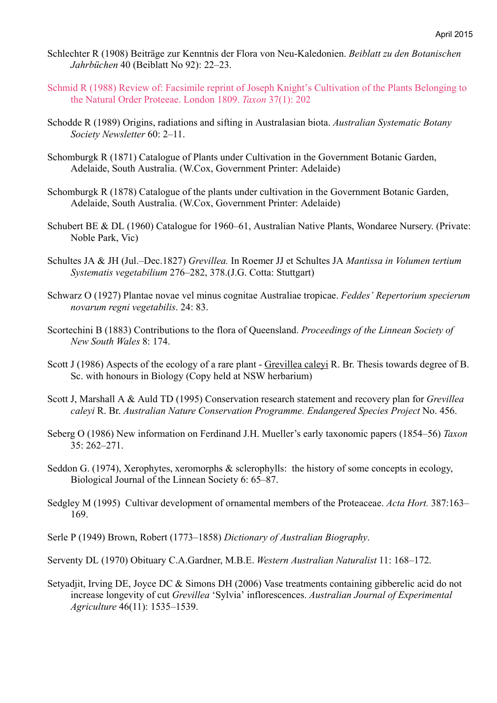- Schlechter R (1908) Beiträge zur Kenntnis der Flora von Neu-Kaledonien. *Beiblatt zu den Botanischen Jahrbüchen* 40 (Beiblatt No 92): 22–23.
- Schmid R (1988) Review of: Facsimile reprint of Joseph Knight's Cultivation of the Plants Belonging to the Natural Order Proteeae. London 1809. *Taxon* 37(1): 202
- Schodde R (1989) Origins, radiations and sifting in Australasian biota. *Australian Systematic Botany Society Newsletter* 60: 2–11.
- Schomburgk R (1871) Catalogue of Plants under Cultivation in the Government Botanic Garden, Adelaide, South Australia. (W.Cox, Government Printer: Adelaide)
- Schomburgk R (1878) Catalogue of the plants under cultivation in the Government Botanic Garden, Adelaide, South Australia. (W.Cox, Government Printer: Adelaide)
- Schubert BE & DL (1960) Catalogue for 1960–61, Australian Native Plants, Wondaree Nursery. (Private: Noble Park, Vic)
- Schultes JA & JH (Jul.–Dec.1827) *Grevillea.* In Roemer JJ et Schultes JA *Mantissa in Volumen tertium Systematis vegetabilium* 276–282, 378.(J.G. Cotta: Stuttgart)
- Schwarz O (1927) Plantae novae vel minus cognitae Australiae tropicae. *Feddes' Repertorium specierum novarum regni vegetabilis*. 24: 83.
- Scortechini B (1883) Contributions to the flora of Queensland. *Proceedings of the Linnean Society of New South Wales* 8: 174.
- Scott J (1986) Aspects of the ecology of a rare plant Grevillea caleyi R. Br. Thesis towards degree of B. Sc. with honours in Biology (Copy held at NSW herbarium)
- Scott J, Marshall A & Auld TD (1995) Conservation research statement and recovery plan for *Grevillea caleyi* R. Br. *Australian Nature Conservation Programme. Endangered Species Project* No. 456.
- Seberg O (1986) New information on Ferdinand J.H. Mueller's early taxonomic papers (1854–56) *Taxon* 35: 262–271.
- Seddon G. (1974), Xerophytes, xeromorphs & sclerophylls: the history of some concepts in ecology, Biological Journal of the Linnean Society 6: 65–87.
- Sedgley M (1995) Cultivar development of ornamental members of the Proteaceae. *Acta Hort.* 387:163– 169.
- Serle P (1949) Brown, Robert (1773–1858) *Dictionary of Australian Biography*.

Serventy DL (1970) Obituary C.A.Gardner, M.B.E. *Western Australian Naturalist* 11: 168–172.

Setyadjit, Irving DE, Joyce DC & Simons DH (2006) Vase treatments containing gibberelic acid do not increase longevity of cut *Grevillea* 'Sylvia' inflorescences. *Australian Journal of Experimental Agriculture* 46(11): 1535–1539.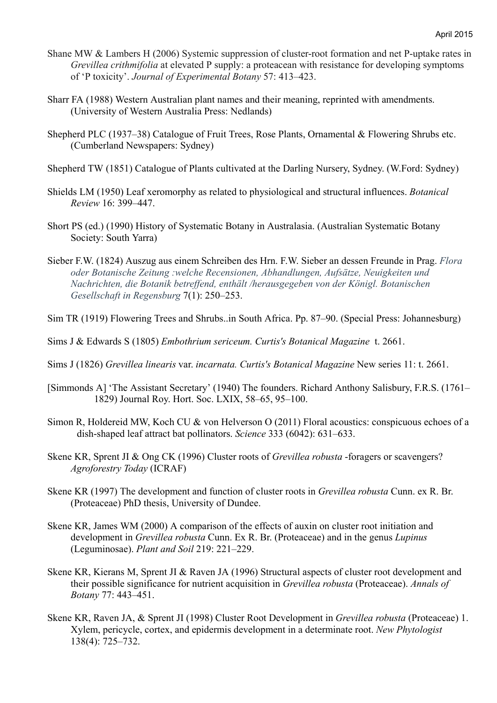- Shane MW & Lambers H (2006) Systemic suppression of cluster-root formation and net P-uptake rates in *Grevillea crithmifolia* at elevated P supply: a proteacean with resistance for developing symptoms of 'P toxicity'. *Journal of Experimental Botany* 57: 413–423.
- Sharr FA (1988) Western Australian plant names and their meaning, reprinted with amendments. (University of Western Australia Press: Nedlands)
- Shepherd PLC (1937–38) Catalogue of Fruit Trees, Rose Plants, Ornamental & Flowering Shrubs etc. (Cumberland Newspapers: Sydney)
- Shepherd TW (1851) Catalogue of Plants cultivated at the Darling Nursery, Sydney. (W.Ford: Sydney)
- Shields LM (1950) Leaf xeromorphy as related to physiological and structural influences. *Botanical Review* 16: 399–447.
- Short PS (ed.) (1990) History of Systematic Botany in Australasia. (Australian Systematic Botany Society: South Yarra)
- Sieber F.W. (1824) Auszug aus einem Schreiben des Hrn. F.W. Sieber an dessen Freunde in Prag. *Flora oder Botanische Zeitung :welche Recensionen, Abhandlungen, Aufsätze, Neuigkeiten und Nachrichten, die Botanik betreffend, enthält /herausgegeben von der Königl. Botanischen Gesellschaft in Regensburg* 7(1): 250–253.
- Sim TR (1919) Flowering Trees and Shrubs..in South Africa. Pp. 87–90. (Special Press: Johannesburg)
- Sims J & Edwards S (1805) *Embothrium sericeum. Curtis's Botanical Magazine* t. 2661.
- Sims J (1826) *Grevillea linearis* var. *incarnata. Curtis's Botanical Magazine* New series 11: t. 2661.
- [Simmonds A] 'The Assistant Secretary' (1940) The founders. Richard Anthony Salisbury, F.R.S. (1761– 1829) Journal Roy. Hort. Soc. LXIX, 58–65, 95–100.
- Simon R, Holdereid MW, Koch CU & von Helverson O (2011) Floral acoustics: conspicuous echoes of a dish-shaped leaf attract bat pollinators. *Science* 333 (6042): 631–633.
- Skene KR, Sprent JI & Ong CK (1996) Cluster roots of *Grevillea robusta* -foragers or scavengers? *Agroforestry Today* (ICRAF)
- Skene KR (1997) The development and function of cluster roots in *Grevillea robusta* Cunn. ex R. Br. (Proteaceae) PhD thesis, University of Dundee.
- Skene KR, James WM (2000) A comparison of the effects of auxin on cluster root initiation and development in *Grevillea robusta* Cunn. Ex R. Br. (Proteaceae) and in the genus *Lupinus* (Leguminosae). *Plant and Soil* 219: 221–229.
- Skene KR, Kierans M, Sprent JI & Raven JA (1996) Structural aspects of cluster root development and their possible significance for nutrient acquisition in *Grevillea robusta* (Proteaceae). *Annals of Botany* 77: 443–451.
- Skene KR, Raven JA, & Sprent JI (1998) Cluster Root Development in *Grevillea robusta* (Proteaceae) 1. Xylem, pericycle, cortex, and epidermis development in a determinate root. *New Phytologist* 138(4): 725–732.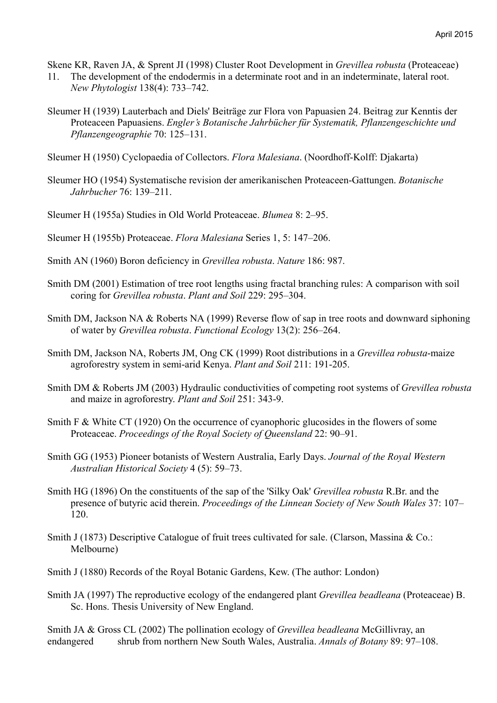Skene KR, Raven JA, & Sprent JI (1998) Cluster Root Development in *Grevillea robusta* (Proteaceae)

- 11. The development of the endodermis in a determinate root and in an indeterminate, lateral root. *New Phytologist* 138(4): 733–742.
- Sleumer H (1939) Lauterbach and Diels' Beiträge zur Flora von Papuasien 24. Beitrag zur Kenntis der Proteaceen Papuasiens. *Engler's Botanische Jahrbücher für Systematik, Pflanzengeschichte und Pflanzengeographie* 70: 125–131.
- Sleumer H (1950) Cyclopaedia of Collectors. *Flora Malesiana*. (Noordhoff-Kolff: Djakarta)
- Sleumer HO (1954) Systematische revision der amerikanischen Proteaceen-Gattungen. *Botanische Jahrbucher* 76: 139–211.
- Sleumer H (1955a) Studies in Old World Proteaceae. *Blumea* 8: 2–95.
- Sleumer H (1955b) Proteaceae. *Flora Malesiana* Series 1, 5: 147–206.
- Smith AN (1960) Boron deficiency in *Grevillea robusta*. *Nature* 186: 987.
- Smith DM (2001) Estimation of tree root lengths using fractal branching rules: A comparison with soil coring for *Grevillea robusta*. *Plant and Soil* 229: 295–304.
- Smith DM, Jackson NA & Roberts NA (1999) Reverse flow of sap in tree roots and downward siphoning of water by *Grevillea robusta*. *Functional Ecology* 13(2): 256–264.
- Smith DM, Jackson NA, Roberts JM, Ong CK (1999) Root distributions in a *Grevillea robusta*-maize agroforestry system in semi-arid Kenya. *Plant and Soil* 211: 191-205.
- Smith DM & Roberts JM (2003) Hydraulic conductivities of competing root systems of *Grevillea robusta* and maize in agroforestry. *Plant and Soil* 251: 343-9.
- Smith F & White CT (1920) On the occurrence of cyanophoric glucosides in the flowers of some Proteaceae. *Proceedings of the Royal Society of Queensland* 22: 90–91.
- Smith GG (1953) Pioneer botanists of Western Australia, Early Days. *Journal of the Royal Western Australian Historical Society* 4 (5): 59–73.
- Smith HG (1896) On the constituents of the sap of the 'Silky Oak' *Grevillea robusta* R.Br. and the presence of butyric acid therein. *Proceedings of the Linnean Society of New South Wales* 37: 107– 120.
- Smith J (1873) Descriptive Catalogue of fruit trees cultivated for sale. (Clarson, Massina & Co.: Melbourne)
- Smith J (1880) Records of the Royal Botanic Gardens, Kew. (The author: London)

Smith JA (1997) The reproductive ecology of the endangered plant *Grevillea beadleana* (Proteaceae) B. Sc. Hons. Thesis University of New England.

Smith JA & Gross CL (2002) The pollination ecology of *Grevillea beadleana* McGillivray, an endangered shrub from northern New South Wales, Australia. *Annals of Botany* 89: 97–108.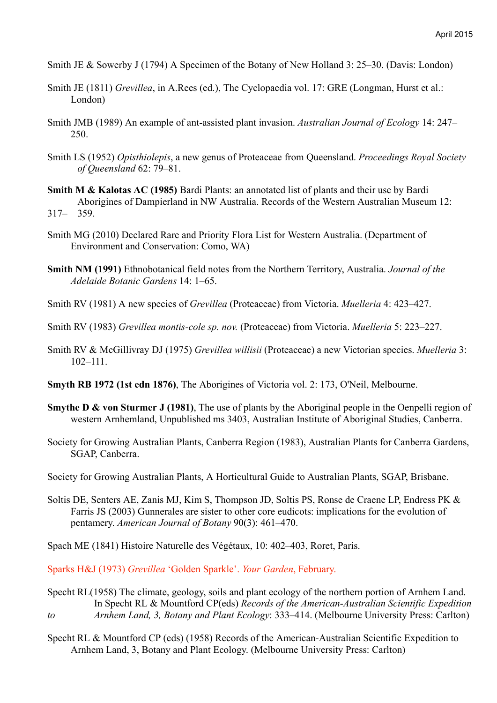- Smith JE & Sowerby J (1794) A Specimen of the Botany of New Holland 3: 25–30. (Davis: London)
- Smith JE (1811) *Grevillea*, in A.Rees (ed.), The Cyclopaedia vol. 17: GRE (Longman, Hurst et al.: London)
- Smith JMB (1989) An example of ant-assisted plant invasion. *Australian Journal of Ecology* 14: 247– 250.
- Smith LS (1952) *Opisthiolepis*, a new genus of Proteaceae from Queensland. *Proceedings Royal Society of Queensland* 62: 79–81.
- **Smith M & Kalotas AC (1985)** Bardi Plants: an annotated list of plants and their use by Bardi Aborigines of Dampierland in NW Australia. Records of the Western Australian Museum 12: 317– 359.
- Smith MG (2010) Declared Rare and Priority Flora List for Western Australia. (Department of Environment and Conservation: Como, WA)
- **Smith NM (1991)** Ethnobotanical field notes from the Northern Territory, Australia. *Journal of the Adelaide Botanic Gardens* 14: 1–65.
- Smith RV (1981) A new species of *Grevillea* (Proteaceae) from Victoria. *Muelleria* 4: 423–427.
- Smith RV (1983) *Grevillea montis-cole sp. nov.* (Proteaceae) from Victoria. *Muelleria* 5: 223–227.
- Smith RV & McGillivray DJ (1975) *Grevillea willisii* (Proteaceae) a new Victorian species. *Muelleria* 3: 102–111.
- **Smyth RB 1972 (1st edn 1876)**, The Aborigines of Victoria vol. 2: 173, O'Neil, Melbourne.
- **Smythe D & von Sturmer J (1981)**, The use of plants by the Aboriginal people in the Oenpelli region of western Arnhemland, Unpublished ms 3403, Australian Institute of Aboriginal Studies, Canberra.
- Society for Growing Australian Plants, Canberra Region (1983), Australian Plants for Canberra Gardens, SGAP, Canberra.
- Society for Growing Australian Plants, A Horticultural Guide to Australian Plants, SGAP, Brisbane.
- Soltis DE, Senters AE, Zanis MJ, Kim S, Thompson JD, Soltis PS, Ronse de Craene LP, Endress PK & Farris JS (2003) Gunnerales are sister to other core eudicots: implications for the evolution of pentamery. *American Journal of Botany* 90(3): 461–470.

Spach ME (1841) Histoire Naturelle des Végétaux, 10: 402–403, Roret, Paris.

Sparks H&J (1973) *Grevillea* 'Golden Sparkle'. *Your Garden*, February.

- Specht RL(1958) The climate, geology, soils and plant ecology of the northern portion of Arnhem Land. In Specht RL & Mountford CP(eds) *Records of the American-Australian Scientific Expedition to Arnhem Land, 3, Botany and Plant Ecology*: 333–414. (Melbourne University Press: Carlton)
- Specht RL & Mountford CP (eds) (1958) Records of the American-Australian Scientific Expedition to Arnhem Land, 3, Botany and Plant Ecology. (Melbourne University Press: Carlton)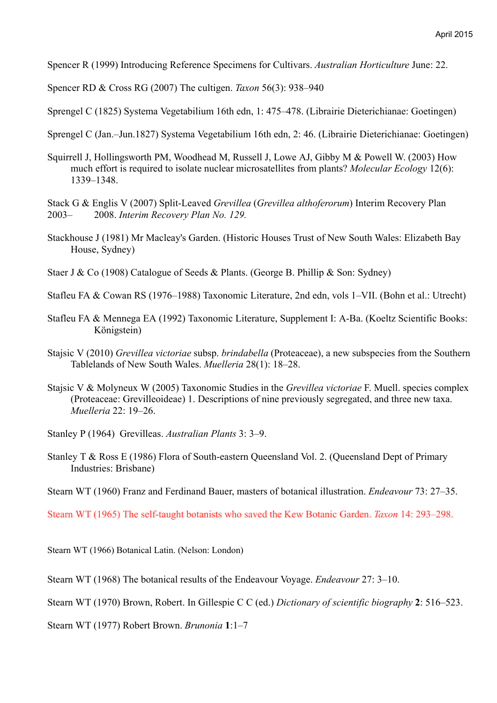Spencer R (1999) Introducing Reference Specimens for Cultivars. *Australian Horticulture* June: 22.

Spencer RD & Cross RG (2007) The cultigen. *Taxon* 56(3): 938–940

Sprengel C (1825) Systema Vegetabilium 16th edn, 1: 475–478. (Librairie Dieterichianae: Goetingen)

Sprengel C (Jan.–Jun.1827) Systema Vegetabilium 16th edn, 2: 46. (Librairie Dieterichianae: Goetingen)

Squirrell J, Hollingsworth PM, Woodhead M, Russell J, Lowe AJ, Gibby M & Powell W. (2003) How much effort is required to isolate nuclear microsatellites from plants? *Molecular Ecology* 12(6): 1339–1348.

Stack G & Englis V (2007) Split-Leaved *Grevillea* (*Grevillea althoferorum*) Interim Recovery Plan 2003– 2008. *Interim Recovery Plan No. 129.*

- Stackhouse J (1981) Mr Macleay's Garden. (Historic Houses Trust of New South Wales: Elizabeth Bay House, Sydney)
- Staer J & Co (1908) Catalogue of Seeds & Plants. (George B. Phillip & Son: Sydney)

Stafleu FA & Cowan RS (1976–1988) Taxonomic Literature, 2nd edn, vols 1–VII. (Bohn et al.: Utrecht)

- Stafleu FA & Mennega EA (1992) Taxonomic Literature, Supplement I: A-Ba. (Koeltz Scientific Books: Königstein)
- Stajsic V (2010) *Grevillea victoriae* subsp. *brindabella* (Proteaceae), a new subspecies from the Southern Tablelands of New South Wales. *Muelleria* 28(1): 18–28.
- Stajsic V & Molyneux W (2005) Taxonomic Studies in the *Grevillea victoriae* F. Muell. species complex (Proteaceae: Grevilleoideae) 1. Descriptions of nine previously segregated, and three new taxa. *Muelleria* 22: 19–26.

Stanley P (1964) Grevilleas. *Australian Plants* 3: 3–9.

Stanley T & Ross E (1986) Flora of South-eastern Queensland Vol. 2. (Queensland Dept of Primary Industries: Brisbane)

Stearn WT (1960) Franz and Ferdinand Bauer, masters of botanical illustration. *Endeavour* 73: 27–35.

Stearn WT (1965) The self-taught botanists who saved the Kew Botanic Garden. *Taxon* 14: 293–298.

Stearn WT (1966) Botanical Latin. (Nelson: London)

Stearn WT (1968) The botanical results of the Endeavour Voyage. *Endeavour* 27: 3–10.

Stearn WT (1970) Brown, Robert. In Gillespie C C (ed.) *Dictionary of scientific biography* **2**: 516–523.

Stearn WT (1977) Robert Brown. *Brunonia* **1**:1–7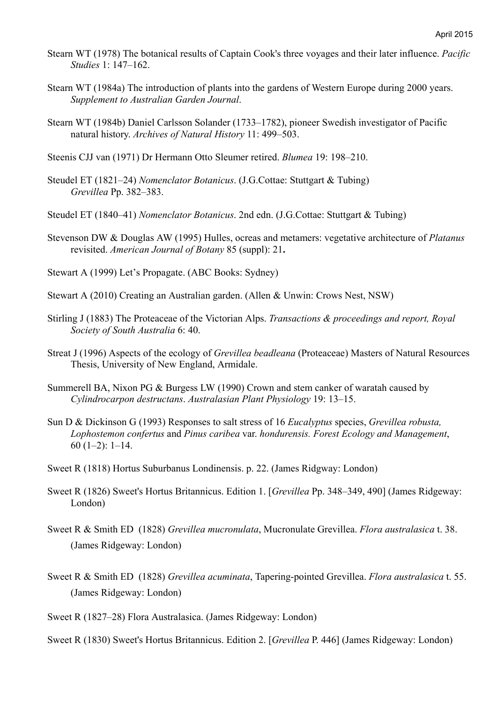- Stearn WT (1978) The botanical results of Captain Cook's three voyages and their later influence. *Pacific Studies* 1: 147–162.
- Stearn WT (1984a) The introduction of plants into the gardens of Western Europe during 2000 years. *Supplement to Australian Garden Journal*.
- Stearn WT (1984b) Daniel Carlsson Solander (1733–1782), pioneer Swedish investigator of Pacific natural history. *Archives of Natural History* 11: 499–503.
- Steenis CJJ van (1971) Dr Hermann Otto Sleumer retired. *Blumea* 19: 198–210.
- Steudel ET (1821–24) *Nomenclator Botanicus*. (J.G.Cottae: Stuttgart & Tubing) *Grevillea* Pp. 382–383.
- Steudel ET (1840–41) *Nomenclator Botanicus*. 2nd edn. (J.G.Cottae: Stuttgart & Tubing)
- Stevenson DW & Douglas AW (1995) Hulles, ocreas and metamers: vegetative architecture of *Platanus* revisited. *American Journal of Botany* 85 (suppl): 21**.**
- Stewart A (1999) Let's Propagate. (ABC Books: Sydney)
- Stewart A (2010) Creating an Australian garden. (Allen & Unwin: Crows Nest, NSW)
- Stirling J (1883) The Proteaceae of the Victorian Alps. *Transactions & proceedings and report, Royal Society of South Australia* 6: 40.
- Streat J (1996) Aspects of the ecology of *Grevillea beadleana* (Proteaceae) Masters of Natural Resources Thesis, University of New England, Armidale.
- Summerell BA, Nixon PG & Burgess LW (1990) Crown and stem canker of waratah caused by *Cylindrocarpon destructans*. *Australasian Plant Physiology* 19: 13–15.
- Sun D & Dickinson G (1993) Responses to salt stress of 16 *Eucalyptus* species, *Grevillea robusta, Lophostemon confertus* and *Pinus caribea* var. *hondurensis. Forest Ecology and Management*, 60 (1–2): 1–14.
- Sweet R (1818) Hortus Suburbanus Londinensis. p. 22. (James Ridgway: London)
- Sweet R (1826) Sweet's Hortus Britannicus. Edition 1. [*Grevillea* Pp. 348–349, 490] (James Ridgeway: London)
- Sweet R & Smith ED (1828) *Grevillea mucronulata*, Mucronulate Grevillea. *Flora australasica* t. 38. (James Ridgeway: London)
- Sweet R & Smith ED (1828) *Grevillea acuminata*, Tapering-pointed Grevillea. *Flora australasica* t. 55. (James Ridgeway: London)
- Sweet R (1827–28) Flora Australasica. (James Ridgeway: London)

Sweet R (1830) Sweet's Hortus Britannicus. Edition 2. [*Grevillea* P. 446] (James Ridgeway: London)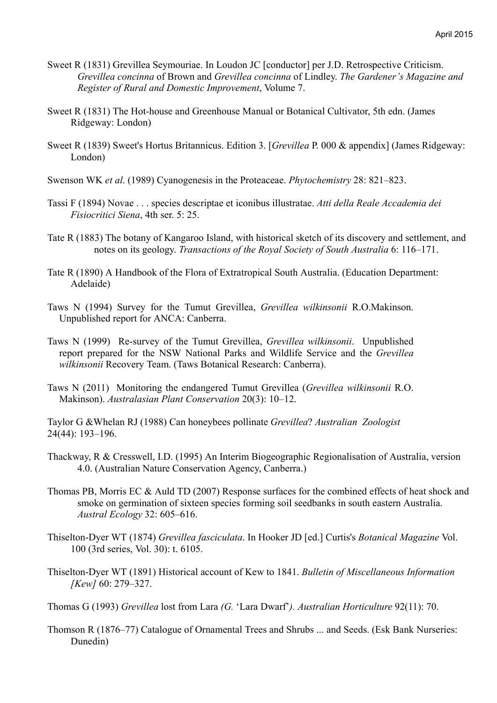- Sweet R (1831) Grevillea Seymouriae. In Loudon JC [conductor] per J.D. Retrospective Criticism. *Grevillea concinna* of Brown and *Grevillea concinna* of Lindley. *The Gardener's Magazine and Register of Rural and Domestic Improvement*, Volume 7.
- Sweet R (1831) The Hot-house and Greenhouse Manual or Botanical Cultivator, 5th edn. (James Ridgeway: London)
- Sweet R (1839) Sweet's Hortus Britannicus. Edition 3. [*Grevillea* P. 000 & appendix] (James Ridgeway: London)
- Swenson WK *et al*. (1989) Cyanogenesis in the Proteaceae. *Phytochemistry* 28: 821–823.
- Tassi F (1894) Novae . . . species descriptae et iconibus illustratae. *Atti della Reale Accademia dei Fisiocritici Siena*, 4th ser. 5: 25.
- Tate R (1883) The botany of Kangaroo Island, with historical sketch of its discovery and settlement, and notes on its geology. *Transactions of the Royal Society of South Australia* 6: 116–171.
- Tate R (1890) A Handbook of the Flora of Extratropical South Australia. (Education Department: Adelaide)
- Taws N (1994) Survey for the Tumut Grevillea, *Grevillea wilkinsonii* R.O.Makinson. Unpublished report for ANCA: Canberra.
- Taws N (1999) Re-survey of the Tumut Grevillea, *Grevillea wilkinsonii*. Unpublished report prepared for the NSW National Parks and Wildlife Service and the *Grevillea wilkinsonii* Recovery Team. (Taws Botanical Research: Canberra).
- Taws N (2011) Monitoring the endangered Tumut Grevillea (*Grevillea wilkinsonii* R.O. Makinson). *Australasian Plant Conservation* 20(3): 10–12.

Taylor G &Whelan RJ (1988) Can honeybees pollinate *Grevillea*? *Australian Zoologist* 24(44): 193–196.

- Thackway, R & Cresswell, I.D. (1995) An Interim Biogeographic Regionalisation of Australia, version 4.0. (Australian Nature Conservation Agency, Canberra.)
- Thomas PB, Morris EC & Auld TD (2007) Response surfaces for the combined effects of heat shock and smoke on germination of sixteen species forming soil seedbanks in south eastern Australia. *Austral Ecology* 32: 605–616.
- Thiselton-Dyer WT (1874) *Grevillea fasciculata*. In Hooker JD [ed.] Curtis's *Botanical Magazine* Vol. 100 (3rd series, Vol. 30): t. 6105.
- Thiselton-Dyer WT (1891) Historical account of Kew to 1841. *Bulletin of Miscellaneous Information [Kew]* 60: 279–327.
- Thomas G (1993) *Grevillea* lost from Lara *(G.* 'Lara Dwarf'*). Australian Horticulture* 92(11): 70.
- Thomson R (1876–77) Catalogue of Ornamental Trees and Shrubs ... and Seeds. (Esk Bank Nurseries: Dunedin)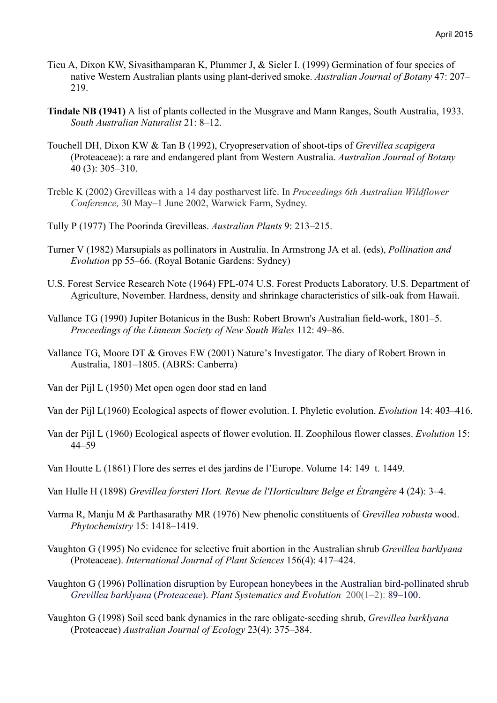- Tieu A, Dixon KW, Sivasithamparan K, Plummer J, & Sieler I. (1999) Germination of four species of native Western Australian plants using plant-derived smoke. *Australian Journal of Botany* 47: 207– 219.
- **Tindale NB (1941)** A list of plants collected in the Musgrave and Mann Ranges, South Australia, 1933. *South Australian Naturalist* 21: 8–12.
- Touchell DH, Dixon KW & Tan B (1992), Cryopreservation of shoot-tips of *Grevillea scapigera* (Proteaceae): a rare and endangered plant from Western Australia. *Australian Journal of Botany* 40 (3): 305–310.
- Treble K (2002) Grevilleas with a 14 day postharvest life. In *Proceedings 6th Australian Wildflower Conference,* 30 May–1 June 2002, Warwick Farm, Sydney.
- Tully P (1977) The Poorinda Grevilleas. *Australian Plants* 9: 213–215.
- Turner V (1982) Marsupials as pollinators in Australia. In Armstrong JA et al. (eds), *Pollination and Evolution* pp 55–66. (Royal Botanic Gardens: Sydney)
- U.S. Forest Service Research Note (1964) FPL-074 U.S. Forest Products Laboratory. U.S. Department of Agriculture, November. Hardness, density and shrinkage characteristics of silk-oak from Hawaii.
- Vallance TG (1990) Jupiter Botanicus in the Bush: Robert Brown's Australian field-work, 1801–5. *Proceedings of the Linnean Society of New South Wales* 112: 49–86.
- Vallance TG, Moore DT & Groves EW (2001) Nature's Investigator. The diary of Robert Brown in Australia, 1801–1805. (ABRS: Canberra)
- Van der Pijl L (1950) Met open ogen door stad en land
- Van der Pijl L(1960) Ecological aspects of flower evolution. I. Phyletic evolution. *Evolution* 14: 403–416.
- Van der Pijl L (1960) Ecological aspects of flower evolution. II. Zoophilous flower classes. *Evolution* 15: 44–59
- Van Houtte L (1861) Flore des serres et des jardins de l'Europe. Volume 14: 149 t. 1449.
- Van Hulle H (1898) *Grevillea forsteri Hort. Revue de l'Horticulture Belge et Étrangère* 4 (24): 3–4.
- Varma R, Manju M & Parthasarathy MR (1976) New phenolic constituents of *Grevillea robusta* wood. *Phytochemistry* 15: 1418–1419.
- Vaughton G (1995) No evidence for selective fruit abortion in the Australian shrub *Grevillea barklyana* (Proteaceae). *International Journal of Plant Sciences* 156(4): 417–424.
- Vaughton G (1996) Pollination disruption by European honeybees in the Australian bird-pollinated shrub *Grevillea barklyana* (*Proteaceae*). *Plant Systematics and Evolution* 200(1–2): 89–100.
- Vaughton G (1998) Soil seed bank dynamics in the rare obligate-seeding shrub, *Grevillea barklyana* (Proteaceae) *Australian Journal of Ecology* 23(4): 375–384.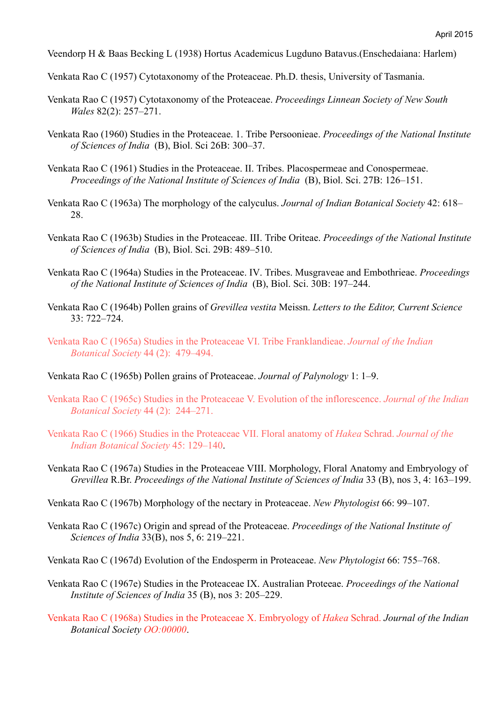Veendorp H & Baas Becking L (1938) Hortus Academicus Lugduno Batavus.(Enschedaiana: Harlem)

Venkata Rao C (1957) Cytotaxonomy of the Proteaceae. Ph.D. thesis, University of Tasmania.

- Venkata Rao C (1957) Cytotaxonomy of the Proteaceae. *Proceedings Linnean Society of New South Wales* 82(2): 257–271.
- Venkata Rao (1960) Studies in the Proteaceae. 1. Tribe Persoonieae. *Proceedings of the National Institute of Sciences of India* (B), Biol. Sci 26B: 300–37.
- Venkata Rao C (1961) Studies in the Proteaceae. II. Tribes. Placospermeae and Conospermeae. *Proceedings of the National Institute of Sciences of India* (B), Biol. Sci. 27B: 126–151.
- Venkata Rao C (1963a) The morphology of the calyculus. *Journal of Indian Botanical Society* 42: 618– 28.
- Venkata Rao C (1963b) Studies in the Proteaceae. III. Tribe Oriteae. *Proceedings of the National Institute of Sciences of India* (B), Biol. Sci. 29B: 489–510.
- Venkata Rao C (1964a) Studies in the Proteaceae. IV. Tribes. Musgraveae and Embothrieae. *Proceedings of the National Institute of Sciences of India* (B), Biol. Sci. 30B: 197–244.
- Venkata Rao C (1964b) Pollen grains of *Grevillea vestita* Meissn. *Letters to the Editor, Current Science* 33: 722–724.
- Venkata Rao C (1965a) Studies in the Proteaceae VI. Tribe Franklandieae. *Journal of the Indian Botanical Society* 44 (2): 479–494.
- Venkata Rao C (1965b) Pollen grains of Proteaceae. *Journal of Palynology* 1: 1–9.
- Venkata Rao C (1965c) Studies in the Proteaceae V. Evolution of the inflorescence. *Journal of the Indian Botanical Society* 44 (2): 244–271.
- Venkata Rao C (1966) Studies in the Proteaceae VII. Floral anatomy of *Hakea* Schrad. *Journal of the Indian Botanical Society* 45: 129–140.
- Venkata Rao C (1967a) Studies in the Proteaceae VIII. Morphology, Floral Anatomy and Embryology of *Grevillea* R.Br. *Proceedings of the National Institute of Sciences of India* 33 (B), nos 3, 4: 163–199.
- Venkata Rao C (1967b) Morphology of the nectary in Proteaceae. *New Phytologist* 66: 99–107.
- Venkata Rao C (1967c) Origin and spread of the Proteaceae. *Proceedings of the National Institute of Sciences of India* 33(B), nos 5, 6: 219–221.
- Venkata Rao C (1967d) Evolution of the Endosperm in Proteaceae. *New Phytologist* 66: 755–768.
- Venkata Rao C (1967e) Studies in the Proteaceae IX. Australian Proteeae. *Proceedings of the National Institute of Sciences of India* 35 (B), nos 3: 205–229.
- Venkata Rao C (1968a) Studies in the Proteaceae X. Embryology of *Hakea* Schrad. *Journal of the Indian Botanical Society OO:00000*.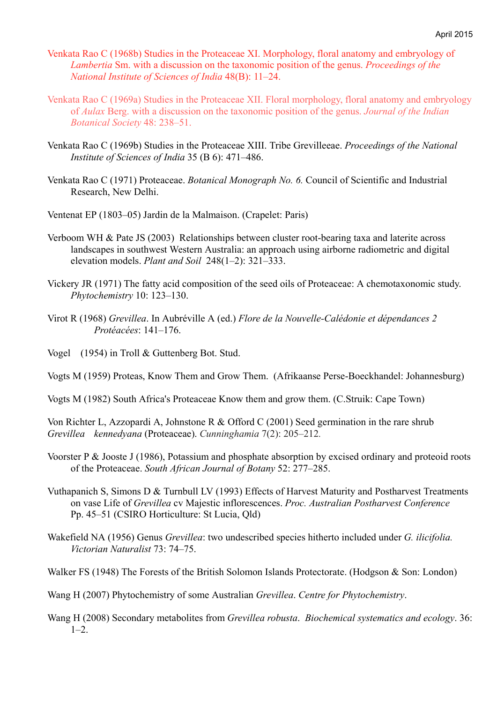- Venkata Rao C (1968b) Studies in the Proteaceae XI. Morphology, floral anatomy and embryology of *Lambertia* Sm. with a discussion on the taxonomic position of the genus. *Proceedings of the National Institute of Sciences of India* 48(B): 11–24.
- Venkata Rao C (1969a) Studies in the Proteaceae XII. Floral morphology, floral anatomy and embryology of *Aulax* Berg. with a discussion on the taxonomic position of the genus. *Journal of the Indian Botanical Society* 48: 238–51.
- Venkata Rao C (1969b) Studies in the Proteaceae XIII. Tribe Grevilleeae. *Proceedings of the National Institute of Sciences of India* 35 (B 6): 471–486.
- Venkata Rao C (1971) Proteaceae. *Botanical Monograph No. 6.* Council of Scientific and Industrial Research, New Delhi.
- Ventenat EP (1803–05) Jardin de la Malmaison. (Crapelet: Paris)
- Verboom WH & Pate JS (2003) Relationships between cluster root-bearing taxa and laterite across landscapes in southwest Western Australia: an approach using airborne radiometric and digital elevation models. *Plant and Soil* 248(1–2): 321–333.
- Vickery JR (1971) The fatty acid composition of the seed oils of Proteaceae: A chemotaxonomic study. *Phytochemistry* 10: 123–130.
- Virot R (1968) *Grevillea*. In Aubréville A (ed.) *Flore de la Nouvelle-Calédonie et dépendances 2 Protéacées*: 141–176.
- Vogel (1954) in Troll & Guttenberg Bot. Stud.
- Vogts M (1959) Proteas, Know Them and Grow Them. (Afrikaanse Perse-Boeckhandel: Johannesburg)
- Vogts M (1982) South Africa's Proteaceae Know them and grow them. (C.Struik: Cape Town)

Von Richter L, Azzopardi A, Johnstone R & Offord C (2001) Seed germination in the rare shrub *Grevillea kennedyana* (Proteaceae). *Cunninghamia* 7(2): 205–212*.*

- Voorster P & Jooste J (1986), Potassium and phosphate absorption by excised ordinary and proteoid roots of the Proteaceae. *South African Journal of Botany* 52: 277–285.
- Vuthapanich S, Simons D & Turnbull LV (1993) Effects of Harvest Maturity and Postharvest Treatments on vase Life of *Grevillea* cv Majestic inflorescences. *Proc. Australian Postharvest Conference* Pp. 45–51 (CSIRO Horticulture: St Lucia, Qld)
- Wakefield NA (1956) Genus *Grevillea*: two undescribed species hitherto included under *G. ilicifolia. Victorian Naturalist* 73: 74–75.

Walker FS (1948) The Forests of the British Solomon Islands Protectorate. (Hodgson & Son: London)

Wang H (2007) Phytochemistry of some Australian *Grevillea*. *Centre for Phytochemistry*.

Wang H (2008) Secondary metabolites from *Grevillea robusta*. *Biochemical systematics and ecology*. 36:  $1 - 2$ .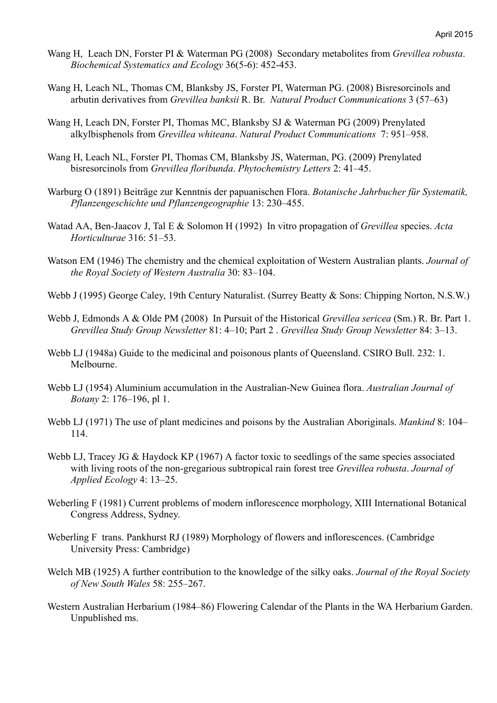- Wang H, Leach DN, Forster PI & Waterman PG (2008) Secondary metabolites from *Grevillea robusta*. *Biochemical Systematics and Ecology* 36(5-6): 452-453.
- Wang H, Leach NL, Thomas CM, Blanksby JS, Forster PI, Waterman PG. (2008) Bisresorcinols and arbutin derivatives from *Grevillea banksii* R. Br. *Natural Product Communications* 3 (57–63)
- Wang H, Leach DN, Forster PI, Thomas MC, Blanksby SJ & Waterman PG (2009) Prenylated alkylbisphenols from *Grevillea whiteana*. *Natural Product Communications* 7: 951–958.
- Wang H, Leach NL, Forster PI, Thomas CM, Blanksby JS, Waterman, PG. (2009) Prenylated bisresorcinols from *Grevillea floribunda*. *Phytochemistry Letters* 2: 41–45.
- Warburg O (1891) Beiträge zur Kenntnis der papuanischen Flora. *Botanische Jahrbucher für Systematik, Pflanzengeschichte und Pflanzengeographie* 13: 230–455.
- Watad AA, Ben-Jaacov J, Tal E & Solomon H (1992) In vitro propagation of *Grevillea* species. *Acta Horticulturae* 316: 51–53.
- Watson EM (1946) The chemistry and the chemical exploitation of Western Australian plants. *Journal of the Royal Society of Western Australia* 30: 83–104.
- Webb J (1995) George Caley, 19th Century Naturalist. (Surrey Beatty & Sons: Chipping Norton, N.S.W.)
- Webb J, Edmonds A & Olde PM (2008) In Pursuit of the Historical *Grevillea sericea* (Sm.) R. Br. Part 1. *Grevillea Study Group Newsletter* 81: 4–10; Part 2 . *Grevillea Study Group Newsletter* 84: 3–13.
- Webb LJ (1948a) Guide to the medicinal and poisonous plants of Queensland. CSIRO Bull. 232: 1. Melbourne.
- Webb LJ (1954) Aluminium accumulation in the Australian-New Guinea flora. *Australian Journal of Botany* 2: 176–196, pl 1.
- Webb LJ (1971) The use of plant medicines and poisons by the Australian Aboriginals. *Mankind* 8: 104– 114.
- Webb LJ, Tracey JG & Haydock KP (1967) A factor toxic to seedlings of the same species associated with living roots of the non-gregarious subtropical rain forest tree *Grevillea robusta*. *Journal of Applied Ecology* 4: 13–25.
- Weberling F (1981) Current problems of modern inflorescence morphology, XIII International Botanical Congress Address, Sydney.
- Weberling F trans. Pankhurst RJ (1989) Morphology of flowers and inflorescences. (Cambridge University Press: Cambridge)
- Welch MB (1925) A further contribution to the knowledge of the silky oaks. *Journal of the Royal Society of New South Wales* 58: 255–267.
- Western Australian Herbarium (1984–86) Flowering Calendar of the Plants in the WA Herbarium Garden. Unpublished ms.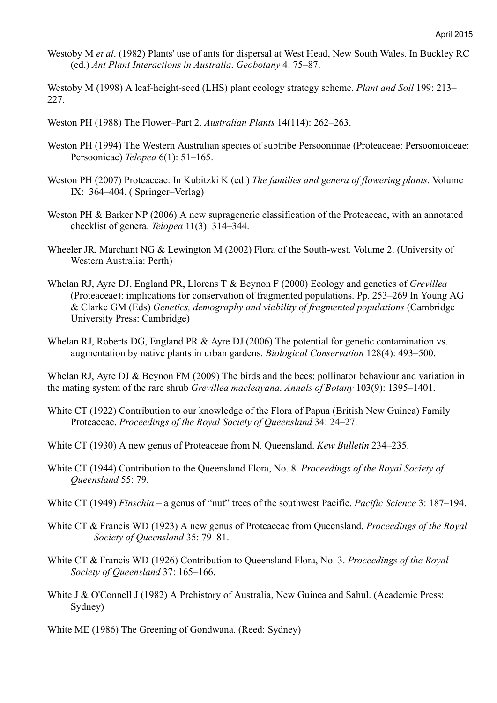- Westoby M *et al*. (1982) Plants' use of ants for dispersal at West Head, New South Wales. In Buckley RC (ed.) *Ant Plant Interactions in Australia*. *Geobotany* 4: 75–87.
- Westoby M (1998) A leaf-height-seed (LHS) plant ecology strategy scheme. *Plant and Soil* 199: 213– 227.
- Weston PH (1988) The Flower–Part 2. *Australian Plants* 14(114): 262–263.
- Weston PH (1994) The Western Australian species of subtribe Persooniinae (Proteaceae: Persoonioideae: Persoonieae) *Telopea* 6(1): 51–165.
- Weston PH (2007) Proteaceae. In Kubitzki K (ed.) *The families and genera of flowering plants*. Volume IX: 364–404. ( Springer–Verlag)
- Weston PH & Barker NP (2006) A new suprageneric classification of the Proteaceae, with an annotated checklist of genera. *Telopea* 11(3): 314–344.
- Wheeler JR, Marchant NG & Lewington M (2002) Flora of the South-west. Volume 2. (University of Western Australia: Perth)
- Whelan RJ, Ayre DJ, England PR, Llorens T & Beynon F (2000) Ecology and genetics of *Grevillea*  (Proteaceae): implications for conservation of fragmented populations. Pp. 253–269 In Young AG & Clarke GM (Eds) *Genetics, demography and viability of fragmented populations* (Cambridge University Press: Cambridge)
- Whelan RJ, Roberts DG, England PR & Ayre DJ (2006) The potential for genetic contamination vs. augmentation by native plants in urban gardens. *Biological Conservation* 128(4): 493–500.

Whelan RJ, Ayre DJ & Beynon FM (2009) The birds and the bees: pollinator behaviour and variation in the mating system of the rare shrub *Grevillea macleayana*. *Annals of Botany* 103(9): 1395–1401.

- White CT (1922) Contribution to our knowledge of the Flora of Papua (British New Guinea) Family Proteaceae. *Proceedings of the Royal Society of Queensland* 34: 24–27.
- White CT (1930) A new genus of Proteaceae from N. Queensland. *Kew Bulletin* 234–235.
- White CT (1944) Contribution to the Queensland Flora, No. 8. *Proceedings of the Royal Society of Queensland* 55: 79.
- White CT (1949) *Finschia* a genus of "nut" trees of the southwest Pacific. *Pacific Science* 3: 187–194.
- White CT & Francis WD (1923) A new genus of Proteaceae from Queensland. *Proceedings of the Royal Society of Queensland* 35: 79–81.
- White CT & Francis WD (1926) Contribution to Queensland Flora, No. 3. *Proceedings of the Royal Society of Queensland* 37: 165–166.
- White J & O'Connell J (1982) A Prehistory of Australia, New Guinea and Sahul. (Academic Press: Sydney)
- White ME (1986) The Greening of Gondwana. (Reed: Sydney)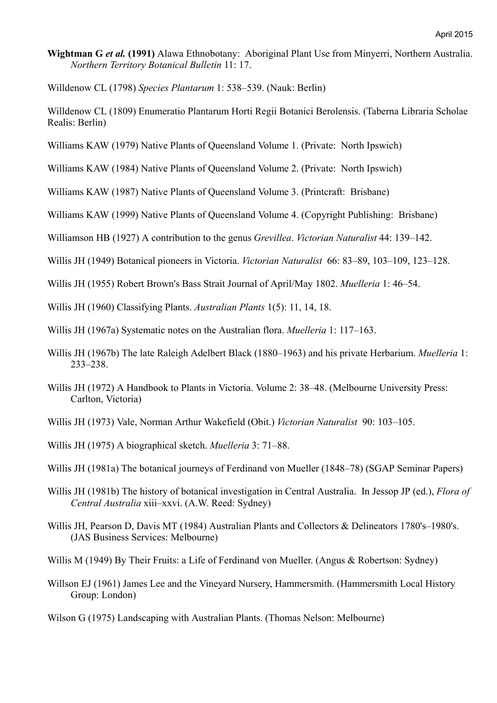- **Wightman G** *et al.* **(1991)** Alawa Ethnobotany: Aboriginal Plant Use from Minyerri, Northern Australia. *Northern Territory Botanical Bulletin* 11: 17.
- Willdenow CL (1798) *Species Plantarum* 1: 538–539. (Nauk: Berlin)
- Willdenow CL (1809) Enumeratio Plantarum Horti Regii Botanici Berolensis. (Taberna Libraria Scholae Realis: Berlin)
- Williams KAW (1979) Native Plants of Queensland Volume 1. (Private: North Ipswich)
- Williams KAW (1984) Native Plants of Queensland Volume 2. (Private: North Ipswich)
- Williams KAW (1987) Native Plants of Queensland Volume 3. (Printcraft: Brisbane)
- Williams KAW (1999) Native Plants of Queensland Volume 4. (Copyright Publishing: Brisbane)
- Williamson HB (1927) A contribution to the genus *Grevillea*. *Victorian Naturalist* 44: 139–142.
- Willis JH (1949) Botanical pioneers in Victoria. *Victorian Naturalist* 66: 83–89, 103–109, 123–128.
- Willis JH (1955) Robert Brown's Bass Strait Journal of April/May 1802. *Muelleria* 1: 46–54.
- Willis JH (1960) Classifying Plants. *Australian Plants* 1(5): 11, 14, 18.
- Willis JH (1967a) Systematic notes on the Australian flora. *Muelleria* 1: 117–163.
- Willis JH (1967b) The late Raleigh Adelbert Black (1880–1963) and his private Herbarium. *Muelleria* 1: 233–238.
- Willis JH (1972) A Handbook to Plants in Victoria. Volume 2: 38–48. (Melbourne University Press: Carlton, Victoria)
- Willis JH (1973) Vale, Norman Arthur Wakefield (Obit.) *Victorian Naturalist* 90: 103–105.
- Willis JH (1975) A biographical sketch. *Muelleria* 3: 71–88.
- Willis JH (1981a) The botanical journeys of Ferdinand von Mueller (1848–78) (SGAP Seminar Papers)
- Willis JH (1981b) The history of botanical investigation in Central Australia. In Jessop JP (ed.), *Flora of Central Australia* xiii–xxvi. (A.W. Reed: Sydney)
- Willis JH, Pearson D, Davis MT (1984) Australian Plants and Collectors & Delineators 1780's–1980's. (JAS Business Services: Melbourne)
- Willis M (1949) By Their Fruits: a Life of Ferdinand von Mueller. (Angus & Robertson: Sydney)
- Willson EJ (1961) James Lee and the Vineyard Nursery, Hammersmith. (Hammersmith Local History Group: London)
- Wilson G (1975) Landscaping with Australian Plants. (Thomas Nelson: Melbourne)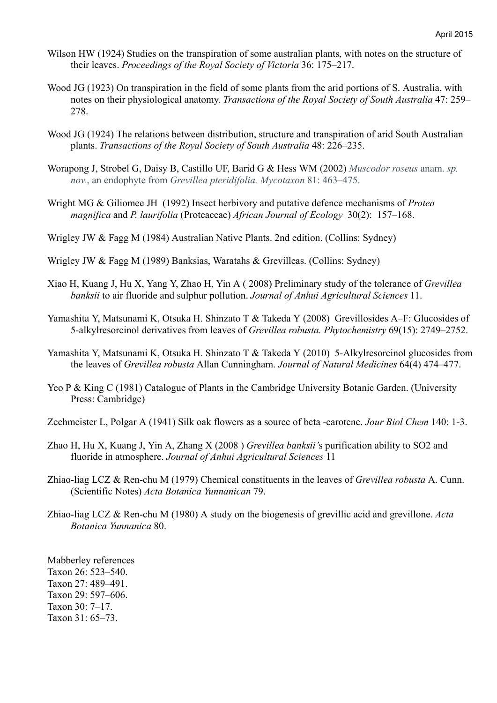- Wilson HW (1924) Studies on the transpiration of some australian plants, with notes on the structure of their leaves. *Proceedings of the Royal Society of Victoria* 36: 175–217.
- Wood JG (1923) On transpiration in the field of some plants from the arid portions of S. Australia, with notes on their physiological anatomy. *Transactions of the Royal Society of South Australia* 47: 259– 278.
- Wood JG (1924) The relations between distribution, structure and transpiration of arid South Australian plants. *Transactions of the Royal Society of South Australia* 48: 226–235.
- Worapong J, Strobel G, Daisy B, Castillo UF, Barid G & Hess WM (2002) *Muscodor roseus* anam. *sp. nov.*, an endophyte from *Grevillea pteridifolia. Mycotaxon* 81: 463–475.
- Wright MG & Giliomee JH (1992) Insect herbivory and putative defence mechanisms of *Protea magnifica* and *P. laurifolia* (Proteaceae) *African Journal of Ecology* 30(2): 157–168.
- Wrigley JW & Fagg M (1984) Australian Native Plants. 2nd edition. (Collins: Sydney)
- Wrigley JW & Fagg M (1989) Banksias, Waratahs & Grevilleas. (Collins: Sydney)
- Xiao H, Kuang J, Hu X, Yang Y, Zhao H, Yin A ( 2008) Preliminary study of the tolerance of *Grevillea banksii* to air fluoride and sulphur pollution. *Journal of Anhui Agricultural Sciences* 11.
- Yamashita Y, Matsunami K, Otsuka H. Shinzato T & Takeda Y (2008) Grevillosides A–F: Glucosides of 5-alkylresorcinol derivatives from leaves of *Grevillea robusta. Phytochemistry* 69(15): 2749–2752.
- Yamashita Y, Matsunami K, Otsuka H. Shinzato T & Takeda Y (2010) 5-Alkylresorcinol glucosides from the leaves of *Grevillea robusta* Allan Cunningham. *Journal of Natural Medicines* 64(4) 474–477.
- Yeo P & King C (1981) Catalogue of Plants in the Cambridge University Botanic Garden. (University Press: Cambridge)
- Zechmeister L, Polgar A (1941) Silk oak flowers as a source of beta -carotene. *Jour Biol Chem* 140: 1-3.
- Zhao H, Hu X, Kuang J, Yin A, Zhang X (2008 ) *Grevillea banksii'*s purification ability to SO2 and fluoride in atmosphere. *Journal of Anhui Agricultural Sciences* 11
- Zhiao-liag LCZ & Ren-chu M (1979) Chemical constituents in the leaves of *Grevillea robusta* A. Cunn. (Scientific Notes) *Acta Botanica Yunnanican* 79.
- Zhiao-liag LCZ & Ren-chu M (1980) A study on the biogenesis of grevillic acid and grevillone. *Acta Botanica Yunnanica* 80.

Mabberley references Taxon 26: 523–540. Taxon 27: 489–491. Taxon 29: 597–606. Taxon 30: 7–17. Taxon 31: 65–73.